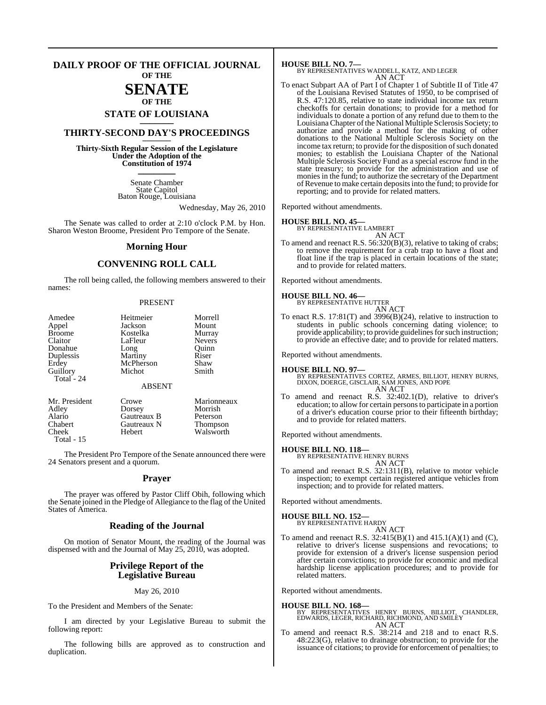#### **DAILY PROOF OF THE OFFICIAL JOURNAL OF THE**

## **SENATE OF THE**

# **STATE OF LOUISIANA \_\_\_\_\_\_\_**

## **THIRTY-SECOND DAY'S PROCEEDINGS \_\_\_\_\_\_\_**

**Thirty-Sixth Regular Session of the Legislature Under the Adoption of the Constitution of 1974 \_\_\_\_\_\_\_**

> Senate Chamber State Capitol Baton Rouge, Louisiana

> > Wednesday, May 26, 2010

Walsworth

The Senate was called to order at 2:10 o'clock P.M. by Hon. Sharon Weston Broome, President Pro Tempore of the Senate.

#### **Morning Hour**

### **CONVENING ROLL CALL**

The roll being called, the following members answered to their names:

#### PRESENT

| Amedee        | Heitmeier     | Morrell       |
|---------------|---------------|---------------|
| Appel         | Jackson       | Mount         |
| <b>Broome</b> | Kostelka      | Murray        |
| Claitor       | LaFleur       | <b>Nevers</b> |
| Donahue       | Long          | Ouinn         |
| Duplessis     | Martiny       | Riser         |
| Erdey         | McPherson     | Shaw          |
| Guillory      | Michot        | Smith         |
| Total - 24    | <b>ABSENT</b> |               |
| Mr. President | Crowe         | Marionneaux   |
| Adley         | Dorsey        | Morrish       |
| Alario        | Gautreaux B   | Peterson      |

Chabert Gautreaux N Thompson<br>Cheek Hebert Walsworth

Total - 15

The President Pro Tempore of the Senate announced there were 24 Senators present and a quorum.

#### **Prayer**

The prayer was offered by Pastor Cliff Obih, following which the Senate joined in the Pledge of Allegiance to the flag of the United States of America.

#### **Reading of the Journal**

On motion of Senator Mount, the reading of the Journal was dispensed with and the Journal of May 25, 2010, was adopted.

#### **Privilege Report of the Legislative Bureau**

May 26, 2010

To the President and Members of the Senate:

I am directed by your Legislative Bureau to submit the following report:

The following bills are approved as to construction and duplication.

#### **HOUSE BILL NO. 7—**

BY REPRESENTATIVES WADDELL, KATZ, AND LEGER AN ACT

To enact Subpart AA of Part I of Chapter 1 of Subtitle II of Title 47 of the Louisiana Revised Statutes of 1950, to be comprised of R.S. 47:120.85, relative to state individual income tax return checkoffs for certain donations; to provide for a method for individuals to donate a portion of any refund due to them to the Louisiana Chapter ofthe National Multiple Sclerosis Society; to authorize and provide a method for the making of other donations to the National Multiple Sclerosis Society on the income tax return; to provide for the disposition of such donated monies; to establish the Louisiana Chapter of the National Multiple Sclerosis Society Fund as a special escrow fund in the state treasury; to provide for the administration and use of monies in the fund; to authorize the secretary of the Department ofRevenue to make certain depositsinto the fund; to provide for reporting; and to provide for related matters.

Reported without amendments.

## **HOUSE BILL NO. 45—** BY REPRESENTATIVE LAMBERT

AN ACT To amend and reenact R.S.  $56:320(B)(3)$ , relative to taking of crabs; to remove the requirement for a crab trap to have a float and float line if the trap is placed in certain locations of the state; and to provide for related matters.

Reported without amendments.

#### **HOUSE BILL NO. 46—**

BY REPRESENTATIVE HUTTER

AN ACT To enact R.S. 17:81(T) and 3996(B)(24), relative to instruction to students in public schools concerning dating violence; to provide applicability; to provide guidelines for such instruction; to provide an effective date; and to provide for related matters.

Reported without amendments.

**HOUSE BILL NO. 97—** BY REPRESENTATIVES CORTEZ, ARMES, BILLIOT, HENRY BURNS, DIXON, DOERGE, GISCLAIR, SAM JONES, AND POPE AN ACT

To amend and reenact R.S. 32:402.1(D), relative to driver's education; to allow for certain personsto participate in a portion of a driver's education course prior to their fifteenth birthday; and to provide for related matters.

Reported without amendments.

**HOUSE BILL NO. 118—** BY REPRESENTATIVE HENRY BURNS AN ACT

To amend and reenact R.S. 32:1311(B), relative to motor vehicle inspection; to exempt certain registered antique vehicles from inspection; and to provide for related matters.

Reported without amendments.

## **HOUSE BILL NO. 152—** BY REPRESENTATIVE HARDY

AN ACT

To amend and reenact R.S. 32:415(B)(1) and 415.1(A)(1) and (C), relative to driver's license suspensions and revocations; to provide for extension of a driver's license suspension period after certain convictions; to provide for economic and medical hardship license application procedures; and to provide for related matters.

Reported without amendments.

#### **HOUSE BILL NO. 168—**

- BY REPRESENTATIVES HENRY BURNS, BILLIOT, CHANDLER, EDWARDS, LEGER, RICHARD, RICHMOND, AND SMILEY AN ACT
- To amend and reenact R.S. 38:214 and 218 and to enact R.S. 48:223(G), relative to drainage obstruction; to provide for the issuance of citations; to provide for enforcement of penalties; to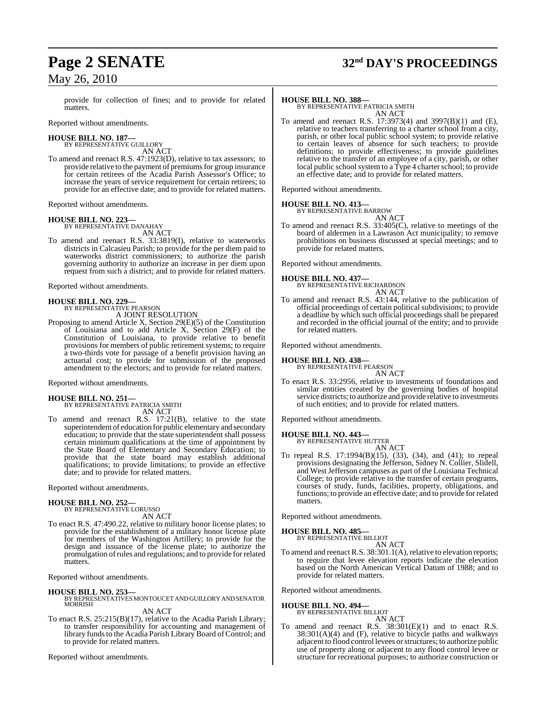# **Page 2 SENATE 32nd DAY'S PROCEEDINGS**

provide for collection of fines; and to provide for related matters.

Reported without amendments.

#### **HOUSE BILL NO. 187—** BY REPRESENTATIVE GUILLORY

AN ACT

To amend and reenact R.S. 47:1923(D), relative to tax assessors; to provide relative to the payment of premiums for group insurance for certain retirees of the Acadia Parish Assessor's Office; to increase the years of service requirement for certain retirees; to provide for an effective date; and to provide for related matters.

Reported without amendments.

## **HOUSE BILL NO. 223—** BY REPRESENTATIVE DANAHAY

AN ACT

To amend and reenact R.S. 33:3819(I), relative to waterworks districts in Calcasieu Parish; to provide for the per diem paid to waterworks district commissioners; to authorize the parish governing authority to authorize an increase in per diem upon request from such a district; and to provide for related matters.

Reported without amendments.

#### **HOUSE BILL NO. 229—**

BY REPRESENTATIVE PEARSON A JOINT RESOLUTION

Proposing to amend Article X, Section 29(E)(5) of the Constitution of Louisiana and to add Article X, Section 29(F) of the Constitution of Louisiana, to provide relative to benefit provisions for members of public retirement systems; to require a two-thirds vote for passage of a benefit provision having an actuarial cost; to provide for submission of the proposed amendment to the electors; and to provide for related matters.

Reported without amendments.

**HOUSE BILL NO. 251—** BY REPRESENTATIVE PATRICIA SMITH AN ACT

To amend and reenact R.S. 17:21(B), relative to the state superintendent of education for public elementary and secondary education; to provide that the state superintendent shall possess certain minimum qualifications at the time of appointment by the State Board of Elementary and Secondary Education; to provide that the state board may establish additional qualifications; to provide limitations; to provide an effective date; and to provide for related matters.

Reported without amendments.

#### **HOUSE BILL NO. 252—**

BY REPRESENTATIVE LORUSSO AN ACT

To enact R.S. 47:490.22, relative to military honor license plates; to provide for the establishment of a military honor license plate for members of the Washington Artillery; to provide for the design and issuance of the license plate; to authorize the promulgation ofrules and regulations; and to provide for related matters.

Reported without amendments.

#### **HOUSE BILL NO. 253—**

BY REPRESENTATIVES MONTOUCET AND GUILLORY AND SENATOR **MORRISH** 

AN ACT

To enact R.S. 25:215(B)(17), relative to the Acadia Parish Library; to transfer responsibility for accounting and management of library funds to the Acadia Parish Library Board of Control; and to provide for related matters.

Reported without amendments.

**HOUSE BILL NO. 388—** BY REPRESENTATIVE PATRICIA SMITH AN ACT

To amend and reenact R.S. 17:3973(4) and 3997(B)(1) and (E), relative to teachers transferring to a charter school from a city, parish, or other local public school system; to provide relative to certain leaves of absence for such teachers; to provide definitions; to provide effectiveness; to provide guidelines relative to the transfer of an employee of a city, parish, or other local public school system to a  $\dot{T}$ ype 4 charter school; to provide an effective date; and to provide for related matters.

Reported without amendments.

#### **HOUSE BILL NO. 413—** BY REPRESENTATIVE BARROW

AN ACT

To amend and reenact R.S. 33:405(C), relative to meetings of the board of aldermen in a Lawrason Act municipality; to remove prohibitions on business discussed at special meetings; and to provide for related matters.

Reported without amendments.

**HOUSE BILL NO. 437—** BY REPRESENTATIVE RICHARDSON AN ACT

To amend and reenact R.S. 43:144, relative to the publication of official proceedings of certain political subdivisions; to provide a deadline by which such official proceedings shall be prepared and recorded in the official journal of the entity; and to provide for related matters.

Reported without amendments.

#### **HOUSE BILL NO. 438—**

BY REPRESENTATIVE PEARSON AN ACT

To enact R.S. 33:2956, relative to investments of foundations and similar entities created by the governing bodies of hospital service districts; to authorize and provide relative to investments of such entities; and to provide for related matters.

Reported without amendments.

#### **HOUSE BILL NO. 443—**

BY REPRESENTATIVE HUTTER AN ACT

To repeal R.S. 17:1994(B)(15), (33), (34), and (41); to repeal provisions designating the Jefferson, Sidney N. Collier, Slidell, and West Jefferson campuses as part of the Louisiana Technical College; to provide relative to the transfer of certain programs, courses of study, funds, facilities, property, obligations, and functions; to provide an effective date; and to provide forrelated matters.

Reported without amendments.

**HOUSE BILL NO. 485—**

BY REPRESENTATIVE BILLIOT

AN ACT To amend and reenact R.S. 38:301.1(A), relative to elevation reports; to require that levee elevation reports indicate the elevation based on the North American Vertical Datum of 1988; and to provide for related matters.

Reported without amendments.

## **HOUSE BILL NO. 494—** BY REPRESENTATIVE BILLIOT

AN ACT

To amend and reenact R.S. 38:301(E)(1) and to enact R.S.  $38:301(A)(4)$  and (F), relative to bicycle paths and walkways adjacent to flood control levees orstructures; to authorize public use of property along or adjacent to any flood control levee or structure for recreational purposes; to authorize construction or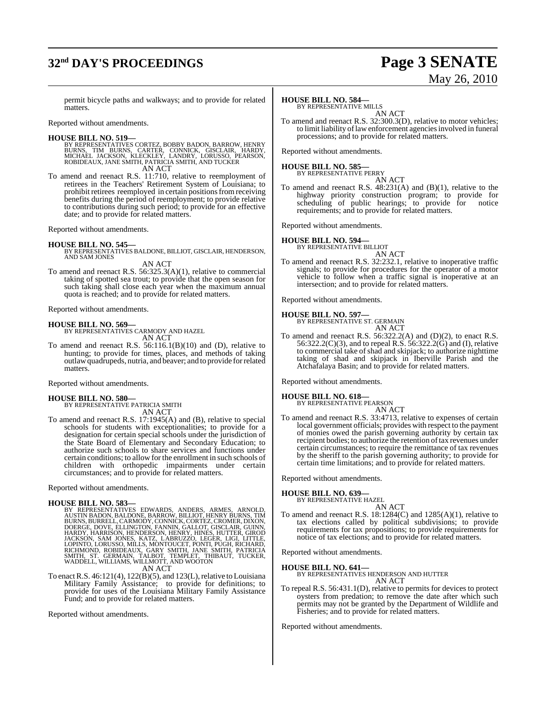# **32nd DAY'S PROCEEDINGS Page 3 SENATE**

# May 26, 2010

permit bicycle paths and walkways; and to provide for related matters.

Reported without amendments.

**HOUSE BILL NO. 519—**<br>BY REPRESENTATIVES CORTEZ, BOBBY BADON, BARROW, HENRY<br>BURNS, TIM BURNS, CARTER, CONNICK, GISCLAIR, HARDY,<br>MICHAEL JACKSON, KLECKLEY, LANDRY, LORUSSO, PEARSON,<br>ROBIDEAUX, JANE SMITH, PATRICIA SMITH, AN AN ACT

To amend and reenact R.S. 11:710, relative to reemployment of retirees in the Teachers' Retirement System of Louisiana; to prohibit retirees reemployed in certain positions from receiving benefits during the period of reemployment; to provide relative to contributions during such period; to provide for an effective date; and to provide for related matters.

Reported without amendments.

#### **HOUSE BILL NO. 545—**

BY REPRESENTATIVES BALDONE, BILLIOT, GISCLAIR, HENDERSON, AND SAM JONES

AN ACT

To amend and reenact R.S. 56:325.3(A)(1), relative to commercial taking of spotted sea trout; to provide that the open season for such taking shall close each year when the maximum annual quota is reached; and to provide for related matters.

Reported without amendments.

**HOUSE BILL NO. 569—** BY REPRESENTATIVES CARMODY AND HAZEL AN ACT

To amend and reenact R.S. 56:116.1(B)(10) and (D), relative to hunting; to provide for times, places, and methods of taking outlawquadrupeds, nutria, and beaver; and to provide for related matters.

Reported without amendments.

**HOUSE BILL NO. 580—** BY REPRESENTATIVE PATRICIA SMITH AN ACT

To amend and reenact R.S. 17:1945(A) and (B), relative to special schools for students with exceptionalities; to provide for a designation for certain special schools under the jurisdiction of the State Board of Elementary and Secondary Education; to authorize such schools to share services and functions under certain conditions; to allow for the enrollment in such schools of children with orthopedic impairments under certain circumstances; and to provide for related matters.

Reported without amendments.

#### **HOUSE BILL NO. 583—**

BY REPRESENTATIVES EDWARDS, ANDERS, ARMES, ARNOLD,<br>AUSTIN BADON, BALDONE, BARROW, BILLIOT, HENRY BURNS, TIM<br>BURNS, BURRELL, CARMODY, CONNICK, CORTEZ, CROMER, DIXON,<br>DOERGE, DOVE, ELLINGTON, FANNIN, GALLOT, GISCLAIR, GUINN, AN ACT

To enact R.S.  $46:121(4)$ ,  $122(B)(5)$ , and  $123(L)$ , relative to Louisiana Military Family Assistance; to provide for definitions; to provide for uses of the Louisiana Military Family Assistance Fund; and to provide for related matters.

Reported without amendments.

## **HOUSE BILL NO. 584—**

BY REPRESENTATIVE MILLS AN ACT

To amend and reenact R.S. 32:300.3(D), relative to motor vehicles; to limit liability of law enforcement agencies involved in funeral processions; and to provide for related matters.

Reported without amendments.

#### **HOUSE BILL NO. 585—**

BY REPRESENTATIVE PERRY AN ACT

To amend and reenact R.S.  $48:231(A)$  and  $(B)(1)$ , relative to the highway priority construction program; to provide for scheduling of public hearings; to provide for notice requirements; and to provide for related matters.

Reported without amendments.

# **HOUSE BILL NO. 594—** BY REPRESENTATIVE BILLIOT

AN ACT To amend and reenact R.S. 32:232.1, relative to inoperative traffic signals; to provide for procedures for the operator of a motor vehicle to follow when a traffic signal is inoperative at an intersection; and to provide for related matters.

Reported without amendments.

#### **HOUSE BILL NO. 597—**

BY REPRESENTATIVE ST. GERMAIN AN ACT

To amend and reenact R.S. 56:322.2(A) and (D)(2), to enact R.S. 56:322.2(C)(3), and to repeal R.S. 56:322.2(G) and (I), relative to commercial take of shad and skipjack; to authorize nighttime taking of shad and skipjack in Iberville Parish and the Atchafalaya Basin; and to provide for related matters.

Reported without amendments.

#### **HOUSE BILL NO. 618—**

BY REPRESENTATIVE PEARSON AN ACT

To amend and reenact R.S. 33:4713, relative to expenses of certain local government officials; provides with respect to the payment of monies owed the parish governing authority by certain tax recipient bodies; to authorize the retention of tax revenues under certain circumstances; to require the remittance of tax revenues by the sheriff to the parish governing authority; to provide for certain time limitations; and to provide for related matters.

Reported without amendments.

#### **HOUSE BILL NO. 639—**

BY REPRESENTATIVE HAZEL AN ACT

To amend and reenact R.S. 18:1284(C) and 1285(A)(1), relative to tax elections called by political subdivisions; to provide requirements for tax propositions; to provide requirements for notice of tax elections; and to provide for related matters.

Reported without amendments.

**HOUSE BILL NO. 641—** BY REPRESENTATIVES HENDERSON AND HUTTER AN ACT

To repeal R.S. 56:431.1(D), relative to permits for devices to protect oysters from predation; to remove the date after which such permits may not be granted by the Department of Wildlife and Fisheries; and to provide for related matters.

Reported without amendments.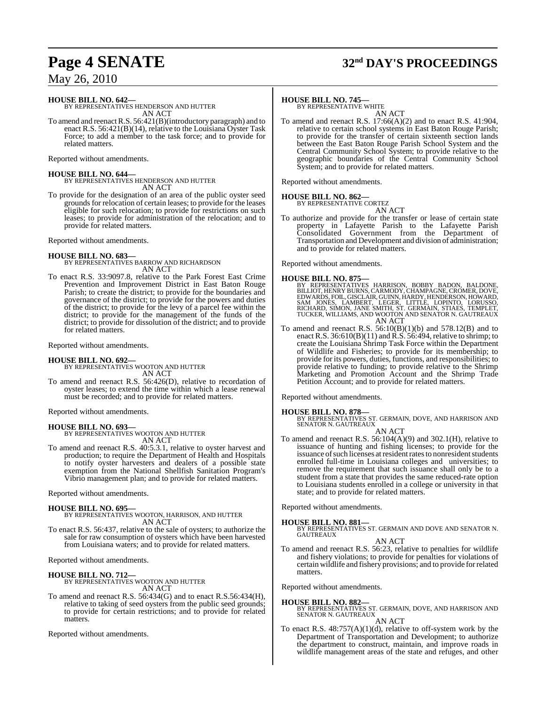# **Page 4 SENATE 32nd DAY'S PROCEEDINGS**

May 26, 2010

#### **HOUSE BILL NO. 642—**

BY REPRESENTATIVES HENDERSON AND HUTTER AN ACT

To amend and reenactR.S. 56:421(B)(introductory paragraph) and to enact R.S.  $56:421(B)(14)$ , relative to the Louisiana Oyster Task Force; to add a member to the task force; and to provide for related matters.

Reported without amendments.

**HOUSE BILL NO. 644—** BY REPRESENTATIVES HENDERSON AND HUTTER AN ACT

To provide for the designation of an area of the public oyster seed grounds for relocation of certain leases; to provide for the leases eligible for such relocation; to provide for restrictions on such leases; to provide for administration of the relocation; and to provide for related matters.

Reported without amendments.

#### **HOUSE BILL NO. 683—**

BY REPRESENTATIVES BARROW AND RICHARDSON AN ACT

To enact R.S. 33:9097.8, relative to the Park Forest East Crime Prevention and Improvement District in East Baton Rouge Parish; to create the district; to provide for the boundaries and governance of the district; to provide for the powers and duties of the district; to provide for the levy of a parcel fee within the district; to provide for the management of the funds of the district; to provide for dissolution of the district; and to provide for related matters.

Reported without amendments.

**HOUSE BILL NO. 692—** BY REPRESENTATIVES WOOTON AND HUTTER AN ACT

To amend and reenact R.S. 56:426(D), relative to recordation of oyster leases; to extend the time within which a lease renewal must be recorded; and to provide for related matters.

Reported without amendments.

#### **HOUSE BILL NO. 693—**

BY REPRESENTATIVES WOOTON AND HUTTER AN ACT

To amend and reenact R.S. 40:5.3.1, relative to oyster harvest and production; to require the Department of Health and Hospitals to notify oyster harvesters and dealers of a possible state exemption from the National Shellfish Sanitation Program's Vibrio management plan; and to provide for related matters.

Reported without amendments.

**HOUSE BILL NO. 695—** BY REPRESENTATIVES WOOTON, HARRISON, AND HUTTER AN ACT

To enact R.S. 56:437, relative to the sale of oysters; to authorize the sale for raw consumption of oysters which have been harvested from Louisiana waters; and to provide for related matters.

Reported without amendments.

#### **HOUSE BILL NO. 712—**

BY REPRESENTATIVES WOOTON AND HUTTER AN ACT

To amend and reenact R.S. 56:434(G) and to enact R.S.56:434(H), relative to taking of seed oysters from the public seed grounds; to provide for certain restrictions; and to provide for related matters.

Reported without amendments.

#### **HOUSE BILL NO. 745—**

BY REPRESENTATIVE WHITE

AN ACT To amend and reenact R.S. 17:66(A)(2) and to enact R.S. 41:904, relative to certain school systems in East Baton Rouge Parish; to provide for the transfer of certain sixteenth section lands between the East Baton Rouge Parish School System and the Central Community School System; to provide relative to the geographic boundaries of the Central Community School System; and to provide for related matters.

Reported without amendments.

#### **HOUSE BILL NO. 862—**

BY REPRESENTATIVE CORTEZ

- AN ACT
- To authorize and provide for the transfer or lease of certain state property in Lafayette Parish to the Lafayette Parish Consolidated Government from the Department of Transportation and Development and division of administration; and to provide for related matters.

Reported without amendments.

#### **HOUSE BILL NO. 875—**

BY REPRESENTATIVES HARRISON, BOBBY BADON, BALDONE,<br>BILLIOT,HENRYBURNS,CARMODY,CHAMPAGNE,CROMER,DOVE,<br>EDWARDS,FOIL,GISCLAIR,GUINN,HARDY,HENDERSON,HOWARD,<br>SAM JONES, LAMBERT, LEGER, LITTLE, LOPINTO, LORUSSO,<br>RICHARD,SIMON,JA AN ACT

To amend and reenact R.S.  $56:10(B)(1)(b)$  and  $578.12(B)$  and to enact R.S. 36:610(B)(11) and R.S. 56:494, relative to shrimp; to create the Louisiana Shrimp Task Force within the Department of Wildlife and Fisheries; to provide for its membership; to provide for its powers, duties, functions, and responsibilities; to provide relative to funding; to provide relative to the Shrimp Marketing and Promotion Account and the Shrimp Trade Petition Account; and to provide for related matters.

Reported without amendments.

**HOUSE BILL NO. 878—** BY REPRESENTATIVES ST. GERMAIN, DOVE, AND HARRISON AND SENATOR N. GAUTREAUX AN ACT

To amend and reenact R.S. 56:104(A)(9) and 302.1(H), relative to issuance of hunting and fishing licenses; to provide for the issuance of such licenses at resident rates to nonresident students enrolled full-time in Louisiana colleges and universities; to remove the requirement that such issuance shall only be to a student from a state that provides the same reduced-rate option to Louisiana students enrolled in a college or university in that state; and to provide for related matters.

Reported without amendments.

#### **HOUSE BILL NO. 881—**

BY REPRESENTATIVES ST. GERMAIN AND DOVE AND SENATOR N. GAUTREAUX

AN ACT

To amend and reenact R.S. 56:23, relative to penalties for wildlife and fishery violations; to provide for penalties for violations of certain wildlife and fishery provisions; and to provide forrelated matters.

Reported without amendments.

**HOUSE BILL NO. 882—** BY REPRESENTATIVES ST. GERMAIN, DOVE, AND HARRISON AND SENATOR N. GAUTREAUX

AN ACT

To enact R.S.  $48:757(A)(1)(d)$ , relative to off-system work by the Department of Transportation and Development; to authorize the department to construct, maintain, and improve roads in wildlife management areas of the state and refuges, and other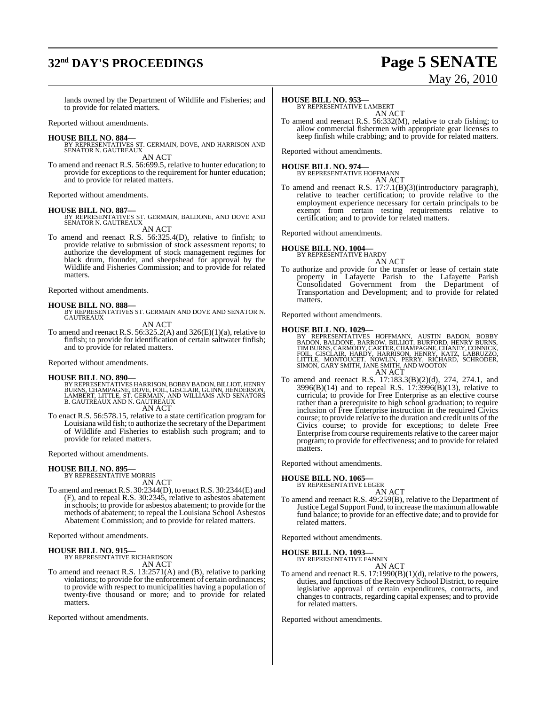# **32nd DAY'S PROCEEDINGS Page 5 SENATE**

# May 26, 2010

lands owned by the Department of Wildlife and Fisheries; and to provide for related matters.

Reported without amendments.

#### **HOUSE BILL NO. 884—**

BY REPRESENTATIVES ST. GERMAIN, DOVE, AND HARRISON AND SENATOR N. GAUTREAUX

AN ACT

To amend and reenact R.S. 56:699.5, relative to hunter education; to provide for exceptions to the requirement for hunter education; and to provide for related matters.

Reported without amendments.

**HOUSE BILL NO. 887—** BY REPRESENTATIVES ST. GERMAIN, BALDONE, AND DOVE AND SENATOR N. GAUTREAUX AN ACT

To amend and reenact R.S. 56:325.4(D), relative to finfish; to provide relative to submission of stock assessment reports; to authorize the development of stock management regimes for black drum, flounder, and sheepshead for approval by the Wildlife and Fisheries Commission; and to provide for related matters.

Reported without amendments.

#### **HOUSE BILL NO. 888—**

BY REPRESENTATIVES ST. GERMAIN AND DOVE AND SENATOR N. GAUTREAUX

AN ACT

To amend and reenact R.S. 56:325.2(A) and 326(E)(1)(a), relative to finfish; to provide for identification of certain saltwater finfish; and to provide for related matters.

Reported without amendments.

#### **HOUSE BILL NO. 890—**

BY REPRESENTATIVES HARRISON, BOBBY BADON, BILLIOT, HENRY<br>BURNS, CHAMPAGNE, DOVE, FOIL, GISCLAIR, GUINN, HENDERSON,<br>LAMBERT, LITTLE, ST. GERMAIN, AND WILLIAMS AND SENATORS<br>B. GAUTREAUX AND N. GAUTREAUX

AN ACT

To enact R.S. 56:578.15, relative to a state certification program for Louisiana wild fish; to authorize the secretary of the Department of Wildlife and Fisheries to establish such program; and to provide for related matters.

Reported without amendments.

#### **HOUSE BILL NO. 895—** BY REPRESENTATIVE MORRIS

AN ACT

To amend and reenactR.S. 30:2344(D), to enactR.S. 30:2344(E) and (F), and to repeal R.S. 30:2345, relative to asbestos abatement in schools; to provide for asbestos abatement; to provide for the methods of abatement; to repeal the Louisiana School Asbestos Abatement Commission; and to provide for related matters.

Reported without amendments.

#### **HOUSE BILL NO. 915—**

BY REPRESENTATIVE RICHARDSON AN ACT

To amend and reenact R.S. 13:2571(A) and (B), relative to parking violations; to provide for the enforcement of certain ordinances; to provide with respect to municipalities having a population of twenty-five thousand or more; and to provide for related matters.

Reported without amendments.

### **HOUSE BILL NO. 953—**

BY REPRESENTATIVE LAMBERT AN ACT

To amend and reenact R.S. 56:332(M), relative to crab fishing; to allow commercial fishermen with appropriate gear licenses to keep finfish while crabbing; and to provide for related matters.

Reported without amendments.

**HOUSE BILL NO. 974—**

BY REPRESENTATIVE HOFFMANN AN ACT

To amend and reenact R.S. 17:7.1(B)(3)(introductory paragraph), relative to teacher certification; to provide relative to the employment experience necessary for certain principals to be exempt from certain testing requirements relative to certification; and to provide for related matters.

Reported without amendments.

#### **HOUSE BILL NO. 1004—**

BY REPRESENTATIVE HARDY AN ACT

To authorize and provide for the transfer or lease of certain state property in Lafayette Parish to the Lafayette Parish Consolidated Government from the Department of Transportation and Development; and to provide for related matters.

Reported without amendments.

- **HOUSE BILL NO. 1029—**<br>BY REPRESENTATIVES HOFFMANN, AUSTIN BADON, BOBBY<br>BADON, BALDONE, BARROW, BILLIOT, BURFORD, HENRY BURNS,<br>TIMBURNS,CARMODY,CARTER,CHAMPAGNE,CHANEY,CONNICK, FOIL, GISCLAIR, HARDY, HARRISON, HENRY, KATZ, LABRUZZO,<br>LITTLE, MONTOUCET, NOWLIN, PERRY, RICHARD, SCHRODER,<br>SIMON,GARY SMITH,JANE SMITH,AND WOOTON AN ACT
- To amend and reenact R.S. 17:183.3(B)(2)(d), 274, 274.1, and 3996(B)(14) and to repeal R.S. 17:3996(B)(13), relative to curricula; to provide for Free Enterprise as an elective course rather than a prerequisite to high school graduation; to require inclusion of Free Enterprise instruction in the required Civics course; to provide relative to the duration and credit units of the Civics course; to provide for exceptions; to delete Free Enterprise from course requirements relative to the career major program; to provide for effectiveness; and to provide for related matters.

Reported without amendments.

#### **HOUSE BILL NO. 1065—**

BY REPRESENTATIVE LEGER AN ACT

To amend and reenact R.S. 49:259(B), relative to the Department of Justice Legal Support Fund, to increase the maximumallowable fund balance; to provide for an effective date; and to provide for related matters.

Reported without amendments.

#### **HOUSE BILL NO. 1093—**

BY REPRESENTATIVE FANNIN AN ACT

To amend and reenact R.S. 17:1990(B)(1)(d), relative to the powers, duties, and functions of the Recovery School District, to require legislative approval of certain expenditures, contracts, and changesto contracts, regarding capital expenses; and to provide for related matters.

Reported without amendments.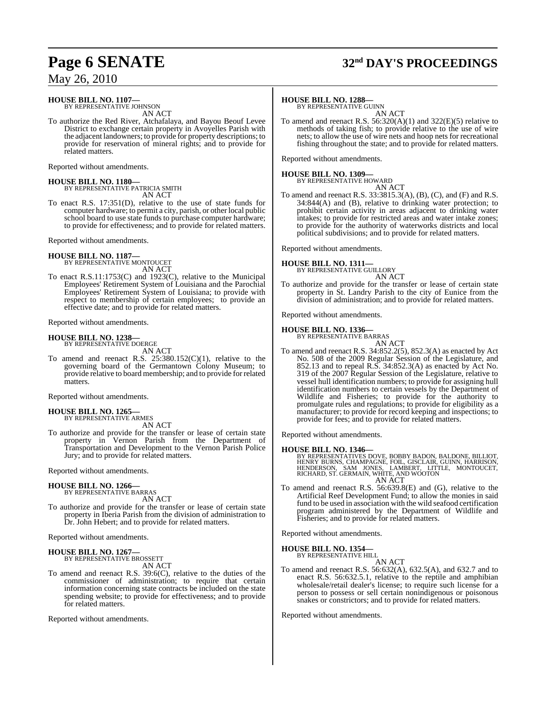# **Page 6 SENATE 32nd DAY'S PROCEEDINGS**

## May 26, 2010

## **HOUSE BILL NO. 1107—**

BY REPRESENTATIVE JOHNSON AN ACT

To authorize the Red River, Atchafalaya, and Bayou Beouf Levee District to exchange certain property in Avoyelles Parish with the adjacent landowners; to provide for property descriptions; to provide for reservation of mineral rights; and to provide for related matters.

Reported without amendments.

**HOUSE BILL NO. 1180—** BY REPRESENTATIVE PATRICIA SMITH AN ACT

To enact R.S. 17:351(D), relative to the use of state funds for computer hardware; to permit a city, parish, or other local public school board to use state funds to purchase computer hardware; to provide for effectiveness; and to provide for related matters.

Reported without amendments.

#### **HOUSE BILL NO. 1187—**

BY REPRESENTATIVE MONTOUCET AN ACT

To enact R.S.11:1753(C) and 1923(C), relative to the Municipal Employees' Retirement System of Louisiana and the Parochial Employees' Retirement System of Louisiana; to provide with respect to membership of certain employees; to provide an effective date; and to provide for related matters.

Reported without amendments.

## **HOUSE BILL NO. 1238—**

BY REPRESENTATIVE DOERGE AN ACT

To amend and reenact R.S.  $25:380.152(C)(1)$ , relative to the governing board of the Germantown Colony Museum; to provide relative to board membership; and to provide for related matters.

Reported without amendments.

#### **HOUSE BILL NO. 1265—** BY REPRESENTATIVE ARMES

AN ACT

To authorize and provide for the transfer or lease of certain state property in Vernon Parish from the Department of Transportation and Development to the Vernon Parish Police Jury; and to provide for related matters.

Reported without amendments.

## **HOUSE BILL NO. 1266—**

BY REPRESENTATIVE BARRAS

AN ACT To authorize and provide for the transfer or lease of certain state property in Iberia Parish from the division of administration to Dr. John Hebert; and to provide for related matters.

Reported without amendments.

#### **HOUSE BILL NO. 1267—** BY REPRESENTATIVE BROSSETT

AN ACT

To amend and reenact R.S. 39:6(C), relative to the duties of the commissioner of administration; to require that certain information concerning state contracts be included on the state spending website; to provide for effectiveness; and to provide for related matters.

Reported without amendments.

#### **HOUSE BILL NO. 1288—**

BY REPRESENTATIVE GUINN AN ACT

To amend and reenact R.S. 56:320(A)(1) and 322(E)(5) relative to methods of taking fish; to provide relative to the use of wire nets; to allow the use of wire nets and hoop nets for recreational fishing throughout the state; and to provide for related matters.

Reported without amendments.

## **HOUSE BILL NO. 1309—** BY REPRESENTATIVE HOWARD

AN ACT

To amend and reenact R.S. 33:3815.3(A), (B), (C), and (F) and R.S. 34:844(A) and (B), relative to drinking water protection; to prohibit certain activity in areas adjacent to drinking water intakes; to provide for restricted areas and water intake zones; to provide for the authority of waterworks districts and local political subdivisions; and to provide for related matters.

Reported without amendments.

#### **HOUSE BILL NO. 1311—**

BY REPRESENTATIVE GUILLORY AN ACT

To authorize and provide for the transfer or lease of certain state property in St. Landry Parish to the city of Eunice from the division of administration; and to provide for related matters.

Reported without amendments.

## **HOUSE BILL NO. 1336—** BY REPRESENTATIVE BARRAS

AN ACT

To amend and reenact R.S. 34:852.2(5), 852.3(A) as enacted by Act No. 508 of the 2009 Regular Session of the Legislature, and 852.13 and to repeal R.S. 34:852.3(A) as enacted by Act No. 319 of the 2007 Regular Session of the Legislature, relative to vessel hull identification numbers; to provide for assigning hull identification numbers to certain vessels by the Department of Wildlife and Fisheries; to provide for the authority to promulgate rules and regulations; to provide for eligibility as a manufacturer; to provide for record keeping and inspections; to provide for fees; and to provide for related matters.

Reported without amendments.

#### **HOUSE BILL NO. 1346—**

BY REPRESENTATIVES DOVE, BOBBY BADON, BALDONE, BILLIOT,<br>HENRY BURNS, CHAMPAGNE, FOIL, GISCLAIR, GUINN, HARRISON,<br>HENDERSON, SAM JONES, LAMBERT, LITTLE, MONTOUCET,<br>RICHARD, ST. GERMAIN, WHITE, AND WOOTON AN ACT

To amend and reenact R.S. 56:639.8(E) and (G), relative to the Artificial Reef Development Fund; to allow the monies in said fund to be used in association with the wild seafood certification program administered by the Department of Wildlife and Fisheries; and to provide for related matters.

Reported without amendments.

## **HOUSE BILL NO. 1354—** BY REPRESENTATIVE HILL

AN ACT

To amend and reenact R.S. 56:632(A), 632.5(A), and 632.7 and to enact R.S. 56:632.5.1, relative to the reptile and amphibian wholesale/retail dealer's license; to require such license for a person to possess or sell certain nonindigenous or poisonous snakes or constrictors; and to provide for related matters.

Reported without amendments.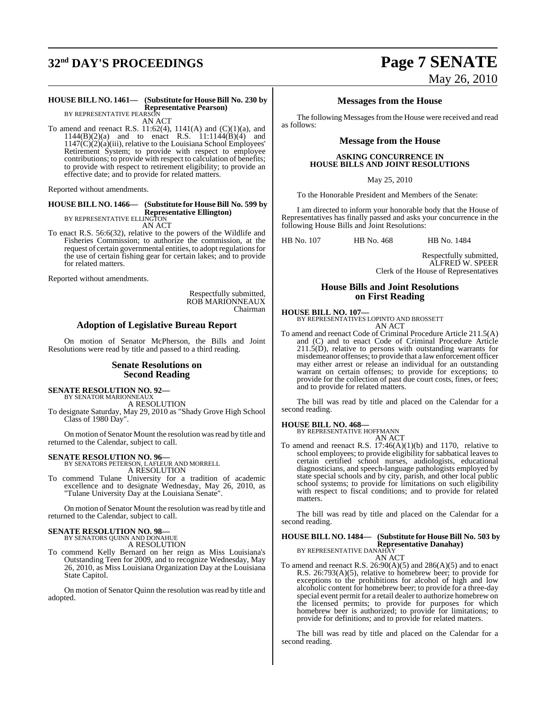# **32nd DAY'S PROCEEDINGS Page 7 SENATE**

# May 26, 2010

#### **HOUSE BILL NO. 1461— (Substitute for HouseBill No. 230 by Representative Pearson)** BY REPRESENTATIVE PEARSON

AN ACT

To amend and reenact R.S.  $11:62(4)$ ,  $1141(A)$  and  $(C)(1)(a)$ , and  $1144(B)(2)(a)$  and to enact R.S.  $11:1144(B)(4)$  and  $1147(C)(2)(a)(iii)$ , relative to the Louisiana School Employees' Retirement System; to provide with respect to employee contributions; to provide with respect to calculation of benefits; to provide with respect to retirement eligibility; to provide an effective date; and to provide for related matters.

Reported without amendments.

#### **HOUSE BILL NO. 1466— (Substitute for HouseBill No. 599 by Representative Ellington)** BY REPRESENTATIVE ELLINGTON

AN ACT

To enact R.S. 56:6(32), relative to the powers of the Wildlife and Fisheries Commission; to authorize the commission, at the request of certain governmental entities, to adopt regulations for the use of certain fishing gear for certain lakes; and to provide for related matters.

Reported without amendments.

Respectfully submitted, ROB MARIONNEAUX Chairman

## **Adoption of Legislative Bureau Report**

On motion of Senator McPherson, the Bills and Joint Resolutions were read by title and passed to a third reading.

#### **Senate Resolutions on Second Reading**

## **SENATE RESOLUTION NO. 92—** BY SENATOR MARIONNEAUX

A RESOLUTION

To designate Saturday, May 29, 2010 as "Shady Grove High School Class of 1980 Day".

On motion of Senator Mount the resolution wasread by title and returned to the Calendar, subject to call.

**SENATE RESOLUTION NO. 96—** BY SENATORS PETERSON, LAFLEUR AND MORRELL

A RESOLUTION

To commend Tulane University for a tradition of academic excellence and to designate Wednesday, May 26, 2010, as "Tulane University Day at the Louisiana Senate".

On motion of Senator Mount the resolution was read by title and returned to the Calendar, subject to call.

# **SENATE RESOLUTION NO. 98—** BY SENATORS QUINN AND DONAHUE

A RESOLUTION

To commend Kelly Bernard on her reign as Miss Louisiana's Outstanding Teen for 2009, and to recognize Wednesday, May 26, 2010, as Miss Louisiana Organization Day at the Louisiana State Capitol.

On motion of Senator Quinn the resolution wasread by title and adopted.

#### **Messages from the House**

The following Messages from the House were received and read as follows:

#### **Message from the House**

#### **ASKING CONCURRENCE IN HOUSE BILLS AND JOINT RESOLUTIONS**

May 25, 2010

To the Honorable President and Members of the Senate:

I am directed to inform your honorable body that the House of Representatives has finally passed and asks your concurrence in the following House Bills and Joint Resolutions:

HB No. 107 HB No. 468 HB No. 1484

Respectfully submitted, ALFRED W. SPEER Clerk of the House of Representatives

## **House Bills and Joint Resolutions on First Reading**

**HOUSE BILL NO. 107—**

BY REPRESENTATIVES LOPINTO AND BROSSETT

- AN ACT
- To amend and reenact Code of Criminal Procedure Article 211.5(A) and (C) and to enact Code of Criminal Procedure Article 211.5(D), relative to persons with outstanding warrants for misdemeanor offenses; to provide that a lawenforcement officer may either arrest or release an individual for an outstanding warrant on certain offenses; to provide for exceptions; to provide for the collection of past due court costs, fines, or fees; and to provide for related matters.

The bill was read by title and placed on the Calendar for a second reading.

#### **HOUSE BILL NO. 468—**

BY REPRESENTATIVE HOFFMANN

AN ACT To amend and reenact R.S. 17:46(A)(1)(b) and 1170, relative to school employees; to provide eligibility for sabbatical leaves to certain certified school nurses, audiologists, educational diagnosticians, and speech-language pathologists employed by state special schools and by city, parish, and other local public school systems; to provide for limitations on such eligibility with respect to fiscal conditions; and to provide for related matters.

The bill was read by title and placed on the Calendar for a second reading.

#### **HOUSE BILL NO. 1484— (Substitute for HouseBill No. 503 by Representative Danahay)** BY REPRESENTATIVE DANAHAY

AN ACT

To amend and reenact R.S.  $26:90(A)(5)$  and  $286(A)(5)$  and to enact R.S. 26:793(A)(5), relative to homebrew beer; to provide for exceptions to the prohibitions for alcohol of high and low alcoholic content for homebrew beer; to provide for a three-day special event permit for a retail dealer to authorize homebrew on the licensed permits; to provide for purposes for which homebrew beer is authorized; to provide for limitations; to provide for definitions; and to provide for related matters.

The bill was read by title and placed on the Calendar for a second reading.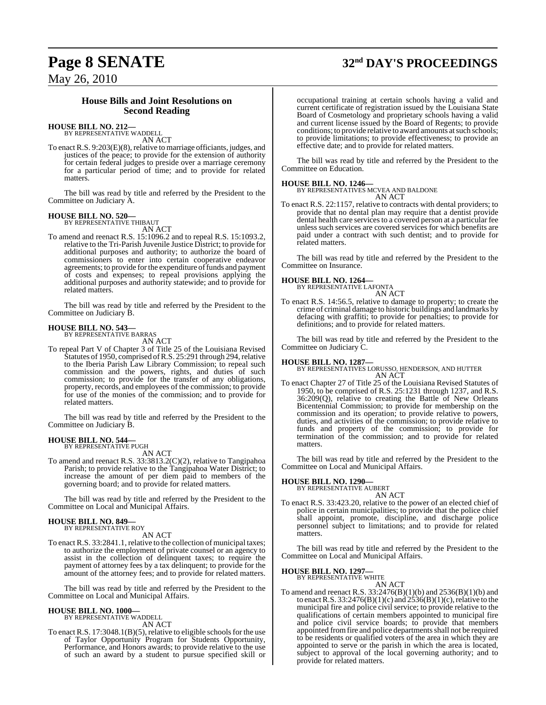# **Page 8 SENATE 32nd DAY'S PROCEEDINGS**

May 26, 2010

## **House Bills and Joint Resolutions on Second Reading**

## **HOUSE BILL NO. 212—** BY REPRESENTATIVE WADDELL

AN ACT

To enact R.S. 9:203(E)(8), relative to marriage officiants, judges, and justices of the peace; to provide for the extension of authority for certain federal judges to preside over a marriage ceremony for a particular period of time; and to provide for related matters.

The bill was read by title and referred by the President to the Committee on Judiciary A.

## **HOUSE BILL NO. 520—** BY REPRESENTATIVE THIBAUT

AN ACT

To amend and reenact R.S. 15:1096.2 and to repeal R.S. 15:1093.2, relative to the Tri-Parish Juvenile Justice District; to provide for additional purposes and authority; to authorize the board of commissioners to enter into certain cooperative endeavor agreements; to provide for the expenditure of funds and payment of costs and expenses; to repeal provisions applying the additional purposes and authority statewide; and to provide for related matters.

The bill was read by title and referred by the President to the Committee on Judiciary B.

## **HOUSE BILL NO. 543—** BY REPRESENTATIVE BARRAS

AN ACT

To repeal Part V of Chapter 3 of Title 25 of the Louisiana Revised Statutes of 1950, comprised of R.S. 25:291 through 294, relative to the Iberia Parish Law Library Commission; to repeal such commission and the powers, rights, and duties of such commission; to provide for the transfer of any obligations, property, records, and employees of the commission; to provide for use of the monies of the commission; and to provide for related matters.

The bill was read by title and referred by the President to the Committee on Judiciary B.

# **HOUSE BILL NO. 544—** BY REPRESENTATIVE PUGH

AN ACT

To amend and reenact R.S. 33:3813.2(C)(2), relative to Tangipahoa Parish; to provide relative to the Tangipahoa Water District; to increase the amount of per diem paid to members of the governing board; and to provide for related matters.

The bill was read by title and referred by the President to the Committee on Local and Municipal Affairs.

# **HOUSE BILL NO. 849—** BY REPRESENTATIVE ROY

AN ACT

To enact R.S. 33:2841.1, relative to the collection of municipal taxes; to authorize the employment of private counsel or an agency to assist in the collection of delinquent taxes; to require the payment of attorney fees by a tax delinquent; to provide for the amount of the attorney fees; and to provide for related matters.

The bill was read by title and referred by the President to the Committee on Local and Municipal Affairs.

#### **HOUSE BILL NO. 1000—**

BY REPRESENTATIVE WADDELL AN ACT

To enact R.S.  $17:3048.1(B)(5)$ , relative to eligible schools for the use of Taylor Opportunity Program for Students Opportunity, Performance, and Honors awards; to provide relative to the use of such an award by a student to pursue specified skill or

occupational training at certain schools having a valid and current certificate of registration issued by the Louisiana State Board of Cosmetology and proprietary schools having a valid and current license issued by the Board of Regents; to provide conditions; to provide relative to award amounts atsuch schools; to provide limitations; to provide effectiveness; to provide an effective date; and to provide for related matters.

The bill was read by title and referred by the President to the Committee on Education.

**HOUSE BILL NO. 1246—** BY REPRESENTATIVES MCVEA AND BALDONE AN ACT

To enact R.S. 22:1157, relative to contracts with dental providers; to provide that no dental plan may require that a dentist provide dental health care services to a covered person at a particular fee unless such services are covered services for which benefits are paid under a contract with such dentist; and to provide for related matters.

The bill was read by title and referred by the President to the Committee on Insurance.

**HOUSE BILL NO. 1264—** BY REPRESENTATIVE LAFONTA

AN ACT

To enact R.S. 14:56.5, relative to damage to property; to create the crime of criminal damage to historic buildings and landmarks by defacing with graffiti; to provide for penalties; to provide for definitions; and to provide for related matters.

The bill was read by title and referred by the President to the Committee on Judiciary C.

**HOUSE BILL NO. 1287—** BY REPRESENTATIVES LORUSSO, HENDERSON, AND HUTTER AN ACT

To enact Chapter 27 of Title 25 of the Louisiana Revised Statutes of 1950, to be comprised of R.S. 25:1231 through 1237, and R.S. 36:209(Q), relative to creating the Battle of New Orleans Bicentennial Commission; to provide for membership on the commission and its operation; to provide relative to powers, duties, and activities of the commission; to provide relative to funds and property of the commission; to provide for termination of the commission; and to provide for related matters.

The bill was read by title and referred by the President to the Committee on Local and Municipal Affairs.

## **HOUSE BILL NO. 1290—**

BY REPRESENTATIVE AUBERT AN ACT

To enact R.S. 33:423.20, relative to the power of an elected chief of police in certain municipalities; to provide that the police chief shall appoint, promote, discipline, and discharge police personnel subject to limitations; and to provide for related matters.

The bill was read by title and referred by the President to the Committee on Local and Municipal Affairs.

#### **HOUSE BILL NO. 1297—**

BY REPRESENTATIVE WHITE AN ACT

To amend and reenact R.S. 33:2476(B)(1)(b) and 2536(B)(1)(b) and to enact R.S.  $33:2476(B)(1)(c)$  and  $2536(B)(1)(c)$ , relative to the municipal fire and police civil service; to provide relative to the qualifications of certain members appointed to municipal fire and police civil service boards; to provide that members appointed from fire and police departments shall not be required to be residents or qualified voters of the area in which they are appointed to serve or the parish in which the area is located, subject to approval of the local governing authority; and to provide for related matters.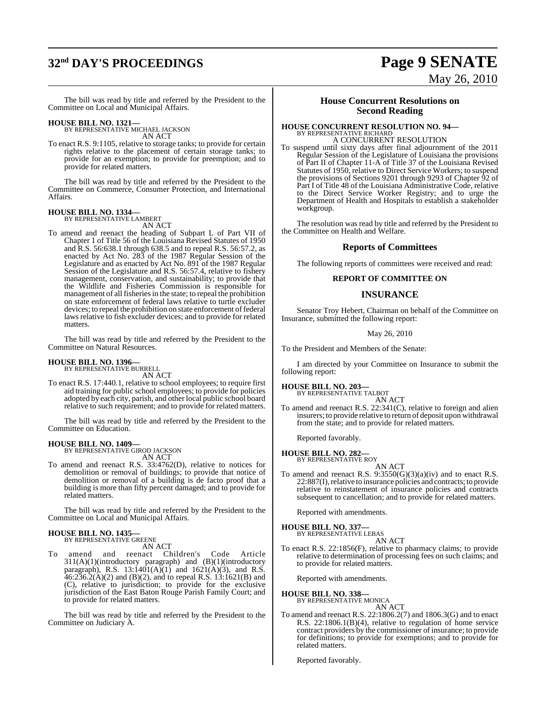# **32nd DAY'S PROCEEDINGS Page 9 SENATE**

# May 26, 2010

The bill was read by title and referred by the President to the Committee on Local and Municipal Affairs.

**HOUSE BILL NO. 1321—** BY REPRESENTATIVE MICHAEL JACKSON AN ACT

To enact R.S. 9:1105, relative to storage tanks; to provide for certain rights relative to the placement of certain storage tanks; to provide for an exemption; to provide for preemption; and to provide for related matters.

The bill was read by title and referred by the President to the Committee on Commerce, Consumer Protection, and International Affairs.

#### **HOUSE BILL NO. 1334—**

BY REPRESENTATIVE LAMBERT AN ACT

To amend and reenact the heading of Subpart L of Part VII of Chapter 1 of Title 56 of the Louisiana Revised Statutes of 1950 and R.S. 56:638.1 through 638.5 and to repeal R.S. 56:57.2, as enacted by Act No. 283 of the 1987 Regular Session of the Legislature and as enacted by Act No. 891 of the 1987 Regular Session of the Legislature and R.S. 56:57.4, relative to fishery management, conservation, and sustainability; to provide that the Wildlife and Fisheries Commission is responsible for management of all fisheries in the state; to repeal the prohibition on state enforcement of federal laws relative to turtle excluder devices; to repeal the prohibition on state enforcement of federal laws relative to fish excluder devices; and to provide for related matters.

The bill was read by title and referred by the President to the Committee on Natural Resources.

## **HOUSE BILL NO. 1396—** BY REPRESENTATIVE BURRELL

AN ACT

To enact R.S. 17:440.1, relative to school employees; to require first aid training for public school employees; to provide for policies adopted by each city, parish, and other local public school board relative to such requirement; and to provide for related matters.

The bill was read by title and referred by the President to the Committee on Education.

#### **HOUSE BILL NO. 1409—**

BY REPRESENTATIVE GIROD JACKSON AN ACT

To amend and reenact R.S. 33:4762(D), relative to notices for demolition or removal of buildings; to provide that notice of demolition or removal of a building is de facto proof that a building is more than fifty percent damaged; and to provide for related matters.

The bill was read by title and referred by the President to the Committee on Local and Municipal Affairs.

#### **HOUSE BILL NO. 1435—** BY REPRESENTATIVE GREENE

AN ACT

To amend and reenact Children's Code Article 311(A)(1)(introductory paragraph) and (B)(1)(introductory paragraph), R.S.  $13:1401(A)(1)$  and  $1621(A)(3)$ , and R.S.  $46:236.2(A)(2)$  and (B)(2), and to repeal R.S. 13:1621(B) and (C), relative to jurisdiction; to provide for the exclusive jurisdiction of the East Baton Rouge Parish Family Court; and to provide for related matters.

The bill was read by title and referred by the President to the Committee on Judiciary A.

#### **House Concurrent Resolutions on Second Reading**

## **HOUSE CONCURRENT RESOLUTION NO. 94—** BY REPRESENTATIVE RICHARD A CONCURRENT RESOLUTION

To suspend until sixty days after final adjournment of the 2011 Regular Session of the Legislature of Louisiana the provisions of Part II of Chapter 11-A of Title 37 of the Louisiana Revised Statutes of 1950, relative to Direct Service Workers; to suspend the provisions of Sections 9201 through 9293 of Chapter 92 of Part I of Title 48 of the Louisiana Administrative Code, relative to the Direct Service Worker Registry; and to urge the Department of Health and Hospitals to establish a stakeholder workgroup.

The resolution was read by title and referred by the President to the Committee on Health and Welfare.

#### **Reports of Committees**

The following reports of committees were received and read:

#### **REPORT OF COMMITTEE ON**

#### **INSURANCE**

Senator Troy Hebert, Chairman on behalf of the Committee on Insurance, submitted the following report:

#### May 26, 2010

To the President and Members of the Senate:

I am directed by your Committee on Insurance to submit the following report:

**HOUSE BILL NO. 203—** BY REPRESENTATIVE TALBOT

AN ACT

To amend and reenact R.S. 22:341(C), relative to foreign and alien insurers; to provide relative to return of deposit upon withdrawal from the state; and to provide for related matters.

Reported favorably.

#### **HOUSE BILL NO. 282—**

BY REPRESENTATIVE ROY AN ACT

To amend and reenact R.S.  $9:3550(G)(3)(a)(iv)$  and to enact R.S. 22:887(I), relative to insurance policies and contracts; to provide relative to reinstatement of insurance policies and contracts subsequent to cancellation; and to provide for related matters.

Reported with amendments.

## **HOUSE BILL NO. 337—** BY REPRESENTATIVE LEBAS

AN ACT

To enact R.S. 22:1856(F), relative to pharmacy claims; to provide relative to determination of processing fees on such claims; and to provide for related matters.

Reported with amendments.

#### **HOUSE BILL NO. 338—**

BY REPRESENTATIVE MONICA

AN ACT To amend and reenact R.S. 22:1806.2(7) and 1806.3(G) and to enact R.S. 22:1806.1(B)(4), relative to regulation of home service contract providers by the commissioner of insurance; to provide for definitions; to provide for exemptions; and to provide for related matters.

Reported favorably.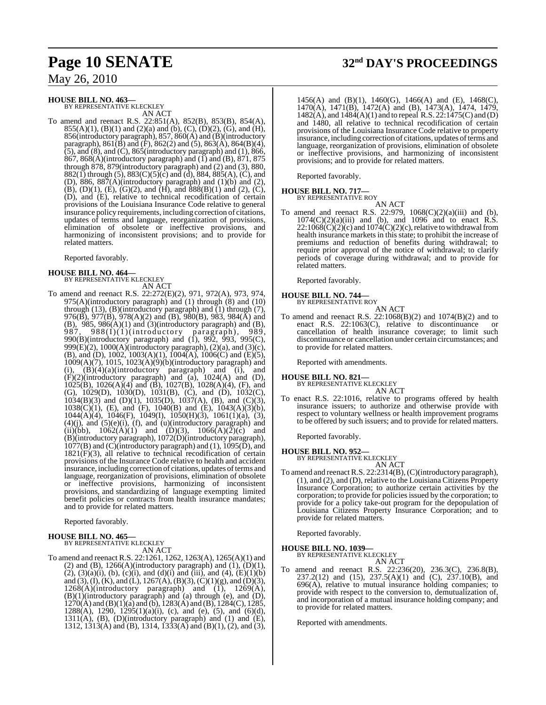## **HOUSE BILL NO. 463—**

BY REPRESENTATIVE KLECKLEY AN ACT

To amend and reenact R.S. 22:851(A), 852(B), 853(B), 854(A), 855(A)(1), (B)(1) and (2)(a) and (b), (C), (D)(2), (G), and (H), 856(introductory paragraph), 857, 860(A) and (B)(introductory paragraph),  $861(\overline{B})$  and  $(\overline{F})$ ,  $862(2)$  and  $(5)$ ,  $863(\overline{A})$ ,  $864(\overline{B})(4)$ ,  $(5)$ , and  $(8)$ , and  $(C)$ , 865 $(introducing paragraph)$  and  $(1)$ , 866,  $867, 868(A)$ (introductory paragraph) and  $(1)$  and  $(B)$ ,  $871, 875$ through 878, 879(introductory paragraph) and (2) and (3), 880, 882(1) through (5), 883(C)(5)(c) and (d), 884, 885(A), (C), and (D), 886, 887 $(A)$ (introductory paragraph) and  $(1)(b)$  and  $(2)$ , (B), (D)(1), (E), (G)(2), and (H), and  $\delta 88(B)(1)$  and (2), (C), (D), and (E), relative to technical recodification of certain provisions of the Louisiana Insurance Code relative to general insurance policy requirements, including correction of citations, updates of terms and language, reorganization of provisions, elimination of obsolete or ineffective provisions, and harmonizing of inconsistent provisions; and to provide for related matters.

Reported favorably.

#### **HOUSE BILL NO. 464—**

BY REPRESENTATIVE KLECKLEY AN ACT

To amend and reenact R.S. 22:272(E)(2), 971, 972(A), 973, 974, 975(A)(introductory paragraph) and (1) through (8) and (10) through (13), (B)(introductory paragraph) and (1) through (7), 976( $\overline{B}$ ), 977( $\overline{B}$ ), 978( $\overline{A}$ )(2) and ( $\overline{B}$ ), 980( $\overline{B}$ ), 983, 984( $\overline{A}$ ) and (B),  $985, 986(A)(1)$  and (3)(introductory paragraph) and (B), 987, 988(I)(1)(introductory paragraph), 989, 987, 988(I)(1)(introductory paragraph), 989, 990(B)(introductory paragraph) and (1), 992, 993, 995(C), 999 $(E)(2)$ , 1000 $(A)$ (introductory paragraph),  $(2)(a)$ , and  $(3)(c)$ , (B), and (D), 1002, 1003(A)(1), 1004(A), 1006(C) and (E)(5), 1009(A)(7), 1015, 1023(A)(9)(b)(introductory paragraph) and (i),  $(B)(4)(a)$ (introductory paragraph) and (i), and  $(F)(2)$ (introductory paragraph) and  $(a)$ , 1024(A) and (D), 1025(B), 1026(A)(4) and (B), 1027(B), 1028(A)(4), (F), and (G), 1029(D), 1030(D), 1031(B), (C), and (D), 1032(C), 1034(B)(3) and (D)(1), 1035(D), 1037(A), (B), and (C)(3), 1038(C)(1), (E), and (F), 1040(B) and (E), 1043(A)(3)(b), 1044(A)(4), 1046(F), 1049(I), 1050(H)(3), 1061(1)(a), (3),  $(4)(j)$ , and  $(5)(e)(i)$ ,  $(f)$ , and  $(u)(introducing)$  paragraph) and (ii)(bb),  $1062(A)(1)$  and  $(D)(3)$ ,  $1066(A)(2)(c)$  and (B)(introductory paragraph), 1072(D)(introductory paragraph), 1077(B) and (C)(introductory paragraph) and (1), 1095(D), and  $1821(F)(3)$ , all relative to technical recodification of certain provisions of the Insurance Code relative to health and accident insurance, including correction of citations, updates of terms and language, reorganization of provisions, elimination of obsolete or ineffective provisions, harmonizing of inconsistent provisions, and standardizing of language exempting limited benefit policies or contracts from health insurance mandates; and to provide for related matters.

Reported favorably.

#### **HOUSE BILL NO. 465—**

BY REPRESENTATIVE KLECKLEY AN ACT

To amend and reenact R.S. 22:1261, 1262, 1263(A), 1265(A)(1) and (2) and (B),  $1266(A)$ (introductory paragraph) and (1),  $(D)(1)$ ,  $(2)$ ,  $(3)(a)(i)$ ,  $(b)$ ,  $(c)(i)$ , and  $(d)(i)$  and  $(iii)$ , and  $(4)$ ,  $(E)(1)(b)$ and (3), (I), (K), and (L), 1267(A), (B)(3), (C)(1)(g), and (D)(3), 1268(A)(introductory paragraph) and (1), 1269(A), (B)(1)(introductory paragraph) and (a) through (e), and (D),  $1270(\text{\AA})$  and  $(\text{\AA})$ (1)(a) and (b),  $1283(\text{\AA})$  and (B),  $1284(\text{\AA})$ ,  $1285$ ,  $1288(A)$ ,  $1290$ ,  $1295(1)(a)(i)$ , (c), and (e), (5), and (6)(d),  $1311(A)$ ,  $(B)$ ,  $(D)$ (introductory paragraph) and  $(1)$  and  $(E)$ , 1312, 1313(A) and (B), 1314, 1333(A) and (B)(1), (2), and (3),

## **Page 10 SENATE 32nd DAY'S PROCEEDINGS**

1456(A) and (B)(1), 1460(G), 1466(A) and (E), 1468(C), 1470(A), 1471(B), 1472(A) and (B), 1473(A), 1474, 1479, 1482(A), and 1484(A)(1) and to repeal R.S. 22:1475(C) and (D) and 1480, all relative to technical recodification of certain provisions of the Louisiana Insurance Code relative to property insurance, including correction of citations, updates of terms and language, reorganization of provisions, elimination of obsolete or ineffective provisions, and harmonizing of inconsistent provisions; and to provide for related matters.

Reported favorably.

#### **HOUSE BILL NO. 717—** BY REPRESENTATIVE ROY

AN ACT

To amend and reenact R.S. 22:979,  $1068(C)(2)(a)(iii)$  and (b),  $1074(C)(2)(a)(iii)$  and (b), and 1096 and to enact R.S.  $22:1068(\dot{C})(2)(c)$  and  $1074(\dot{C})(2)(c)$ , relative to withdrawal from health insurance markets in this state; to prohibit the increase of premiums and reduction of benefits during withdrawal; to require prior approval of the notice of withdrawal; to clarify periods of coverage during withdrawal; and to provide for related matters.

Reported favorably.

## **HOUSE BILL NO. 744—**

BY REPRESENTATIVE ROY AN ACT

To amend and reenact R.S. 22:1068(B)(2) and 1074(B)(2) and to enact R.S. 22:1063(C) relative to discontinuance or enact R.S.  $22:1063(C)$ , relative to discontinuance cancellation of health insurance coverage; to limit such discontinuance or cancellation under certain circumstances; and to provide for related matters.

Reported with amendments.

#### **HOUSE BILL NO. 821—**

BY REPRESENTATIVE KLECKLEY AN ACT

To enact R.S. 22:1016, relative to programs offered by health insurance issuers; to authorize and otherwise provide with respect to voluntary wellness or health improvement programs to be offered by such issuers; and to provide for related matters.

Reported favorably.

**HOUSE BILL NO. 952—** BY REPRESENTATIVE KLECKLEY AN ACT

To amend and reenact R.S. 22:2314(B), (C)(introductory paragraph), (1), and (2), and (D), relative to the Louisiana Citizens Property Insurance Corporation; to authorize certain activities by the corporation; to provide for policies issued by the corporation; to provide for a policy take-out program for the depopulation of Louisiana Citizens Property Insurance Corporation; and to provide for related matters.

Reported favorably.

**HOUSE BILL NO. 1039—** BY REPRESENTATIVE KLECKLEY

AN ACT

To amend and reenact R.S. 22:236(20), 236.3(C), 236.8(B), 237.2(12) and (15), 237.5(A)(1) and (C), 237.10(B), and 696(A), relative to mutual insurance holding companies; to provide with respect to the conversion to, demutualization of, and incorporation of a mutual insurance holding company; and to provide for related matters.

Reported with amendments.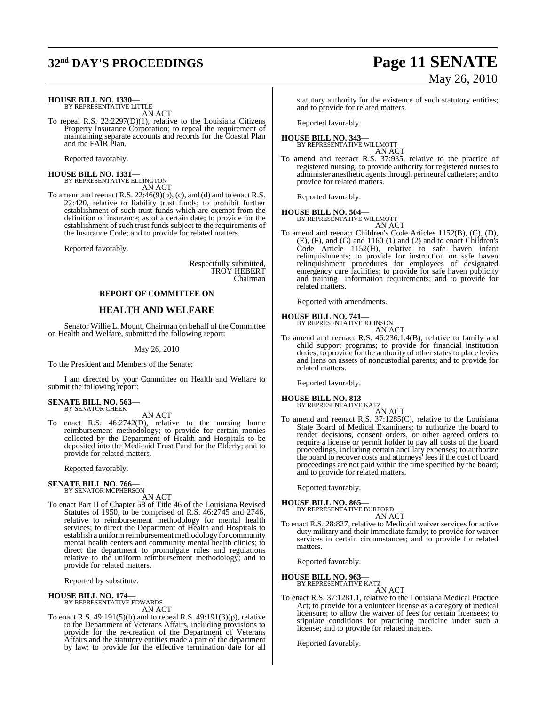## **32nd DAY'S PROCEEDINGS Page 11 SENATE**

#### **HOUSE BILL NO. 1330—**

BY REPRESENTATIVE LITTLE AN ACT

To repeal R.S. 22:2297(D)(1), relative to the Louisiana Citizens Property Insurance Corporation; to repeal the requirement of maintaining separate accounts and records for the Coastal Plan and the FAIR Plan.

Reported favorably.

**HOUSE BILL NO. 1331—** BY REPRESENTATIVE ELLINGTON AN ACT

To amend and reenact R.S. 22:46(9)(b), (c), and (d) and to enact R.S. 22:420, relative to liability trust funds; to prohibit further establishment of such trust funds which are exempt from the definition of insurance; as of a certain date; to provide for the establishment of such trust funds subject to the requirements of the Insurance Code; and to provide for related matters.

Reported favorably.

Respectfully submitted, TROY HEBERT Chairman

#### **REPORT OF COMMITTEE ON**

#### **HEALTH AND WELFARE**

Senator Willie L. Mount, Chairman on behalf of the Committee on Health and Welfare, submitted the following report:

#### May 26, 2010

To the President and Members of the Senate:

I am directed by your Committee on Health and Welfare to submit the following report:

#### **SENATE BILL NO. 563—** BY SENATOR CHEEK

#### AN ACT

To enact R.S. 46:2742(D), relative to the nursing home reimbursement methodology; to provide for certain monies collected by the Department of Health and Hospitals to be deposited into the Medicaid Trust Fund for the Elderly; and to provide for related matters.

Reported favorably.

## **SENATE BILL NO. 766—**<br>BY SENATOR MCPHERSON

AN ACT

To enact Part II of Chapter 58 of Title 46 of the Louisiana Revised Statutes of 1950, to be comprised of R.S. 46:2745 and 2746, relative to reimbursement methodology for mental health services; to direct the Department of Health and Hospitals to establish a uniform reimbursement methodology for community mental health centers and community mental health clinics; to direct the department to promulgate rules and regulations relative to the uniform reimbursement methodology; and to provide for related matters.

Reported by substitute.

**HOUSE BILL NO. 174—** BY REPRESENTATIVE EDWARDS AN ACT

To enact R.S. 49:191(5)(b) and to repeal R.S. 49:191(3)(p), relative to the Department of Veterans Affairs, including provisions to provide for the re-creation of the Department of Veterans Affairs and the statutory entities made a part of the department by law; to provide for the effective termination date for all

statutory authority for the existence of such statutory entities; and to provide for related matters.

Reported favorably.

#### **HOUSE BILL NO. 343—** BY REPRESENTATIVE WILLMOTT

AN ACT

To amend and reenact R.S. 37:935, relative to the practice of registered nursing; to provide authority for registered nurses to administer anesthetic agents through perineural catheters; and to provide for related matters.

Reported favorably.

#### **HOUSE BILL NO. 504—**

BY REPRESENTATIVE WILLMOTT AN ACT

To amend and reenact Children's Code Articles 1152(B), (C), (D), (E), (F), and (G) and 1160 (1) and (2) and to enact Children's Code Article 1152(H), relative to safe haven infant relinquishments; to provide for instruction on safe haven relinquishment procedures for employees of designated emergency care facilities; to provide for safe haven publicity and training information requirements; and to provide for related matters.

Reported with amendments.

#### **HOUSE BILL NO. 741—**

BY REPRESENTATIVE JOHNSON AN ACT

To amend and reenact R.S. 46:236.1.4(B), relative to family and child support programs; to provide for financial institution duties; to provide for the authority of other states to place levies and liens on assets of noncustodial parents; and to provide for related matters.

Reported favorably.

## **HOUSE BILL NO. 813—** BY REPRESENTATIVE KATZ

AN ACT

To amend and reenact R.S. 37:1285(C), relative to the Louisiana State Board of Medical Examiners; to authorize the board to render decisions, consent orders, or other agreed orders to require a license or permit holder to pay all costs of the board proceedings, including certain ancillary expenses; to authorize the board to recover costs and attorneys' fees if the cost of board proceedings are not paid within the time specified by the board; and to provide for related matters.

Reported favorably.

#### **HOUSE BILL NO. 865—**

BY REPRESENTATIVE BURFORD

AN ACT To enact R.S. 28:827, relative to Medicaid waiver services for active duty military and their immediate family; to provide for waiver services in certain circumstances; and to provide for related matters.

Reported favorably.

#### **HOUSE BILL NO. 963—** BY REPRESENTATIVE KATZ

AN ACT

To enact R.S. 37:1281.1, relative to the Louisiana Medical Practice Act; to provide for a volunteer license as a category of medical licensure; to allow the waiver of fees for certain licensees; to stipulate conditions for practicing medicine under such a license; and to provide for related matters.

Reported favorably.

# May 26, 2010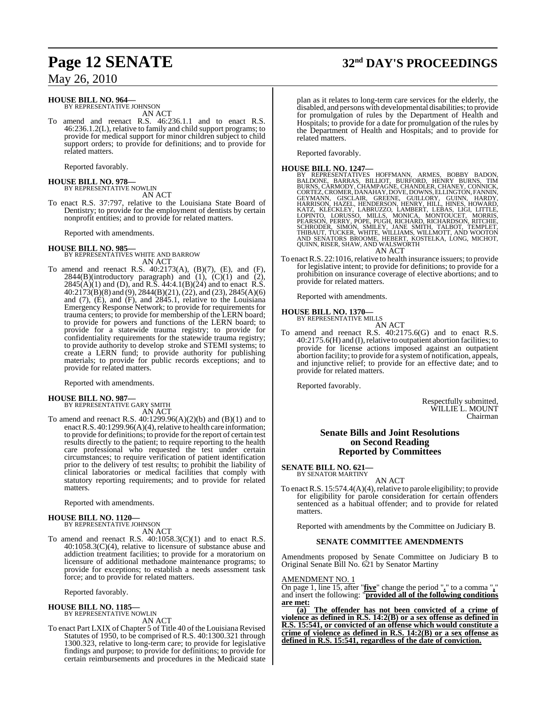#### **HOUSE BILL NO. 964—** BY REPRESENTATIVE JOHNSON

AN ACT

To amend and reenact R.S. 46:236.1.1 and to enact R.S. 46:236.1.2(L), relative to family and child support programs; to provide for medical support for minor children subject to child support orders; to provide for definitions; and to provide for related matters.

Reported favorably.

## **HOUSE BILL NO. 978—** BY REPRESENTATIVE NOWLIN

AN ACT

To enact R.S. 37:797, relative to the Louisiana State Board of Dentistry; to provide for the employment of dentists by certain nonprofit entities; and to provide for related matters.

Reported with amendments.

## **HOUSE BILL NO. 985—** BY REPRESENTATIVES WHITE AND BARROW AN ACT

To amend and reenact R.S. 40:2173(A), (B)(7), (E), and (F), 2844(B)(introductory paragraph) and  $(1)$ ,  $(C)(1)$  and  $(2)$ ,  $2845(A)(1)$  and (D), and R.S. 44:4.1(B)(24) and to enact R.S. 40:2173(B)(8) and (9), 2844(B)(21), (22), and (23), 2845(A)(6) and  $(7)$ ,  $(E)$ , and  $(F)$ , and  $2845.1$ , relative to the Louisiana Emergency Response Network; to provide for requirements for trauma centers; to provide for membership of the LERN board; to provide for powers and functions of the LERN board; to provide for a statewide trauma registry; to provide for confidentiality requirements for the statewide trauma registry; to provide authority to develop stroke and STEMI systems; to create a LERN fund; to provide authority for publishing materials; to provide for public records exceptions; and to provide for related matters.

Reported with amendments.

# **HOUSE BILL NO. 987—** BY REPRESENTATIVE GARY SMITH

AN ACT

To amend and reenact R.S. 40:1299.96(A)(2)(b) and (B)(1) and to enact R.S. 40:1299.96(A)(4), relative to health care information; to provide for definitions; to provide for the report of certain test results directly to the patient; to require reporting to the health care professional who requested the test under certain circumstances; to require verification of patient identification prior to the delivery of test results; to prohibit the liability of clinical laboratories or medical facilities that comply with statutory reporting requirements; and to provide for related matters.

Reported with amendments.

# **HOUSE BILL NO. 1120—** BY REPRESENTATIVE JOHNSON

AN ACT

To amend and reenact R.S. 40:1058.3(C)(1) and to enact R.S. 40:1058.3(C)(4), relative to licensure of substance abuse and addiction treatment facilities; to provide for a moratorium on licensure of additional methadone maintenance programs; to provide for exceptions; to establish a needs assessment task force; and to provide for related matters.

Reported favorably.

## **HOUSE BILL NO. 1185—** BY REPRESENTATIVE NOWLIN

AN ACT

To enact Part LXIX of Chapter 5 of Title 40 of the Louisiana Revised Statutes of 1950, to be comprised of R.S. 40:1300.321 through 1300.323, relative to long-term care; to provide for legislative findings and purpose; to provide for definitions; to provide for certain reimbursements and procedures in the Medicaid state

## **Page 12 SENATE 32nd DAY'S PROCEEDINGS**

plan as it relates to long-term care services for the elderly, the disabled, and persons with developmental disabilities; to provide for promulgation of rules by the Department of Health and Hospitals; to provide for a date for promulgation of the rules by the Department of Health and Hospitals; and to provide for related matters.

Reported favorably.

# **HOUSE BILL NO. 1247—** BY REPRESENTATIVES HOFFMANN, ARMES, BOBBY BADON, BALDONE, BARRAS, BILLIOT, BURFORD, HENRY BURNS, TIM BURNS, CÁRMODY, CHAMPAGNE, CHANDLER, CHANEY, CONNICK, CORTEZ, CROMER, DANAHAY, DOVE, DOWNS, ELLINGTON, FANNIN,<br>GEYMANN, GISCLAIR, GREENE, GUILLORY, GUINGYON, FANNIN,<br>HARRISON, HAZEL, HENDERSON, HENRY, HILL, HINES, HOWARD,<br> AN ACT

To enact R.S. 22:1016, relative to health insurance issuers; to provide for legislative intent; to provide for definitions; to provide for a prohibition on insurance coverage of elective abortions; and to provide for related matters.

Reported with amendments.

## **HOUSE BILL NO. 1370—**

BY REPRESENTATIVE MILLS AN ACT

To amend and reenact R.S. 40:2175.6(G) and to enact R.S. 40:2175.6(H) and (I),relative to outpatient abortion facilities; to provide for license actions imposed against an outpatient abortion facility; to provide for a system of notification, appeals, and injunctive relief; to provide for an effective date; and to provide for related matters.

Reported favorably.

Respectfully submitted, WILLIE L. MOUNT Chairman

## **Senate Bills and Joint Resolutions on Second Reading Reported by Committees**

### **SENATE BILL NO. 621—**

BY SENATOR MARTINY

AN ACT To enact R.S.  $15:574.4(A)(4)$ , relative to parole eligibility; to provide for eligibility for parole consideration for certain offenders sentenced as a habitual offender; and to provide for related matters.

Reported with amendments by the Committee on Judiciary B.

#### **SENATE COMMITTEE AMENDMENTS**

Amendments proposed by Senate Committee on Judiciary B to Original Senate Bill No. 621 by Senator Martiny

AMENDMENT NO. 1

On page 1, line 15, after "**five**" change the period "**.**" to a comma "**,**" and insert the following: "**provided all of the following conditions are met:**

**(a) The offender has not been convicted of a crime of violence as defined in R.S. 14:2(B) or a sex offense as defined in R.S. 15:541, or convicted of an offense which would constitute a crime of violence as defined in R.S. 14:2(B) or a sex offense as defined in R.S. 15:541, regardless of the date of conviction.**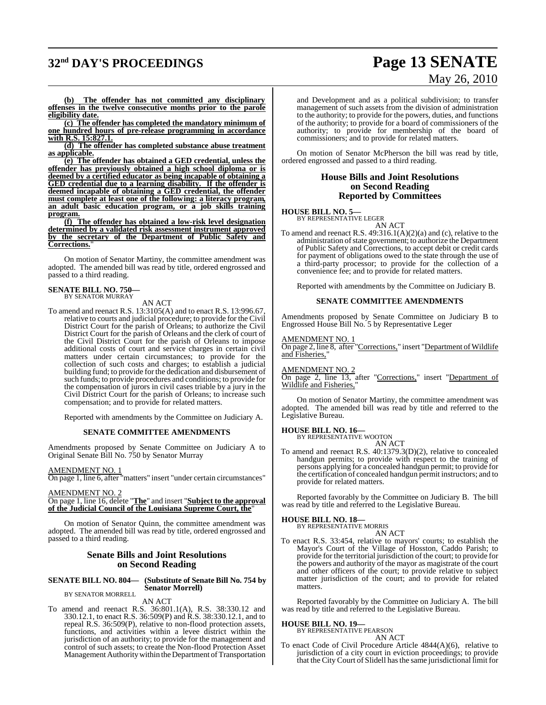# **32nd DAY'S PROCEEDINGS Page 13 SENATE**

# May 26, 2010

**(b) The offender has not committed any disciplinary offenses in the twelve consecutive months prior to the parole eligibility date.**

**(c) The offender has completed the mandatory minimum of one hundred hours of pre-release programming in accordance with R.S. 15:827.1.**

**(d) The offender has completed substance abuse treatment as applicable.**

**(e) The offender has obtained a GED credential, unless the offender has previously obtained a high school diploma or is deemed by a certified educator as being incapable of obtaining a GED credential due to a learning disability. If the offender is deemed incapable of obtaining a GED credential, the offender must complete at least one of the following: a literacy program, an adult basic education program, or a job skills training program.**

**(f) The offender has obtained a low-risk level designation determined by a validated risk assessment instrument approved by the secretary of the Department of Public Safety and Corrections.**"

On motion of Senator Martiny, the committee amendment was adopted. The amended bill was read by title, ordered engrossed and passed to a third reading.

## **SENATE BILL NO. 750—** BY SENATOR MURRAY

AN ACT

To amend and reenact R.S. 13:3105(A) and to enact R.S. 13:996.67, relative to courts and judicial procedure; to provide for the Civil District Court for the parish of Orleans; to authorize the Civil District Court for the parish of Orleans and the clerk of court of the Civil District Court for the parish of Orleans to impose additional costs of court and service charges in certain civil matters under certain circumstances; to provide for the collection of such costs and charges; to establish a judicial building fund; to provide for the dedication and disbursement of such funds; to provide procedures and conditions; to provide for the compensation of jurors in civil cases triable by a jury in the Civil District Court for the parish of Orleans; to increase such compensation; and to provide for related matters.

Reported with amendments by the Committee on Judiciary A.

#### **SENATE COMMITTEE AMENDMENTS**

Amendments proposed by Senate Committee on Judiciary A to Original Senate Bill No. 750 by Senator Murray

#### AMENDMENT NO. 1

On page 1, line 6, after "matters" insert "under certain circumstances"

#### AMENDMENT NO. 2

On page 1, line 16, delete "**The**" and insert "**Subject to the approval of the Judicial Council of the Louisiana Supreme Court, the**"

On motion of Senator Quinn, the committee amendment was adopted. The amended bill was read by title, ordered engrossed and passed to a third reading.

#### **Senate Bills and Joint Resolutions on Second Reading**

#### **SENATE BILL NO. 804— (Substitute of Senate Bill No. 754 by Senator Morrell)** BY SENATOR MORRELL

AN ACT

To amend and reenact R.S. 36:801.1(A), R.S. 38:330.12 and 330.12.1, to enact R.S. 36:509(P) and R.S. 38:330.12.1, and to repeal R.S. 36:509(P), relative to non-flood protection assets, functions, and activities within a levee district within the jurisdiction of an authority; to provide for the management and control of such assets; to create the Non-flood Protection Asset Management Authoritywithin the Department of Transportation and Development and as a political subdivision; to transfer management of such assets from the division of administration to the authority; to provide for the powers, duties, and functions of the authority; to provide for a board of commissioners of the authority; to provide for membership of the board of commissioners; and to provide for related matters.

On motion of Senator McPherson the bill was read by title, ordered engrossed and passed to a third reading.

#### **House Bills and Joint Resolutions on Second Reading Reported by Committees**

**HOUSE BILL NO. 5—** BY REPRESENTATIVE LEGER

AN ACT

To amend and reenact R.S. 49:316.1(A)(2)(a) and (c), relative to the administration of state government; to authorize the Department of Public Safety and Corrections, to accept debit or credit cards for payment of obligations owed to the state through the use of a third-party processor; to provide for the collection of a convenience fee; and to provide for related matters.

Reported with amendments by the Committee on Judiciary B.

#### **SENATE COMMITTEE AMENDMENTS**

Amendments proposed by Senate Committee on Judiciary B to Engrossed House Bill No. 5 by Representative Leger

#### AMENDMENT NO. 1

On page 2, line 8, after "Corrections," insert "Department of Wildlife and Fisheries,"

AMENDMENT NO. 2

On page 2, line 13, after "Corrections," insert "Department of Wildlife and Fisheries,

On motion of Senator Martiny, the committee amendment was adopted. The amended bill was read by title and referred to the Legislative Bureau.

#### **HOUSE BILL NO. 16—**

BY REPRESENTATIVE WOOTON

AN ACT To amend and reenact R.S. 40:1379.3(D)(2), relative to concealed handgun permits; to provide with respect to the training of persons applying for a concealed handgun permit; to provide for the certification of concealed handgun permit instructors; and to provide for related matters.

Reported favorably by the Committee on Judiciary B. The bill was read by title and referred to the Legislative Bureau.

#### **HOUSE BILL NO. 18—**

BY REPRESENTATIVE MORRIS

- AN ACT To enact R.S. 33:454, relative to mayors' courts; to establish the
- Mayor's Court of the Village of Hosston, Caddo Parish; to provide for the territorial jurisdiction of the court; to provide for the powers and authority of the mayor as magistrate of the court and other officers of the court; to provide relative to subject matter jurisdiction of the court; and to provide for related matters

Reported favorably by the Committee on Judiciary A. The bill was read by title and referred to the Legislative Bureau.

## **HOUSE BILL NO. 19—** BY REPRESENTATIVE PEARSON

AN ACT

To enact Code of Civil Procedure Article 4844(A)(6), relative to jurisdiction of a city court in eviction proceedings; to provide that the CityCourt of Slidell hasthe same jurisdictional limit for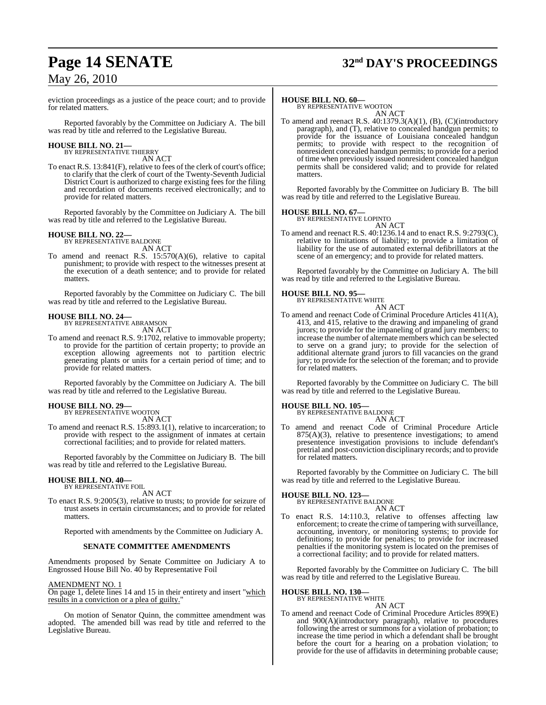# **Page 14 SENATE 32nd DAY'S PROCEEDINGS**

## May 26, 2010

eviction proceedings as a justice of the peace court; and to provide for related matters.

Reported favorably by the Committee on Judiciary A. The bill was read by title and referred to the Legislative Bureau.

# **HOUSE BILL NO. 21—** BY REPRESENTATIVE THIERRY

AN ACT

To enact R.S. 13:841(F), relative to fees of the clerk of court's office; to clarify that the clerk of court of the Twenty-Seventh Judicial District Court is authorized to charge existing fees for the filing and recordation of documents received electronically; and to provide for related matters.

Reported favorably by the Committee on Judiciary A. The bill was read by title and referred to the Legislative Bureau.

## **HOUSE BILL NO. 22—**

BY REPRESENTATIVE BALDONE AN ACT

To amend and reenact R.S. 15:570(A)(6), relative to capital punishment; to provide with respect to the witnesses present at the execution of a death sentence; and to provide for related matters.

Reported favorably by the Committee on Judiciary C. The bill was read by title and referred to the Legislative Bureau.

## **HOUSE BILL NO. 24—**

BY REPRESENTATIVE ABRAMSON AN ACT

To amend and reenact R.S. 9:1702, relative to immovable property; to provide for the partition of certain property; to provide an exception allowing agreements not to partition electric generating plants or units for a certain period of time; and to provide for related matters.

Reported favorably by the Committee on Judiciary A. The bill was read by title and referred to the Legislative Bureau.

## **HOUSE BILL NO. 29—**

BY REPRESENTATIVE WOOTON AN ACT

To amend and reenact R.S. 15:893.1(1), relative to incarceration; to provide with respect to the assignment of inmates at certain correctional facilities; and to provide for related matters.

Reported favorably by the Committee on Judiciary B. The bill was read by title and referred to the Legislative Bureau.

#### **HOUSE BILL NO. 40—** BY REPRESENTATIVE FOIL

AN ACT

To enact R.S. 9:2005(3), relative to trusts; to provide for seizure of trust assets in certain circumstances; and to provide for related matters.

Reported with amendments by the Committee on Judiciary A.

#### **SENATE COMMITTEE AMENDMENTS**

Amendments proposed by Senate Committee on Judiciary A to Engrossed House Bill No. 40 by Representative Foil

#### AMENDMENT NO. 1

On page 1, delete lines 14 and 15 in their entirety and insert "which results in a conviction or a plea of guilty."

On motion of Senator Quinn, the committee amendment was adopted. The amended bill was read by title and referred to the Legislative Bureau.

#### **HOUSE BILL NO. 60—**

BY REPRESENTATIVE WOOTON AN ACT

To amend and reenact R.S. 40:1379.3(A)(1), (B), (C)(introductory paragraph), and (T), relative to concealed handgun permits; to provide for the issuance of Louisiana concealed handgun permits; to provide with respect to the recognition of nonresident concealed handgun permits; to provide for a period of time when previously issued nonresident concealed handgun permits shall be considered valid; and to provide for related matters.

Reported favorably by the Committee on Judiciary B. The bill was read by title and referred to the Legislative Bureau.

#### **HOUSE BILL NO. 67—**

BY REPRESENTATIVE LOPINTO AN ACT

To amend and reenact R.S. 40:1236.14 and to enact R.S. 9:2793(C), relative to limitations of liability; to provide a limitation of liability for the use of automated external defibrillators at the scene of an emergency; and to provide for related matters.

Reported favorably by the Committee on Judiciary A. The bill was read by title and referred to the Legislative Bureau.

#### **HOUSE BILL NO. 95—**

BY REPRESENTATIVE WHITE AN ACT

To amend and reenact Code of Criminal Procedure Articles 411(A), 413, and 415, relative to the drawing and impaneling of grand jurors; to provide for the impaneling of grand jury members; to increase the number of alternate members which can be selected to serve on a grand jury; to provide for the selection of additional alternate grand jurors to fill vacancies on the grand jury; to provide for the selection of the foreman; and to provide for related matters.

Reported favorably by the Committee on Judiciary C. The bill was read by title and referred to the Legislative Bureau.

#### **HOUSE BILL NO. 105—**

BY REPRESENTATIVE BALDONE AN ACT

To amend and reenact Code of Criminal Procedure Article  $875(A)(3)$ , relative to presentence investigations; to amend presentence investigation provisions to include defendant's pretrial and post-conviction disciplinary records; and to provide for related matters.

Reported favorably by the Committee on Judiciary C. The bill was read by title and referred to the Legislative Bureau.

## **HOUSE BILL NO. 123—** BY REPRESENTATIVE BALDONE

AN ACT

To enact R.S. 14:110.3, relative to offenses affecting law enforcement; to create the crime of tampering with surveillance, accounting, inventory, or monitoring systems; to provide for definitions; to provide for penalties; to provide for increased penalties if the monitoring system is located on the premises of a correctional facility; and to provide for related matters.

Reported favorably by the Committee on Judiciary C. The bill was read by title and referred to the Legislative Bureau.

#### **HOUSE BILL NO. 130—**

BY REPRESENTATIVE WHITE

## AN ACT

To amend and reenact Code of Criminal Procedure Articles 899(E) and 900(A)(introductory paragraph), relative to procedures following the arrest or summons for a violation of probation; to increase the time period in which a defendant shall be brought before the court for a hearing on a probation violation; to provide for the use of affidavits in determining probable cause;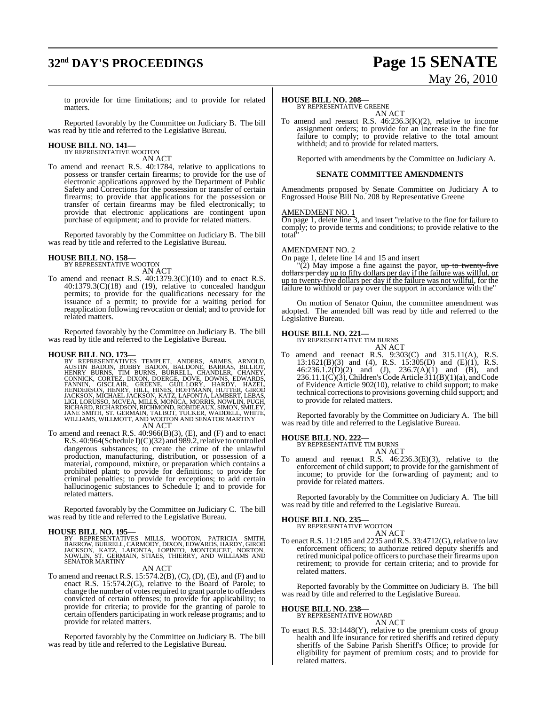# **32nd DAY'S PROCEEDINGS Page 15 SENATE**

# May 26, 2010

to provide for time limitations; and to provide for related matters.

Reported favorably by the Committee on Judiciary B. The bill was read by title and referred to the Legislative Bureau.

# **HOUSE BILL NO. 141—** BY REPRESENTATIVE WOOTON

AN ACT

To amend and reenact R.S. 40:1784, relative to applications to possess or transfer certain firearms; to provide for the use of electronic applications approved by the Department of Public Safety and Corrections for the possession or transfer of certain firearms; to provide that applications for the possession or transfer of certain firearms may be filed electronically; to provide that electronic applications are contingent upon purchase of equipment; and to provide for related matters.

Reported favorably by the Committee on Judiciary B. The bill was read by title and referred to the Legislative Bureau.

## **HOUSE BILL NO. 158—** BY REPRESENTATIVE WOOTON

AN ACT

To amend and reenact R.S. 40:1379.3(C)(10) and to enact R.S.  $40:1379.3(C)(18)$  and (19), relative to concealed handgun permits; to provide for the qualifications necessary for the issuance of a permit; to provide for a waiting period for reapplication following revocation or denial; and to provide for related matters.

Reported favorably by the Committee on Judiciary B. The bill was read by title and referred to the Legislative Bureau.

HOUSE BILL NO. 173—<br>BY REPRESENTATIVES TEMPLET, ANDERS, ARMES, ARNOLD,<br>AUSTIN BADON, BOBBY BADON, BALDONE, BARRAS, BILLIOT,<br>HENRY BURNS, TIM BURNS, BURRELL, CHANDLER, CHANEY,<br>CONNICK, CORTEZ, DIXON, DOERGE, DOVE, DOWNS, ED

## AN ACT

To amend and reenact R.S. 40:966(B)(3), (E), and (F) and to enact R.S. 40:964(Schedule I)(C)(32) and 989.2, relative to controlled dangerous substances; to create the crime of the unlawful production, manufacturing, distribution, or possession of a material, compound, mixture, or preparation which contains a prohibited plant; to provide for definitions; to provide for criminal penalties; to provide for exceptions; to add certain hallucinogenic substances to Schedule I; and to provide for related matters.

Reported favorably by the Committee on Judiciary C. The bill was read by title and referred to the Legislative Bureau.

**HOUSE BILL NO. 195—**<br>BY REPRESENTATIVES MILLS, WOOTON, PATRICIA SMITH,<br>BARROW,BURRELL,CARMODY,DIXON,EDWARDS,HARDY,GIROD<br>JACKSON, KATZ, LAFONTA, LOPINTO, MONTOUCET, NORTON,<br>NOWLIN, ST. GERMAN, STIAES, THIERRY, AND WILLIAMS

#### AN ACT

To amend and reenact R.S.  $15:574.2(B)$ , (C), (D), (E), and (F) and to enact R.S. 15:574.2(G), relative to the Board of Parole; to change the number of votes required to grant parole to offenders convicted of certain offenses; to provide for applicability; to provide for criteria; to provide for the granting of parole to certain offenders participating in work release programs; and to provide for related matters.

Reported favorably by the Committee on Judiciary B. The bill was read by title and referred to the Legislative Bureau.

#### **HOUSE BILL NO. 208—**

BY REPRESENTATIVE GREENE AN ACT

To amend and reenact R.S. 46:236.3(K)(2), relative to income assignment orders; to provide for an increase in the fine for failure to comply; to provide relative to the total amount withheld; and to provide for related matters.

Reported with amendments by the Committee on Judiciary A.

#### **SENATE COMMITTEE AMENDMENTS**

Amendments proposed by Senate Committee on Judiciary A to Engrossed House Bill No. 208 by Representative Greene

#### AMENDMENT NO. 1

On page 1, delete line 3, and insert "relative to the fine for failure to comply; to provide terms and conditions; to provide relative to the total"

## AMENDMENT NO. 2

On page 1, delete line 14 and 15 and insert

"(2) May impose a fine against the payor, up to twenty-five dollars per day up to fifty dollars per day if the failure was willful, or up to twenty-five dollars per day if the failure was not willful, for the failure to withhold or pay over the support in accordance with the"

On motion of Senator Quinn, the committee amendment was adopted. The amended bill was read by title and referred to the Legislative Bureau.

## **HOUSE BILL NO. 221—** BY REPRESENTATIVE TIM BURNS

AN ACT

To amend and reenact R.S. 9:303(C) and 315.11(A), R.S. 13:1621(B)(3) and (4), R.S. 15:305(D) and (E)(1), R.S.  $46:236.1.2(D)(2)$  and  $(J), 236.7(A)(1)$  and  $(B),$  and  $236.11.1(\dot{C})(3)$ , Children's Code Article  $311(B)(1)(a)$ , and Code of Evidence Article 902(10), relative to child support; to make technical correctionsto provisions governing child support; and to provide for related matters.

Reported favorably by the Committee on Judiciary A. The bill was read by title and referred to the Legislative Bureau.

## **HOUSE BILL NO. 222—** BY REPRESENTATIVE TIM BURNS

AN ACT

To amend and reenact R.S. 46:236.3(E)(3), relative to the enforcement of child support; to provide for the garnishment of income; to provide for the forwarding of payment; and to provide for related matters.

Reported favorably by the Committee on Judiciary A. The bill was read by title and referred to the Legislative Bureau.

**HOUSE BILL NO. 235—** BY REPRESENTATIVE WOOTON

AN ACT To enact R.S. 11:2185 and 2235 and R.S. 33:4712(G), relative to law enforcement officers; to authorize retired deputy sheriffs and retired municipal police officers to purchase their firearms upon retirement; to provide for certain criteria; and to provide for related matters.

Reported favorably by the Committee on Judiciary B. The bill was read by title and referred to the Legislative Bureau.

## **HOUSE BILL NO. 238—** BY REPRESENTATIVE HOWARD

AN ACT

To enact R.S. 33:1448(Y), relative to the premium costs of group health and life insurance for retired sheriffs and retired deputy sheriffs of the Sabine Parish Sheriff's Office; to provide for eligibility for payment of premium costs; and to provide for related matters.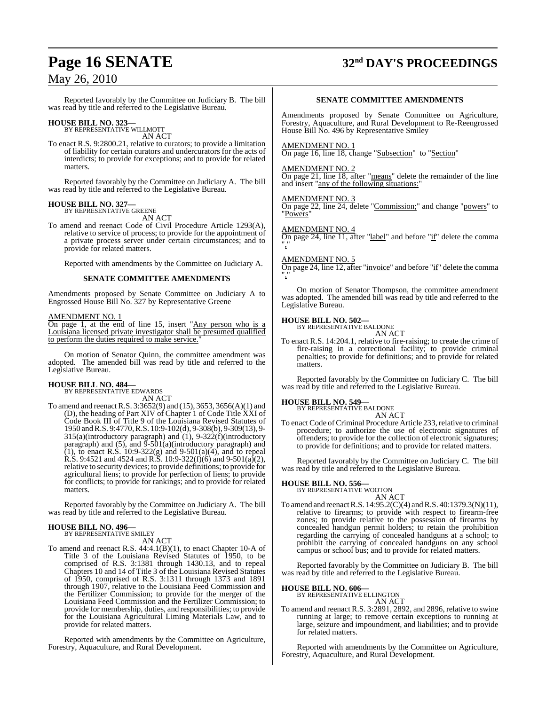Reported favorably by the Committee on Judiciary B. The bill was read by title and referred to the Legislative Bureau.

## **HOUSE BILL NO. 323—** BY REPRESENTATIVE WILLMOTT

AN ACT

To enact R.S. 9:2800.21, relative to curators; to provide a limitation of liability for certain curators and undercurators for the acts of interdicts; to provide for exceptions; and to provide for related matters.

Reported favorably by the Committee on Judiciary A. The bill was read by title and referred to the Legislative Bureau.

#### **HOUSE BILL NO. 327—** BY REPRESENTATIVE GREENE

AN ACT

To amend and reenact Code of Civil Procedure Article 1293(A), relative to service of process; to provide for the appointment of a private process server under certain circumstances; and to provide for related matters.

Reported with amendments by the Committee on Judiciary A.

#### **SENATE COMMITTEE AMENDMENTS**

Amendments proposed by Senate Committee on Judiciary A to Engrossed House Bill No. 327 by Representative Greene

#### AMENDMENT NO. 1

On page 1, at the end of line 15, insert "Any person who is a Louisiana licensed private investigator shall be presumed qualified to perform the duties required to make service.

On motion of Senator Quinn, the committee amendment was adopted. The amended bill was read by title and referred to the Legislative Bureau.

#### **HOUSE BILL NO. 484—**

BY REPRESENTATIVE EDWARDS AN ACT

To amend and reenactR.S. 3:3652(9) and (15), 3653, 3656(A)(1) and (D), the heading of Part XIV of Chapter 1 of Code Title XXI of Code Book III of Title 9 of the Louisiana Revised Statutes of 1950 andR.S. 9:4770,R.S. 10:9-102(d), 9-308(b), 9-309(13), 9-  $315(a)$ (introductory paragraph) and  $(1)$ ,  $9-322(f)$ (introductory paragraph) and  $(5)$ , and  $\overline{9}$ - $\overline{501(a)}$ (introductory paragraph) and (1), to enact R.S.  $10:9-322(g)$  and  $9-501(a)(4)$ , and to repeal R.S. 9:4521 and 4524 and R.S. 10:9-322(f)(6) and 9-501(a)(2), relative to security devices; to provide definitions; to provide for agricultural liens; to provide for perfection of liens; to provide for conflicts; to provide for rankings; and to provide for related matters.

Reported favorably by the Committee on Judiciary A. The bill was read by title and referred to the Legislative Bureau.

#### **HOUSE BILL NO. 496—** BY REPRESENTATIVE SMILEY

AN ACT

To amend and reenact R.S. 44:4.1(B)(1), to enact Chapter 10-A of Title 3 of the Louisiana Revised Statutes of 1950, to be comprised of R.S. 3:1381 through 1430.13, and to repeal Chapters 10 and 14 of Title 3 of the Louisiana Revised Statutes of 1950, comprised of R.S. 3:1311 through 1373 and 1891 through 1907, relative to the Louisiana Feed Commission and the Fertilizer Commission; to provide for the merger of the Louisiana Feed Commission and the Fertilizer Commission; to provide for membership, duties, and responsibilities; to provide for the Louisiana Agricultural Liming Materials Law, and to provide for related matters.

Reported with amendments by the Committee on Agriculture, Forestry, Aquaculture, and Rural Development.

# **Page 16 SENATE 32nd DAY'S PROCEEDINGS**

#### **SENATE COMMITTEE AMENDMENTS**

Amendments proposed by Senate Committee on Agriculture, Forestry, Aquaculture, and Rural Development to Re-Reengrossed House Bill No. 496 by Representative Smiley

AMENDMENT NO. 1

On page 16, line 18, change "Subsection" to "Section"

#### AMENDMENT NO. 2

On page 21, line 18, after "means" delete the remainder of the line and insert "any of the following situations:"

#### AMENDMENT NO. 3

On page 22, line 24, delete "Commission;" and change "powers" to "Powers"

#### AMENDMENT NO. 4

On page 24, line 11, after "label" and before "if" delete the comma ","

#### AMENDMENT NO. 5

On page 24, line 12, after "invoice" and before "if" delete the comma ","

On motion of Senator Thompson, the committee amendment was adopted. The amended bill was read by title and referred to the Legislative Bureau.

## **HOUSE BILL NO. 502—**

BY REPRESENTATIVE BALDONE AN ACT

To enact R.S. 14:204.1, relative to fire-raising; to create the crime of fire-raising in a correctional facility; to provide criminal penalties; to provide for definitions; and to provide for related matters.

Reported favorably by the Committee on Judiciary C. The bill was read by title and referred to the Legislative Bureau.

**HOUSE BILL NO. 549—** BY REPRESENTATIVE BALDONE AN ACT

To enact Code of Criminal Procedure Article 233, relative to criminal procedure; to authorize the use of electronic signatures of offenders; to provide for the collection of electronic signatures; to provide for definitions; and to provide for related matters.

Reported favorably by the Committee on Judiciary C. The bill was read by title and referred to the Legislative Bureau.

**HOUSE BILL NO. 556—** BY REPRESENTATIVE WOOTON AN ACT

To amend and reenactR.S. 14:95.2(C)(4) andR.S. 40:1379.3(N)(11), relative to firearms; to provide with respect to firearm-free zones; to provide relative to the possession of firearms by concealed handgun permit holders; to retain the prohibition regarding the carrying of concealed handguns at a school; to prohibit the carrying of concealed handguns on any school campus or school bus; and to provide for related matters.

Reported favorably by the Committee on Judiciary B. The bill was read by title and referred to the Legislative Bureau.

**HOUSE BILL NO. 606—** BY REPRESENTATIVE ELLINGTON AN ACT

To amend and reenact R.S. 3:2891, 2892, and 2896, relative to swine running at large; to remove certain exceptions to running at large, seizure and impoundment, and liabilities; and to provide for related matters.

Reported with amendments by the Committee on Agriculture, Forestry, Aquaculture, and Rural Development.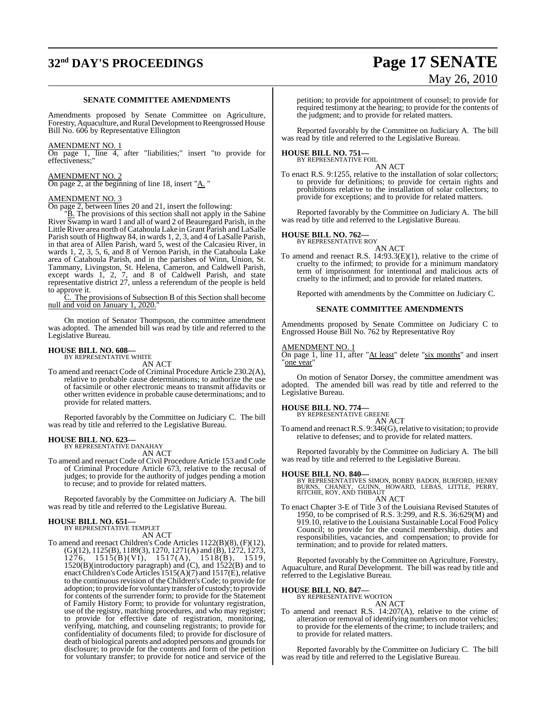# **32nd DAY'S PROCEEDINGS Page 17 SENATE**

#### **SENATE COMMITTEE AMENDMENTS**

Amendments proposed by Senate Committee on Agriculture, Forestry, Aquaculture, and Rural Development to Reengrossed House Bill No. 606 by Representative Ellington

#### AMENDMENT NO. 1

On page 1, line 4, after "liabilities;" insert "to provide for effectiveness;"

## AMENDMENT NO. 2

On page 2, at the beginning of line 18, insert " $\underline{A}$ ."

#### AMENDMENT NO. 3

On page 2, between lines 20 and 21, insert the following:

"B. The provisions of this section shall not apply in the Sabine River Swamp in ward 1 and all of ward 2 of Beauregard Parish, in the Little River area north ofCatahoula Lake in Grant Parish and LaSalle Parish south of Highway 84, in wards 1, 2, 3, and 4 of LaSalle Parish, in that area of Allen Parish, ward 5, west of the Calcasieu River, in wards 1, 2, 3, 5, 6, and 8 of Vernon Parish, in the Catahoula Lake area of Catahoula Parish, and in the parishes of Winn, Union, St. Tammany, Livingston, St. Helena, Cameron, and Caldwell Parish, except wards 1, 2, 7, and 8 of Caldwell Parish, and state representative district 27, unless a referendum of the people is held to approve it.

C. The provisions of Subsection B of this Section shall become null and void on January 1, 2020.

On motion of Senator Thompson, the committee amendment was adopted. The amended bill was read by title and referred to the Legislative Bureau.

## **HOUSE BILL NO. 608—** BY REPRESENTATIVE WHITE

AN ACT

To amend and reenact Code of Criminal Procedure Article 230.2(A), relative to probable cause determinations; to authorize the use of facsimile or other electronic means to transmit affidavits or other written evidence in probable cause determinations; and to provide for related matters.

Reported favorably by the Committee on Judiciary C. The bill was read by title and referred to the Legislative Bureau.

#### **HOUSE BILL NO. 623—**

BY REPRESENTATIVE DANAHAY AN ACT

To amend and reenact Code of Civil Procedure Article 153 and Code of Criminal Procedure Article 673, relative to the recusal of judges; to provide for the authority of judges pending a motion to recuse; and to provide for related matters.

Reported favorably by the Committee on Judiciary A. The bill was read by title and referred to the Legislative Bureau.

# **HOUSE BILL NO. 651—** BY REPRESENTATIVE TEMPLET

AN ACT

To amend and reenact Children's Code Articles 1122(B)(8), (F)(12), (G)(12), 1125(B), 1189(3), 1270, 1271(A) and (B), 1272, 1273, 1276, 1515(B)(VI), 1517(A), 1518(B), 1519, 1520(B)(introductory paragraph) and (C), and 1522(B) and to enact Children's Code Articles 1515(A)(7) and 1517(E), relative to the continuous revision of the Children's Code; to provide for adoption; to provide for voluntary transfer of custody; to provide for contents of the surrender form; to provide for the Statement of Family History Form; to provide for voluntary registration, use of the registry, matching procedures, and who may register; to provide for effective date of registration, monitoring, verifying, matching, and counseling registrants; to provide for confidentiality of documents filed; to provide for disclosure of death of biological parents and adopted persons and grounds for disclosure; to provide for the contents and form of the petition for voluntary transfer; to provide for notice and service of the

# May 26, 2010

petition; to provide for appointment of counsel; to provide for required testimony at the hearing; to provide for the contents of the judgment; and to provide for related matters.

Reported favorably by the Committee on Judiciary A. The bill was read by title and referred to the Legislative Bureau.

#### **HOUSE BILL NO. 751—** BY REPRESENTATIVE FOIL

AN ACT

To enact R.S. 9:1255, relative to the installation of solar collectors; to provide for definitions; to provide for certain rights and prohibitions relative to the installation of solar collectors; to provide for exceptions; and to provide for related matters.

Reported favorably by the Committee on Judiciary A. The bill was read by title and referred to the Legislative Bureau.

#### **HOUSE BILL NO. 762—**

BY REPRESENTATIVE ROY

AN ACT To amend and reenact R.S. 14:93.3(E)(1), relative to the crime of cruelty to the infirmed; to provide for a minimum mandatory term of imprisonment for intentional and malicious acts of cruelty to the infirmed; and to provide for related matters.

Reported with amendments by the Committee on Judiciary C.

#### **SENATE COMMITTEE AMENDMENTS**

Amendments proposed by Senate Committee on Judiciary C to Engrossed House Bill No. 762 by Representative Roy

#### AMENDMENT NO. 1

On page 1, line 11, after "At least" delete "six months" and insert "one year"

On motion of Senator Dorsey, the committee amendment was adopted. The amended bill was read by title and referred to the Legislative Bureau.

## **HOUSE BILL NO. 774—** BY REPRESENTATIVE GREENE

AN ACT

To amend and reenact R.S. 9:346(G), relative to visitation; to provide relative to defenses; and to provide for related matters.

Reported favorably by the Committee on Judiciary A. The bill was read by title and referred to the Legislative Bureau.

**HOUSE BILL NO. 840—**<br>BY REPRESENTATIVES SIMON, BOBBY BADON, BURFORD, HENRY<br>BURNS, CHANEY, GUINN, HOWARD, LEBAS, LITTLE, PERRY,<br>RITCHIE, ROY, AND THIBAUT

- AN ACT
- To enact Chapter 3-E of Title 3 of the Louisiana Revised Statutes of 1950, to be comprised of R.S. 3:299, and R.S. 36:629(M) and 919.10, relative to the Louisiana Sustainable Local Food Policy Council; to provide for the council membership, duties and responsibilities, vacancies, and compensation; to provide for termination; and to provide for related matters.

Reported favorably by the Committee on Agriculture, Forestry, Aquaculture, and Rural Development. The bill was read by title and referred to the Legislative Bureau.

#### **HOUSE BILL NO. 847—**

BY REPRESENTATIVE WOOTON AN ACT

To amend and reenact R.S. 14:207(A), relative to the crime of alteration or removal of identifying numbers on motor vehicles; to provide for the elements of the crime; to include trailers; and to provide for related matters.

Reported favorably by the Committee on Judiciary C. The bill was read by title and referred to the Legislative Bureau.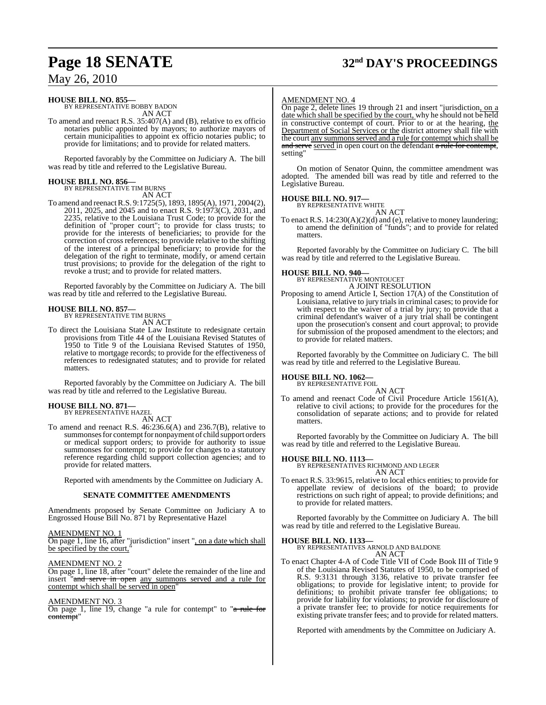# **Page 18 SENATE 32nd DAY'S PROCEEDINGS**

## May 26, 2010

#### **HOUSE BILL NO. 855—**

BY REPRESENTATIVE BOBBY BADON AN ACT

To amend and reenact R.S. 35:407(A) and (B), relative to ex officio notaries public appointed by mayors; to authorize mayors of certain municipalities to appoint ex officio notaries public; to provide for limitations; and to provide for related matters.

Reported favorably by the Committee on Judiciary A. The bill was read by title and referred to the Legislative Bureau.

## **HOUSE BILL NO. 856—** BY REPRESENTATIVE TIM BURNS

AN ACT

To amend and reenactR.S. 9:1725(5), 1893, 1895(A), 1971, 2004(2), 2011, 2025, and 2045 and to enact R.S. 9:1973(C), 2031, and 2235, relative to the Louisiana Trust Code; to provide for the definition of "proper court"; to provide for class trusts; to provide for the interests of beneficiaries; to provide for the correction of cross references; to provide relative to the shifting of the interest of a principal beneficiary; to provide for the delegation of the right to terminate, modify, or amend certain trust provisions; to provide for the delegation of the right to revoke a trust; and to provide for related matters.

Reported favorably by the Committee on Judiciary A. The bill was read by title and referred to the Legislative Bureau.

#### **HOUSE BILL NO. 857—**

BY REPRESENTATIVE TIM BURNS

AN ACT

To direct the Louisiana State Law Institute to redesignate certain provisions from Title 44 of the Louisiana Revised Statutes of 1950 to Title 9 of the Louisiana Revised Statutes of 1950, relative to mortgage records; to provide for the effectiveness of references to redesignated statutes; and to provide for related matters.

Reported favorably by the Committee on Judiciary A. The bill was read by title and referred to the Legislative Bureau.

## **HOUSE BILL NO. 871—**

BY REPRESENTATIVE HAZEL AN ACT

To amend and reenact R.S. 46:236.6(A) and 236.7(B), relative to summonses for contempt for nonpayment of child support orders or medical support orders; to provide for authority to issue summonses for contempt; to provide for changes to a statutory reference regarding child support collection agencies; and to provide for related matters.

Reported with amendments by the Committee on Judiciary A.

#### **SENATE COMMITTEE AMENDMENTS**

Amendments proposed by Senate Committee on Judiciary A to Engrossed House Bill No. 871 by Representative Hazel

AMENDMENT NO. 1 On page 1, line 16, after "jurisdiction" insert ", on a date which shall be specified by the court,

AMENDMENT NO. 2

On page 1, line 18, after "court" delete the remainder of the line and insert "and serve in open any summons served and a rule for contempt which shall be served in open"

#### AMENDMENT NO. 3

On page 1, line 19, change "a rule for contempt" to "a rule for contempt'

#### AMENDMENT NO. 4

On page 2, delete lines 19 through 21 and insert "jurisdiction, on a date which shall be specified by the court, why he should not be held in constructive contempt of court. Prior to or at the hearing, the Department of Social Services or the district attorney shall file with the court any summons served and a rule for contempt which shall be and serve served in open court on the defendant a rule for contempt, setting"

On motion of Senator Quinn, the committee amendment was adopted. The amended bill was read by title and referred to the Legislative Bureau.

#### **HOUSE BILL NO. 917—**

BY REPRESENTATIVE WHITE AN ACT

To enact R.S. 14:230(A)(2)(d) and (e), relative to money laundering; to amend the definition of "funds"; and to provide for related matters.

Reported favorably by the Committee on Judiciary C. The bill was read by title and referred to the Legislative Bureau.

#### **HOUSE BILL NO. 940—**

BY REPRESENTATIVE MONTOUCET A JOINT RESOLUTION

Proposing to amend Article I, Section 17(A) of the Constitution of Louisiana, relative to jury trials in criminal cases; to provide for with respect to the waiver of a trial by jury; to provide that a criminal defendant's waiver of a jury trial shall be contingent upon the prosecution's consent and court approval; to provide for submission of the proposed amendment to the electors; and to provide for related matters.

Reported favorably by the Committee on Judiciary C. The bill was read by title and referred to the Legislative Bureau.

#### **HOUSE BILL NO. 1062—** BY REPRESENTATIVE FOIL

AN ACT

To amend and reenact Code of Civil Procedure Article 1561(A), relative to civil actions; to provide for the procedures for the consolidation of separate actions; and to provide for related matters.

Reported favorably by the Committee on Judiciary A. The bill was read by title and referred to the Legislative Bureau.

**HOUSE BILL NO. 1113—** BY REPRESENTATIVES RICHMOND AND LEGER AN ACT

To enact R.S. 33:9615, relative to local ethics entities; to provide for appellate review of decisions of the board; to provide restrictions on such right of appeal; to provide definitions; and to provide for related matters.

Reported favorably by the Committee on Judiciary A. The bill was read by title and referred to the Legislative Bureau.

#### **HOUSE BILL NO. 1133—**

BY REPRESENTATIVES ARNOLD AND BALDONE AN ACT

To enact Chapter 4-A of Code Title VII of Code Book III of Title 9 of the Louisiana Revised Statutes of 1950, to be comprised of R.S. 9:3131 through 3136, relative to private transfer fee obligations; to provide for legislative intent; to provide for definitions; to prohibit private transfer fee obligations; to provide for liability for violations; to provide for disclosure of a private transfer fee; to provide for notice requirements for existing private transfer fees; and to provide for related matters.

Reported with amendments by the Committee on Judiciary A.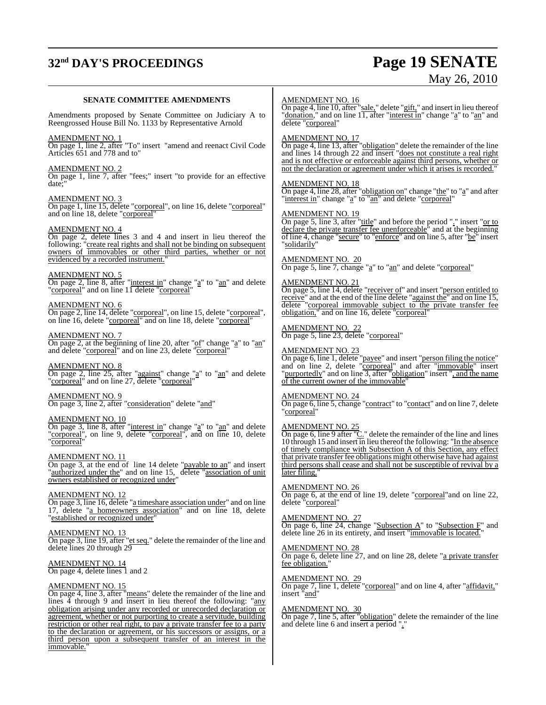# **32nd DAY'S PROCEEDINGS Page 19 SENATE**

# May 26, 2010

#### **SENATE COMMITTEE AMENDMENTS**

Amendments proposed by Senate Committee on Judiciary A to Reengrossed House Bill No. 1133 by Representative Arnold

#### AMENDMENT NO. 1

On page 1, line 2, after "To" insert "amend and reenact Civil Code Articles 651 and 778 and to"

#### AMENDMENT NO. 2

On page 1, line 7, after "fees;" insert "to provide for an effective date;"

#### AMENDMENT NO. 3

On page 1, line 15, delete "corporeal", on line 16, delete "corporeal" and on line 18, delete "corporeal"

#### AMENDMENT NO. 4

On page 2, delete lines 3 and 4 and insert in lieu thereof the following: "create real rights and shall not be binding on subsequent owners of immovables or other third parties, whether or not evidenced by a recorded instrument."

#### AMENDMENT NO. 5

On page 2, line 8, after "interest in" change "a" to "an" and delete "corporeal" and on line 11 delete "corporeal"

#### AMENDMENT NO. 6

On page 2, line 14, delete "corporeal", on line 15, delete "corporeal", on line 16, delete "corporeal" and on line 18, delete "corporeal"

#### AMENDMENT NO. 7

 $\overline{On}$  page 2, at the beginning of line 20, after " $\underline{of}$ " change " $\underline{a}$ " to " $\underline{an}$ " and delete "<u>corporeal</u>" and on line 23, delete "corporeal"

AMENDMENT NO. 8 On page 2, line 25, after "against" change "a" to "an" and delete "corporeal" and on line 27, delete "corporeal"

AMENDMENT NO. 9 On page 3, line 2, after "consideration" delete "and"

#### AMENDMENT NO. 10

On page 3, line 8, after "interest in" change "a" to "an" and delete "corporeal", on line 9, delete "corporeal", and on line 10, delete "corporeal"

#### AMENDMENT NO. 11

On page 3, at the end of line 14 delete "payable to an" and insert "authorized under the" and on line 15, delete "association of unit owners established or recognized under"

## AMENDMENT NO. 12

On page 3, line 16, delete "a timeshare association under" and on line 17, delete "a homeowners association" and on line 18, delete "established or recognized under"

#### AMENDMENT NO. 13

On page 3, line 19, after "et seq." delete the remainder of the line and delete lines 20 through 29

#### AMENDMENT NO. 14 On page 4, delete lines 1 and 2

#### AMENDMENT NO. 15

On page 4, line 3, after "means" delete the remainder of the line and lines 4 through 9 and insert in lieu thereof the following: "any obligation arising under any recorded or unrecorded declaration or agreement, whether or not purporting to create a servitude, building restriction or other real right, to pay a private transfer fee to a party to the declaration or agreement, or his successors or assigns, or a third person upon a subsequent transfer of an interest in the immovable.

#### AMENDMENT NO. 16

On page 4, line 10, after "sale," delete "gift," and insert in lieu thereof "donation," and on line 11, after "interest in" change "a" to "an" and delete "corporeal"

#### AMENDMENT NO. 17

On page 4, line 13, after "obligation" delete the remainder of the line and lines 14 through 22 and insert "does not constitute a real right and is not effective or enforceable against third persons, whether or not the declaration or agreement under which it arises is recorded.

#### AMENDMENT NO. 18

On page 4, line 28, after "obligation on" change "the" to "a" and after "interest in" change "a" to "an" and delete "corporeal"

#### AMENDMENT NO. 19

On page 5, line 3, after "title" and before the period "." insert "or to declare the private transfer fee unenforceable<sup>\*</sup> and at the beginning of line 4, change "secure" to "enforce" and on line 5, after "be" insert "solidarily"

## AMENDMENT NO. 20

 $\overline{\text{On page 5, line 7, change}}$  "a" to "an" and delete "corporeal"

#### AMENDMENT NO. 21

On page 5, line 14, delete "receiver of" and insert "person entitled to receive" and at the end of the line delete "against the" and on line 15, delete "corporeal immovable subject to the private transfer fee obligation," and on line 16, delete "corporeal"

#### AMENDMENT NO. 22

On page 5, line 23, delete "corporeal"

#### AMENDMENT NO. 23

On page 6, line 1, delete "payee" and insert "person filing the notice" and on line 2, delete "corporeal" and after "immovable" insert "purportedly" and on line 3, after "obligation" insert ", and the name of the current owner of the immovable

#### AMENDMENT NO. 24

On page 6, line 5, change "contract" to "contact" and on line 7, delete "corporeal"

#### AMENDMENT NO. 25

On page 6, line 9 after " $C$ ." delete the remainder of the line and lines 10 through 15 and insert in lieu thereof the following: "In the absence of timely compliance with Subsection A of this Section, any effect that private transfer fee obligations might otherwise have had against third persons shall cease and shall not be susceptible of revival by a later filing."

#### AMENDMENT NO. 26

On page 6, at the end of line 19, delete "corporeal" and on line 22, delete "corporeal"

#### AMENDMENT NO. 27

On page 6, line 24, change "Subsection A" to "Subsection F" and delete line 26 in its entirety, and insert "immovable is located."

#### AMENDMENT NO. 28

On page 6, delete line 27, and on line 28, delete "a private transfer fee obligation."

#### AMENDMENT NO. 29

On page 7, line 1, delete "corporeal" and on line 4, after "affidavit," insert "and"

#### AMENDMENT NO. 30

On page 7, line 5, after "obligation" delete the remainder of the line and delete line 6 and insert a period "."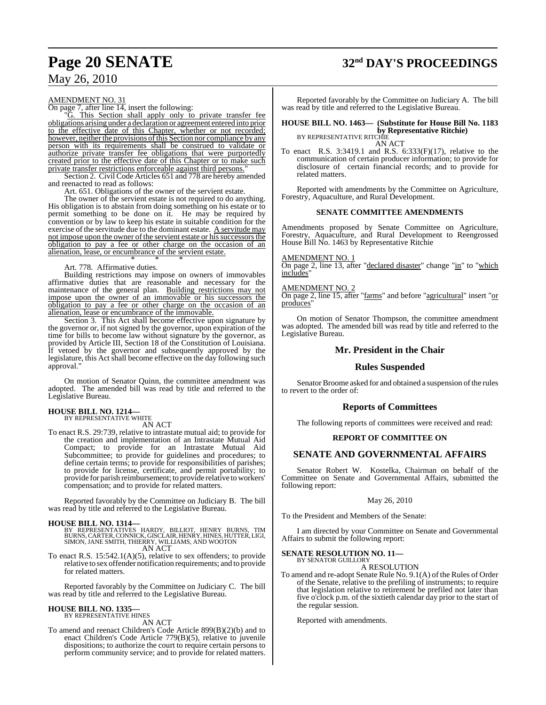# **Page 20 SENATE 32nd DAY'S PROCEEDINGS**

## May 26, 2010

#### AMENDMENT NO. 31

On page 7, after line 14, insert the following:

"G. This Section shall apply only to private transfer fee obligations arising under a declaration or agreement entered into prior to the effective date of this Chapter, whether or not recorded; however, neither the provisions of this Section nor compliance by any person with its requirements shall be construed to validate or authorize private transfer fee obligations that were purportedly created prior to the effective date of this Chapter or to make such private transfer restrictions enforceable against third persons."

Section 2. Civil Code Articles 651 and 778 are hereby amended and reenacted to read as follows:

Art. 651. Obligations of the owner of the servient estate.

The owner of the servient estate is not required to do anything. His obligation is to abstain from doing something on his estate or to permit something to be done on it. He may be required by convention or by law to keep his estate in suitable condition for the exercise of the servitude due to the dominant estate. A servitude may not impose upon the owner of the servient estate or his successors the obligation to pay a fee or other charge on the occasion of an alienation, lease, or encumbrance of the servient estate. \* \* \*

#### Art. 778. Affirmative duties.

Building restrictions may impose on owners of immovables affirmative duties that are reasonable and necessary for the maintenance of the general plan. Building restrictions may not impose upon the owner of an immovable or his successors the obligation to pay a fee or other charge on the occasion of an alienation, lease or encumbrance of the immovable.

Section 3. This Act shall become effective upon signature by the governor or, if not signed by the governor, upon expiration of the time for bills to become law without signature by the governor, as provided by Article III, Section 18 of the Constitution of Louisiana. If vetoed by the governor and subsequently approved by the legislature, this Act shall become effective on the day following such approval."

On motion of Senator Quinn, the committee amendment was adopted. The amended bill was read by title and referred to the Legislative Bureau.

#### **HOUSE BILL NO. 1214—** BY REPRESENTATIVE WHITE

AN ACT

To enact R.S. 29:739, relative to intrastate mutual aid; to provide for the creation and implementation of an Intrastate Mutual Aid Compact; to provide for an Intrastate Mutual Aid Subcommittee; to provide for guidelines and procedures; to define certain terms; to provide for responsibilities of parishes; to provide for license, certificate, and permit portability; to provide for parish reimbursement; to provide relative to workers' compensation; and to provide for related matters.

Reported favorably by the Committee on Judiciary B. The bill was read by title and referred to the Legislative Bureau.

#### **HOUSE BILL NO. 1314—**

- BY REPRESENTATIVES HARDY, BILLIOT, HENRY BURNS, TIM<br>BURNS,CARTER,CONNICK,GISCLAIR,HENRY,HINES,HUTTER,LIGI,<br>SIMON,JANE SMITH,THIERRY,WILLIAMS,AND WOOTON<br>AN ACT
- To enact R.S. 15:542.1(A)(5), relative to sex offenders; to provide relative to sex offender notification requirements; and to provide for related matters.

Reported favorably by the Committee on Judiciary C. The bill was read by title and referred to the Legislative Bureau.

## **HOUSE BILL NO. 1335—** BY REPRESENTATIVE HINES

AN ACT

To amend and reenact Children's Code Article 899(B)(2)(b) and to enact Children's Code Article 779(B)(5), relative to juvenile dispositions; to authorize the court to require certain persons to perform community service; and to provide for related matters.

Reported favorably by the Committee on Judiciary A. The bill was read by title and referred to the Legislative Bureau.

**HOUSE BILL NO. 1463— (Substitute for House Bill No. 1183 by Representative Ritchie)**<br>BY REPRESENTATIVE RITCHIE

AN ACT

To enact R.S. 3:3419.1 and R.S. 6:333(F)(17), relative to the communication of certain producer information; to provide for disclosure of certain financial records; and to provide for related matters.

Reported with amendments by the Committee on Agriculture, Forestry, Aquaculture, and Rural Development.

#### **SENATE COMMITTEE AMENDMENTS**

Amendments proposed by Senate Committee on Agriculture, Forestry, Aquaculture, and Rural Development to Reengrossed House Bill No. 1463 by Representative Ritchie

#### AMENDMENT NO. 1

On page 2, line 13, after "declared disaster" change "in" to "which includes"

#### AMENDMENT NO. 2

On page 2, line 15, after "farms" and before "agricultural" insert "or produces"

On motion of Senator Thompson, the committee amendment was adopted. The amended bill was read by title and referred to the Legislative Bureau.

#### **Mr. President in the Chair**

#### **Rules Suspended**

Senator Broome asked for and obtained a suspension of the rules to revert to the order of:

#### **Reports of Committees**

The following reports of committees were received and read:

#### **REPORT OF COMMITTEE ON**

#### **SENATE AND GOVERNMENTAL AFFAIRS**

Senator Robert W. Kostelka, Chairman on behalf of the Committee on Senate and Governmental Affairs, submitted the following report:

#### May 26, 2010

To the President and Members of the Senate:

I am directed by your Committee on Senate and Governmental Affairs to submit the following report:

#### **SENATE RESOLUTION NO. 11—** BY SENATOR GUILLORY

A RESOLUTION

To amend and re-adopt Senate Rule No. 9.1(A) of the Rules of Order of the Senate, relative to the prefiling of instruments; to require that legislation relative to retirement be prefiled not later than five o'clock p.m. of the sixtieth calendar day prior to the start of the regular session.

Reported with amendments.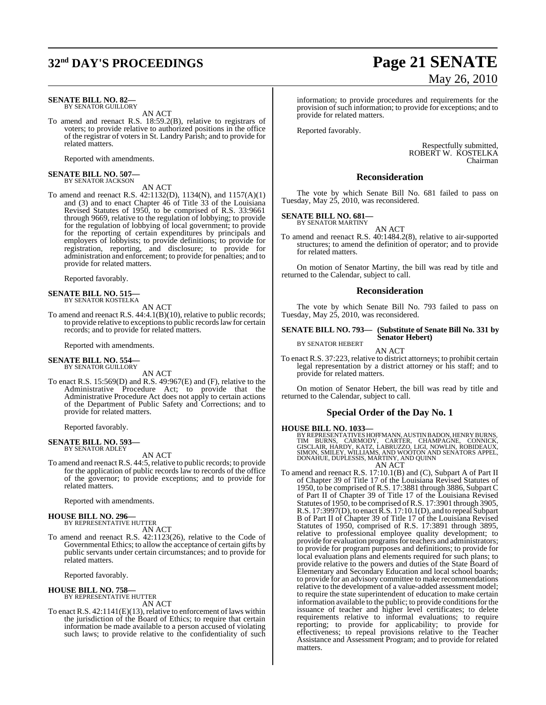## **32nd DAY'S PROCEEDINGS Page 21 SENATE**

#### **SENATE BILL NO. 82—** BY SENATOR GUILLORY

AN ACT

To amend and reenact R.S. 18:59.2(B), relative to registrars of voters; to provide relative to authorized positions in the office of the registrar of voters in St. Landry Parish; and to provide for related matters.

Reported with amendments.

## **SENATE BILL NO. 507—** BY SENATOR JACKSON

AN ACT

To amend and reenact R.S. 42:1132(D), 1134(N), and 1157(A)(1) and (3) and to enact Chapter 46 of Title 33 of the Louisiana Revised Statutes of 1950, to be comprised of R.S. 33:9661 through 9669, relative to the regulation of lobbying; to provide for the regulation of lobbying of local government; to provide for the reporting of certain expenditures by principals and employers of lobbyists; to provide definitions; to provide for registration, reporting, and disclosure; to provide for administration and enforcement; to provide for penalties; and to provide for related matters.

Reported favorably.

**SENATE BILL NO. 515—** BY SENATOR KOSTELKA

AN ACT To amend and reenact R.S. 44:4.1(B)(10), relative to public records;

to provide relative to exceptions to public records law for certain records; and to provide for related matters.

Reported with amendments.

#### **SENATE BILL NO. 554—** BY SENATOR GUILLORY

AN ACT

To enact R.S. 15:569(D) and R.S. 49:967(E) and (F), relative to the Administrative Procedure Act; to provide that the Administrative Procedure Act does not apply to certain actions of the Department of Public Safety and Corrections; and to provide for related matters.

Reported favorably.

#### **SENATE BILL NO. 593—** BY SENATOR ADLEY

AN ACT

To amend and reenact R.S. 44:5, relative to public records; to provide for the application of public records law to records of the office of the governor; to provide exceptions; and to provide for related matters.

Reported with amendments.

## **HOUSE BILL NO. 296—** BY REPRESENTATIVE HUTTER

AN ACT

To amend and reenact R.S. 42:1123(26), relative to the Code of Governmental Ethics; to allow the acceptance of certain gifts by public servants under certain circumstances; and to provide for related matters.

Reported favorably.

#### **HOUSE BILL NO. 758—**

BY REPRESENTATIVE HUTTER AN ACT

To enact R.S. 42:1141(E)(13), relative to enforcement of laws within the jurisdiction of the Board of Ethics; to require that certain information be made available to a person accused of violating such laws; to provide relative to the confidentiality of such

# May 26, 2010

information; to provide procedures and requirements for the provision of such information; to provide for exceptions; and to provide for related matters.

Reported favorably.

Respectfully submitted, ROBERT W. KOSTELKA Chairman

#### **Reconsideration**

The vote by which Senate Bill No. 681 failed to pass on Tuesday, May 25, 2010, was reconsidered.

#### **SENATE BILL NO. 681—**

BY SENATOR MARTINY AN ACT

To amend and reenact R.S. 40:1484.2(8), relative to air-supported structures; to amend the definition of operator; and to provide for related matters.

On motion of Senator Martiny, the bill was read by title and returned to the Calendar, subject to call.

#### **Reconsideration**

The vote by which Senate Bill No. 793 failed to pass on Tuesday, May 25, 2010, was reconsidered.

#### **SENATE BILL NO. 793— (Substitute of Senate Bill No. 331 by Senator Hebert)**

BY SENATOR HEBERT

AN ACT To enact R.S. 37:223, relative to district attorneys; to prohibit certain legal representation by a district attorney or his staff; and to provide for related matters.

On motion of Senator Hebert, the bill was read by title and returned to the Calendar, subject to call.

#### **Special Order of the Day No. 1**

#### **HOUSE BILL NO. 1033—**

BY REPRESENTATIVES HOFFMANN, AUSTIN BADON, HENRY BURNS,<br>TIM BURNS, CARMODY, CARTER, CHAMPAGNE, CONNICK,<br>GISCLAIR, HARDY, KATZ, LABRUZZO, LIGI, NOWLIN, ROBIDEAUX,<br>SIMON, SMILEY, WILLIAMS, AND WOOTON AND SENATORS APPEL,<br>DONA AN ACT

To amend and reenact R.S. 17:10.1(B) and (C), Subpart A of Part II of Chapter 39 of Title 17 of the Louisiana Revised Statutes of 1950, to be comprised of R.S. 17:3881 through 3886, Subpart C of Part II of Chapter 39 of Title 17 of the Louisiana Revised Statutes of 1950, to be comprised ofR.S. 17:3901 through 3905, R.S. 17:3997(D), to enact  $\bar{\rm R}$ .S. 17:10.1(D), and to repeal Subpart B of Part II of Chapter 39 of Title 17 of the Louisiana Revised Statutes of 1950, comprised of R.S. 17:3891 through 3895, relative to professional employee quality development; to provide for evaluation programs for teachers and administrators; to provide for program purposes and definitions; to provide for local evaluation plans and elements required for such plans; to provide relative to the powers and duties of the State Board of Elementary and Secondary Education and local school boards; to provide for an advisory committee to make recommendations relative to the development of a value-added assessment model; to require the state superintendent of education to make certain information available to the public; to provide conditionsforthe issuance of teacher and higher level certificates; to delete requirements relative to informal evaluations; to require reporting; to provide for applicability; to provide for effectiveness; to repeal provisions relative to the Teacher Assistance and Assessment Program; and to provide for related matters.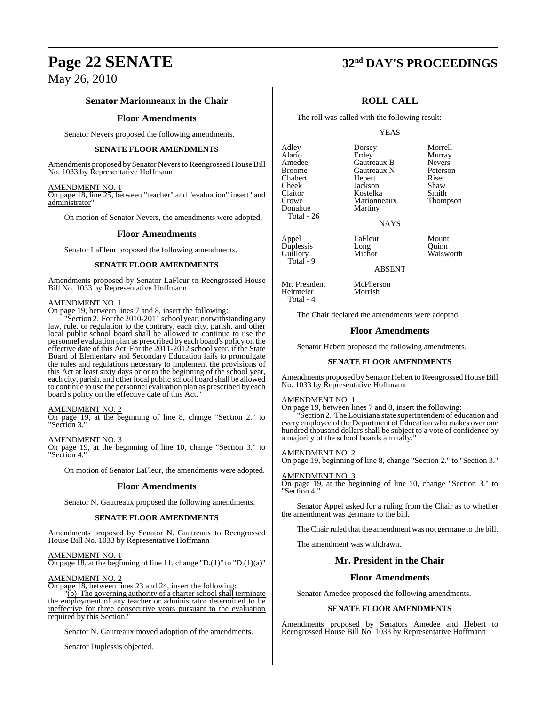## **Senator Marionneaux in the Chair**

### **Floor Amendments**

Senator Nevers proposed the following amendments.

#### **SENATE FLOOR AMENDMENTS**

Amendments proposed by Senator Nevers to Reengrossed House Bill No. 1033 by Representative Hoffmann

#### AMENDMENT NO. 1

On page 18, line 25, between "teacher" and "evaluation" insert "and administrator

On motion of Senator Nevers, the amendments were adopted.

#### **Floor Amendments**

Senator LaFleur proposed the following amendments.

#### **SENATE FLOOR AMENDMENTS**

Amendments proposed by Senator LaFleur to Reengrossed House Bill No. 1033 by Representative Hoffmann

#### AMENDMENT NO. 1

On page 19, between lines 7 and 8, insert the following:

"Section 2. For the 2010-2011 school year, notwithstanding any law, rule, or regulation to the contrary, each city, parish, and other local public school board shall be allowed to continue to use the personnel evaluation plan as prescribed by each board's policy on the effective date of this Act. For the 2011-2012 school year, if the State Board of Elementary and Secondary Education fails to promulgate the rules and regulations necessary to implement the provisions of this Act at least sixty days prior to the beginning of the school year, each city, parish, and other local public school board shall be allowed to continue to use the personnel evaluation plan as prescribed by each board's policy on the effective date of this Act."

#### AMENDMENT NO. 2

On page 19, at the beginning of line 8, change "Section 2." to "Section 3."

#### AMENDMENT NO. 3

On page 19, at the beginning of line 10, change "Section 3." to Section 4."

On motion of Senator LaFleur, the amendments were adopted.

#### **Floor Amendments**

Senator N. Gautreaux proposed the following amendments.

#### **SENATE FLOOR AMENDMENTS**

Amendments proposed by Senator N. Gautreaux to Reengrossed House Bill No. 1033 by Representative Hoffmann

AMENDMENT NO. 1

On page 18, at the beginning of line 11, change " $D(1)$ " to " $D(1)(a)$ "

#### AMENDMENT NO. 2

On page 18, between lines 23 and 24, insert the following:

"(b) The governing authority of a charter school shall terminate the employment of any teacher or administrator determined to be ineffective for three consecutive years pursuant to the evaluation required by this Section."

Senator N. Gautreaux moved adoption of the amendments.

Senator Duplessis objected.

## **Page 22 SENATE 32nd DAY'S PROCEEDINGS**

## **ROLL CALL**

The roll was called with the following result:

#### YEAS

Adley Dorsey Morrell Alario Erdey Murray Amedee Gautreaux B Nevers<br>Broome Gautreaux N Peterson Chabert Hebert Riser<br>
Cheek Jackson Shaw Cheek Jackson Shaw<br>Claitor Kostelka Smith Crowe Marionneaux<br>
Donahue Martiny Donahue Total - 26

Guillory

Heitmeier Total - 4 Gautreaux N Peters<br>
Hebert Riser Kostelka Smith<br>Marionneaux Thompson

**NAYS** 

Appel LaFleur Mount<br>Duplessis Long Quinn<br>Guillory Michot Walsw Duplessis Long Quinn<br>Guillory Michot Walsworth Total - 9

ABSENT

Mr. President McPherson<br>
Heitmeier Morrish

The Chair declared the amendments were adopted.

#### **Floor Amendments**

Senator Hebert proposed the following amendments.

#### **SENATE FLOOR AMENDMENTS**

Amendments proposed by Senator Hebert to Reengrossed House Bill No. 1033 by Representative Hoffmann

#### AMENDMENT NO. 1

On page 19, between lines 7 and 8, insert the following:

Section 2. The Louisiana state superintendent of education and every employee of the Department of Education who makes over one hundred thousand dollars shall be subject to a vote of confidence by a majority of the school boards annually."

AMENDMENT NO. 2 On page 19, beginning of line 8, change "Section 2." to "Section 3."

AMENDMENT NO. 3 On page 19, at the beginning of line 10, change "Section 3." to "Section 4."

Senator Appel asked for a ruling from the Chair as to whether the amendment was germane to the bill.

The Chair ruled that the amendment was not germane to the bill.

The amendment was withdrawn.

#### **Mr. President in the Chair**

#### **Floor Amendments**

Senator Amedee proposed the following amendments.

#### **SENATE FLOOR AMENDMENTS**

Amendments proposed by Senators Amedee and Hebert to Reengrossed House Bill No. 1033 by Representative Hoffmann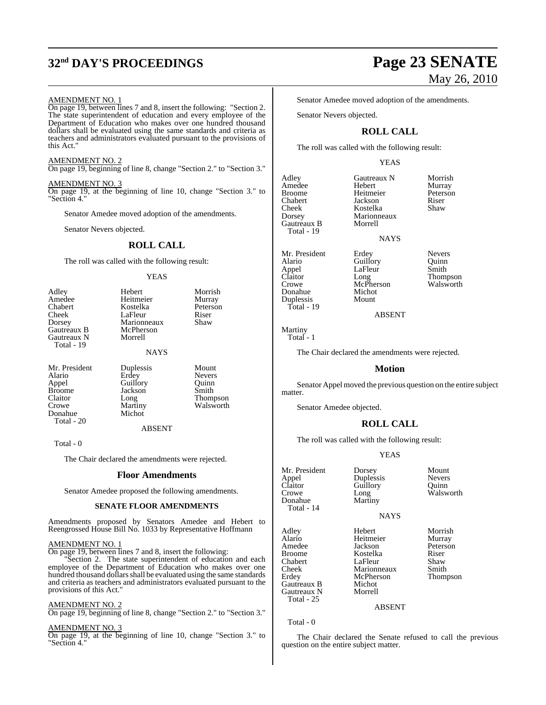# **32nd DAY'S PROCEEDINGS Page 23 SENATE**

#### AMENDMENT NO. 1

On page 19, between lines 7 and 8, insert the following: "Section 2. The state superintendent of education and every employee of the Department of Education who makes over one hundred thousand dollars shall be evaluated using the same standards and criteria as teachers and administrators evaluated pursuant to the provisions of this Act."

## AMENDMENT NO. 2

On page 19, beginning of line 8, change "Section 2." to "Section 3."

#### AMENDMENT NO. 3

On page 19, at the beginning of line 10, change "Section 3." to "Section 4."

Senator Amedee moved adoption of the amendments.

Senator Nevers objected.

## **ROLL CALL**

The roll was called with the following result:

#### YEAS

Hebert Morrish<br>
Heitmeier Murray Heitmeier Murray<br>Kostelka Peterson Kostelka Peters<br>LaFleur Riser LaFleur Riser<br>Marionneaux Shaw Marionneaux McPherson Morrell

#### NAYS

Mr. President Duplessis Mount<br>Alario Erdey Nevers Alario Erdey Nevers Appel Guillory Quinn<br>Broome Jackson Smith Broome Jackson<br>Claitor Long Claitor Long Thompson<br>Crowe Martiny Walsworth Donahue Total - 20

Martiny Walsworth<br>Michot

ABSENT

Total - 0

The Chair declared the amendments were rejected.

#### **Floor Amendments**

Senator Amedee proposed the following amendments.

#### **SENATE FLOOR AMENDMENTS**

Amendments proposed by Senators Amedee and Hebert to Reengrossed House Bill No. 1033 by Representative Hoffmann

#### AMENDMENT NO. 1

On page 19, between lines 7 and 8, insert the following:

Section 2. The state superintendent of education and each employee of the Department of Education who makes over one hundred thousand dollars shall be evaluated using the same standards and criteria as teachers and administrators evaluated pursuant to the provisions of this Act."

#### AMENDMENT NO. 2

On page 19, beginning of line 8, change "Section 2." to "Section 3."

#### AMENDMENT NO. 3

On page 19, at the beginning of line 10, change "Section 3." to "Section 4."

# May 26, 2010

Senator Amedee moved adoption of the amendments.

Senator Nevers objected.

## **ROLL CALL**

The roll was called with the following result:

#### YEAS

Adley Gautreaux N Morrish<br>Amedee Hebert Murray Amedee Hebert Murray Chabert Jackson Riser Cheek Kostelka<br>Dorsey Marionne Gautreaux B Total - 19

Heitmeier Peters<br>Lackson Riser Marionneaux<br>Morrell

NAYS

Mr. President Erdey Nevers<br>Alario Guillory Ouinn Guillory Appel LaFleur Smith<br>Claitor Long Thom McPherson<br>Michot Donahue Michot<br>Duplessis Mount

Claitor Long Thompson<br>Crowe McPherson Walsworth

ABSENT

Martiny Total - 1

Duplessis Total - 19

The Chair declared the amendments were rejected.

#### **Motion**

Senator Appel moved the previous question on the entire subject matter.

Senator Amedee objected.

## **ROLL CALL**

The roll was called with the following result:

#### YEAS

Mr. President Dorsey Mount<br>
Appel Duplessis Nevers Appel Duplessis Nevers Claitor Guillory<br>Crowe Long Donahue Total - 14

Long Walsworth

#### NAYS

Adley Hebert Morrish Alario Heitmeier Murray<br>Amedee Jackson Peterson Amedee Jackson Peters<br>Broome Kostelka Riser Chabert LaFleur Shaw<br>Cheek Marionneaux Smith Erdey McPherson Thompson<br>Gautreaux B Michot Gautreaux B Michot<br>Gautreaux N Morrell Gautreaux N Total - 25

Kostelka Riser<br>LaFleur Shaw Marionneaux<br>McPherson

#### ABSENT

Total - 0

The Chair declared the Senate refused to call the previous question on the entire subject matter.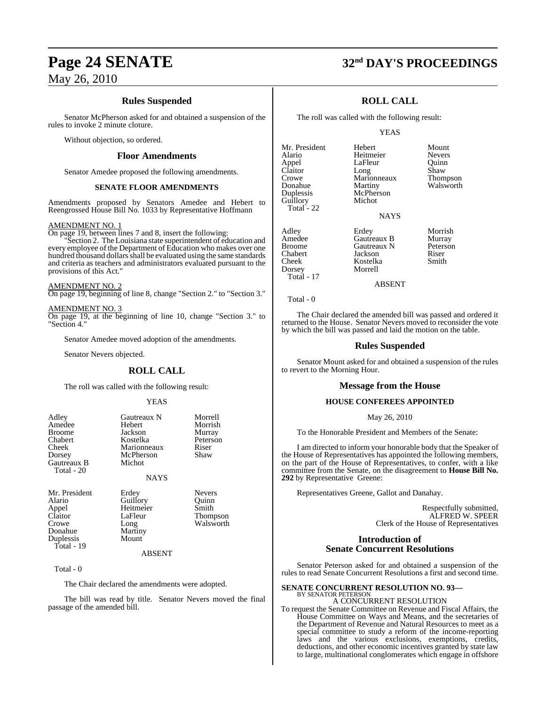## **Rules Suspended**

Senator McPherson asked for and obtained a suspension of the rules to invoke 2 minute cloture.

Without objection, so ordered.

#### **Floor Amendments**

Senator Amedee proposed the following amendments.

#### **SENATE FLOOR AMENDMENTS**

Amendments proposed by Senators Amedee and Hebert to Reengrossed House Bill No. 1033 by Representative Hoffmann

#### AMENDMENT NO. 1

On page 19, between lines 7 and 8, insert the following:

"Section 2. The Louisiana state superintendent of education and every employee of the Department of Education who makes over one hundred thousand dollars shall be evaluated using the same standards and criteria as teachers and administrators evaluated pursuant to the provisions of this Act."

AMENDMENT NO. 2

On page 19, beginning of line 8, change "Section 2." to "Section 3."

#### AMENDMENT NO. 3

On page 19, at the beginning of line 10, change "Section 3." to "Section 4."

Senator Amedee moved adoption of the amendments.

Senator Nevers objected.

## **ROLL CALL**

The roll was called with the following result:

#### YEAS

| Adley<br>Amedee<br>Broome<br>Chabert<br>Cheek<br>Dorsey<br>Gautreaux B<br>Total - 20 | Gautreaux N<br>Hebert<br>Jackson<br>Kostelka<br>Marionneaux<br>McPherson<br>Michot<br><b>NAYS</b> | Morrell<br>Morrish<br>Murray<br>Peterson<br>Riser<br>Shaw |
|--------------------------------------------------------------------------------------|---------------------------------------------------------------------------------------------------|-----------------------------------------------------------|
| Mr. President                                                                        | Erdey                                                                                             | <b>Nevers</b>                                             |
| Alario                                                                               | Guillory                                                                                          | Ouinn                                                     |
| Appel                                                                                | Heitmeier                                                                                         | Smith                                                     |
| Claitor                                                                              | LaFleur                                                                                           | <b>Thompson</b>                                           |
| Crowe                                                                                | Long                                                                                              | Walsworth                                                 |

ABSENT

Total - 0

Duplessis Total - 19

**Donahue** Martiny<br> **Dunlessis** Mount

The Chair declared the amendments were adopted.

The bill was read by title. Senator Nevers moved the final passage of the amended bill.

## **Page 24 SENATE 32nd DAY'S PROCEEDINGS**

## **ROLL CALL**

The roll was called with the following result:

#### YEAS

Mr. President Hebert Mount<br>Alario Heitmeier Nevers Appel LaFleur Quinn<br>Claitor Long Shaw Claitor Long Shaw<br>Crowe Marionneaux Thompson Crowe Marionneaux<br>Donahue Martiny Donahue Martiny Walsworth<br>
Duplessis McPherson Guillory Total - 22

Heitmeier<br>LaFleur McPherson<br>Michot

**NAYS** 

Adley Erdey Morrish Amedee Gautreaux B Murray<br>Broome Gautreaux N Peterson Broome Gautreaux N Peters<br>
Chabert Jackson Riser Chabert Jackson Riser Dorsey Morrell Total - 17

Kostelka

ABSENT

Total - 0

The Chair declared the amended bill was passed and ordered it returned to the House. Senator Nevers moved to reconsider the vote by which the bill was passed and laid the motion on the table.

#### **Rules Suspended**

Senator Mount asked for and obtained a suspension of the rules to revert to the Morning Hour.

#### **Message from the House**

#### **HOUSE CONFEREES APPOINTED**

May 26, 2010

To the Honorable President and Members of the Senate:

I am directed to inform your honorable body that the Speaker of the House of Representatives has appointed the following members, on the part of the House of Representatives, to confer, with a like committee from the Senate, on the disagreement to **House Bill No. 292** by Representative Greene:

Representatives Greene, Gallot and Danahay.

Respectfully submitted, ALFRED W. SPEER Clerk of the House of Representatives

#### **Introduction of Senate Concurrent Resolutions**

Senator Peterson asked for and obtained a suspension of the rules to read Senate Concurrent Resolutions a first and second time.

## **SENATE CONCURRENT RESOLUTION NO. 93—** BY SENATOR PETERSON

A CONCURRENT RESOLUTION

To request the Senate Committee on Revenue and Fiscal Affairs, the House Committee on Ways and Means, and the secretaries of the Department of Revenue and Natural Resources to meet as a special committee to study a reform of the income-reporting laws and the various exclusions, exemptions, credits, deductions, and other economic incentives granted by state law to large, multinational conglomerates which engage in offshore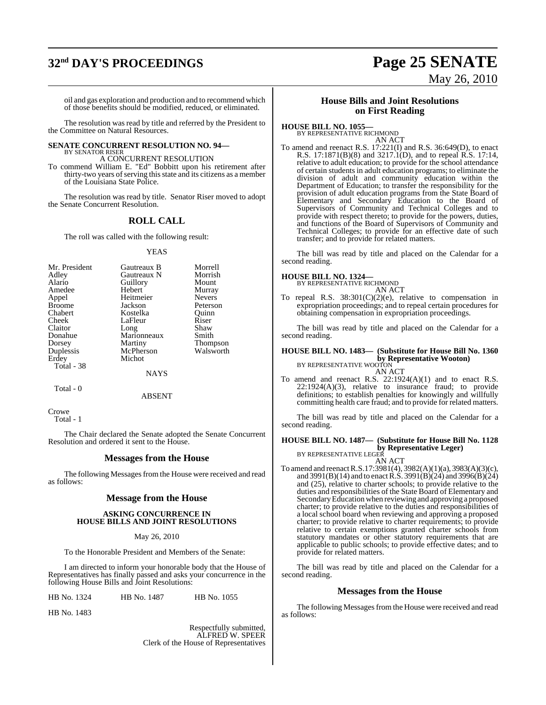# **32nd DAY'S PROCEEDINGS Page 25 SENATE**

# May 26, 2010

oil and gas exploration and production and to recommend which of those benefits should be modified, reduced, or eliminated.

The resolution was read by title and referred by the President to the Committee on Natural Resources.

#### **SENATE CONCURRENT RESOLUTION NO. 94—** BY SENATOR RISER

A CONCURRENT RESOLUTION

To commend William E. "Ed" Bobbitt upon his retirement after thirty-two years of serving this state and its citizens as a member of the Louisiana State Police.

The resolution was read by title. Senator Riser moved to adopt the Senate Concurrent Resolution.

## **ROLL CALL**

The roll was called with the following result:

#### YEAS

| Gautreaux B | Morrell             |
|-------------|---------------------|
| Gautreaux N | Morrish             |
| Guillory    | Mount               |
| Hebert      | Murray              |
| Heitmeier   | <b>Nevers</b>       |
| Jackson     | Peterson            |
| Kostelka    | Ouinn               |
| LaFleur     | Riser               |
|             | Shaw                |
|             | Smith               |
| Martiny     | <b>Thompson</b>     |
| McPherson   | Walsworth           |
| Michot      |                     |
|             |                     |
| <b>NAYS</b> |                     |
|             | Long<br>Marionneaux |

Total - 0

ABSENT

**Crowe** Total - 1

The Chair declared the Senate adopted the Senate Concurrent Resolution and ordered it sent to the House.

#### **Messages from the House**

The following Messages from the House were received and read as follows:

#### **Message from the House**

#### **ASKING CONCURRENCE IN HOUSE BILLS AND JOINT RESOLUTIONS**

#### May 26, 2010

To the Honorable President and Members of the Senate:

I am directed to inform your honorable body that the House of Representatives has finally passed and asks your concurrence in the following House Bills and Joint Resolutions:

HB No. 1324 HB No. 1487 HB No. 1055

HB No. 1483

Respectfully submitted, ALFRED W. SPEER Clerk of the House of Representatives

#### **House Bills and Joint Resolutions on First Reading**

**HOUSE BILL NO. 1055—** BY REPRESENTATIVE RICHMOND

AN ACT To amend and reenact R.S. 17:221(I) and R.S. 36:649(D), to enact R.S. 17:1871(B)(8) and 3217.1(D), and to repeal R.S. 17:14, relative to adult education; to provide for the school attendance of certain students in adult education programs; to eliminate the division of adult and community education within the Department of Education; to transfer the responsibility for the provision of adult education programs from the State Board of Elementary and Secondary Education to the Board of Supervisors of Community and Technical Colleges and to provide with respect thereto; to provide for the powers, duties, and functions of the Board of Supervisors of Community and Technical Colleges; to provide for an effective date of such transfer; and to provide for related matters.

The bill was read by title and placed on the Calendar for a second reading.

## **HOUSE BILL NO. 1324—** BY REPRESENTATIVE RICHMOND

AN ACT

To repeal R.S. 38:301(C)(2)(e), relative to compensation in expropriation proceedings; and to repeal certain procedures for obtaining compensation in expropriation proceedings.

The bill was read by title and placed on the Calendar for a second reading.

## **HOUSE BILL NO. 1483— (Substitute for House Bill No. 1360 by Representative Wooton)**<br>BY REPRESENTATIVE WOOTON

#### AN ACT

To amend and reenact R.S. 22:1924(A)(1) and to enact R.S. 22:1924(A)(3), relative to insurance fraud; to provide definitions; to establish penalties for knowingly and willfully committing health care fraud; and to provide for related matters.

The bill was read by title and placed on the Calendar for a second reading.

## **HOUSE BILL NO. 1487— (Substitute for House Bill No. 1128 by Representative Leger)**<br>BY REPRESENTATIVE LEGER

AN ACT

To amend and reenactR.S.17:3981(4), 3982(A)(1)(a), 3983(A)(3)(c), and 3991(B)(14) and to enact R.S. 3991(B)(24) and 3996(B)(24) and (25), relative to charter schools; to provide relative to the duties and responsibilities of the State Board of Elementary and SecondaryEducation when reviewing and approving a proposed charter; to provide relative to the duties and responsibilities of a local school board when reviewing and approving a proposed charter; to provide relative to charter requirements; to provide relative to certain exemptions granted charter schools from statutory mandates or other statutory requirements that are applicable to public schools; to provide effective dates; and to provide for related matters.

The bill was read by title and placed on the Calendar for a second reading.

#### **Messages from the House**

The following Messages from the House were received and read as follows: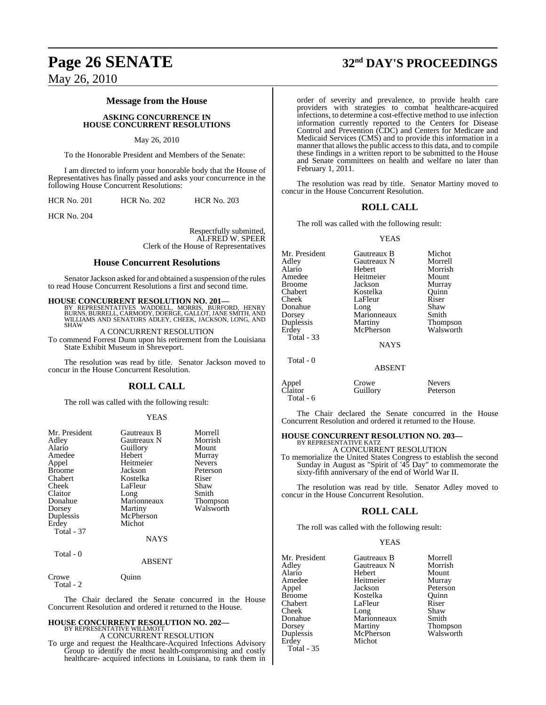#### **Message from the House**

**ASKING CONCURRENCE IN HOUSE CONCURRENT RESOLUTIONS**

#### May 26, 2010

To the Honorable President and Members of the Senate:

I am directed to inform your honorable body that the House of Representatives has finally passed and asks your concurrence in the following House Concurrent Resolutions:

HCR No. 201 HCR No. 202 HCR No. 203

HCR No. 204

Respectfully submitted, ALFRED W. SPEER Clerk of the House of Representatives

#### **House Concurrent Resolutions**

Senator Jackson asked for and obtained a suspension of the rules to read House Concurrent Resolutions a first and second time.

#### **HOUSE CONCURRENT RESOLUTION NO. 201—**

BY REPRESENTATIVES WADDELL, MORRIS, BURFORD, HENRY<br>BURNS, BURRELL, CARMODY, DOERGE, GALLOT, JANE SMITH, AND<br>WILLIAMS AND SENATORS ADLEY, CHEEK, JACKSON, LONG, AND SHAW

A CONCURRENT RESOLUTION

To commend Forrest Dunn upon his retirement from the Louisiana State Exhibit Museum in Shreveport.

The resolution was read by title. Senator Jackson moved to concur in the House Concurrent Resolution.

#### **ROLL CALL**

The roll was called with the following result:

#### YEAS

| Mr. President<br>Adley<br>Alario<br>Amedee<br>Appel<br><b>Broome</b><br>Chabert<br>Cheek<br>Claitor<br>Donahue<br>Dorsey<br>Duplessis<br>Erdey<br>Total - 37 | Gautreaux B<br>Gautreaux N<br>Guillory<br>Hebert<br>Heitmeier<br>Jackson<br>Kostelka<br>LaFleur<br>Long<br>Marionneaux<br>Martiny<br>McPherson<br>Michot<br><b>NAYS</b> | Morrell<br>Morrish<br>Mount<br>Murray<br><b>Nevers</b><br>Peterson<br>Riser<br>Shaw<br>Smith<br><b>Thompson</b><br>Walsworth |
|--------------------------------------------------------------------------------------------------------------------------------------------------------------|-------------------------------------------------------------------------------------------------------------------------------------------------------------------------|------------------------------------------------------------------------------------------------------------------------------|
| Total - 0                                                                                                                                                    | <b>ABSENT</b>                                                                                                                                                           |                                                                                                                              |

Crowe Quinn Total - 2

The Chair declared the Senate concurred in the House Concurrent Resolution and ordered it returned to the House.

## **HOUSE CONCURRENT RESOLUTION NO. 202—** BY REPRESENTATIVE WILLMOTT A CONCURRENT RESOLUTION

To urge and request the Healthcare-Acquired Infections Advisory Group to identify the most health-compromising and costly healthcare- acquired infections in Louisiana, to rank them in

## **Page 26 SENATE 32nd DAY'S PROCEEDINGS**

order of severity and prevalence, to provide health care providers with strategies to combat healthcare-acquired infections, to determine a cost-effective method to use infection information currently reported to the Centers for Disease Control and Prevention (CDC) and Centers for Medicare and Medicaid Services (CMS) and to provide this information in a manner that allows the public access to this data, and to compile these findings in a written report to be submitted to the House and Senate committees on health and welfare no later than February 1, 2011.

The resolution was read by title. Senator Martiny moved to concur in the House Concurrent Resolution.

#### **ROLL CALL**

The roll was called with the following result:

#### YEAS

Mr. President Gautreaux B Michot<br>Adley Gautreaux N Morrell Gautreaux N Alario Hebert Morrish Amedee Heitmeier Mount Broome Jackson Murray Chabert Kostelka Quinn LaFleur Riser<br>Long Shaw Donahue Long Shaw Dorsey Marionneaux<br>
Duplessis Martiny Thompson<br>Walsworth Erdey McPherson Total - 33 **NAYS** Total - 0

ABSENT

|                  | Crowe    | <b>Nevers</b> |
|------------------|----------|---------------|
| Appel<br>Claitor | Guillory | Peterso       |
| Total - 6        |          |               |

The Chair declared the Senate concurred in the House Concurrent Resolution and ordered it returned to the House.

Peterson

#### **HOUSE CONCURRENT RESOLUTION NO. 203—** BY REPRESENTATIVE KATZ

A CONCURRENT RESOLUTION

To memorialize the United States Congress to establish the second Sunday in August as "Spirit of '45 Day" to commemorate the sixty-fifth anniversary of the end of World War II.

The resolution was read by title. Senator Adley moved to concur in the House Concurrent Resolution.

#### **ROLL CALL**

The roll was called with the following result:

#### YEAS

| Mr. President | Gautreaux B | Morrell   |
|---------------|-------------|-----------|
| Adley         | Gautreaux N | Morrish   |
| Alario        | Hebert      | Mount     |
| Amedee        | Heitmeier   | Murray    |
| Appel         | Jackson     | Peterson  |
| Broome        | Kostelka    | Ouinn     |
| Chabert       | LaFleur     | Riser     |
| Cheek         | Long        | Shaw      |
| Donahue       | Marionneaux | Smith     |
| Dorsey        | Martiny     | Thompson  |
| Duplessis     | McPherson   | Walsworth |
| Erdey         | Michot      |           |
| $Total - 35$  |             |           |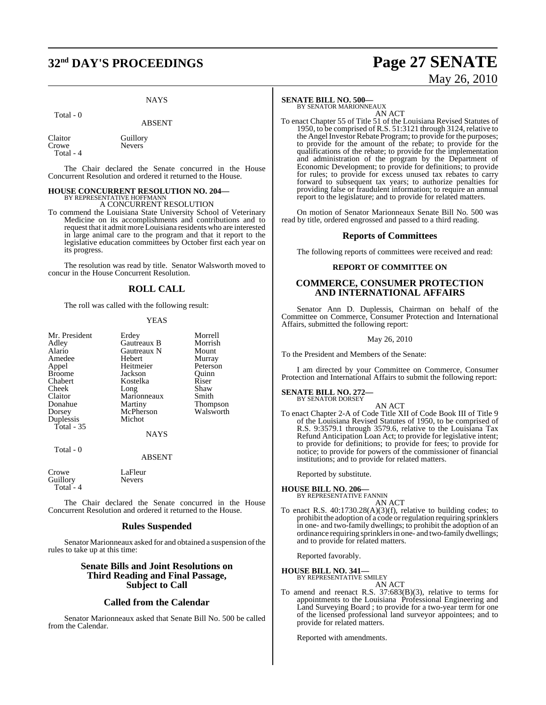## **32nd DAY'S PROCEEDINGS Page 27 SENATE**

#### **NAYS**

#### Total - 0

ABSENT

Claitor Guillory<br>Crowe Nevers Nevers<sup>1</sup> Total - 4

The Chair declared the Senate concurred in the House Concurrent Resolution and ordered it returned to the House.

## **HOUSE CONCURRENT RESOLUTION NO. 204—** BY REPRESENTATIVE HOFFMANN

A CONCURRENT RESOLUTION

To commend the Louisiana State University School of Veterinary Medicine on its accomplishments and contributions and to request that it admit more Louisiana residents who are interested in large animal care to the program and that it report to the legislative education committees by October first each year on its progress.

The resolution was read by title. Senator Walsworth moved to concur in the House Concurrent Resolution.

## **ROLL CALL**

The roll was called with the following result:

#### **YEAS**

| Mr. President |             | Morrell         |
|---------------|-------------|-----------------|
|               | Erdey       |                 |
| Adley         | Gautreaux B | Morrish         |
| Alario        | Gautreaux N | Mount           |
| Amedee        | Hebert      | Murray          |
| Appel         | Heitmeier   | Peterson        |
| Broome        | Jackson     | Ouinn           |
| Chabert       | Kostelka    | Riser           |
| Cheek         | Long        | Shaw            |
| Claitor       | Marionneaux | Smith           |
| Donahue       | Martiny     | <b>Thompson</b> |
| Dorsey        | McPherson   | Walsworth       |
| Duplessis     | Michot      |                 |
| Total - 35    |             |                 |
|               | <b>NAYS</b> |                 |
|               |             |                 |

ABSENT

Crowe LaFleur<br>Guillory Nevers Guillory Total  $-4$ 

Total - 0

The Chair declared the Senate concurred in the House Concurrent Resolution and ordered it returned to the House.

#### **Rules Suspended**

Senator Marionneaux asked for and obtained a suspension of the rules to take up at this time:

### **Senate Bills and Joint Resolutions on Third Reading and Final Passage, Subject to Call**

#### **Called from the Calendar**

Senator Marionneaux asked that Senate Bill No. 500 be called from the Calendar.

#### **SENATE BILL NO. 500—**

BY SENATOR MARIONNEAUX

AN ACT To enact Chapter 55 of Title 51 of the Louisiana Revised Statutes of 1950, to be comprised of R.S. 51:3121 through 3124, relative to the Angel Investor Rebate Program; to provide for the purposes; to provide for the amount of the rebate; to provide for the qualifications of the rebate; to provide for the implementation and administration of the program by the Department of Economic Development; to provide for definitions; to provide for rules; to provide for excess unused tax rebates to carry forward to subsequent tax years; to authorize penalties for providing false or fraudulent information; to require an annual report to the legislature; and to provide for related matters.

On motion of Senator Marionneaux Senate Bill No. 500 was read by title, ordered engrossed and passed to a third reading.

#### **Reports of Committees**

The following reports of committees were received and read:

#### **REPORT OF COMMITTEE ON**

#### **COMMERCE, CONSUMER PROTECTION AND INTERNATIONAL AFFAIRS**

Senator Ann D. Duplessis, Chairman on behalf of the Committee on Commerce, Consumer Protection and International Affairs, submitted the following report:

#### May 26, 2010

To the President and Members of the Senate:

I am directed by your Committee on Commerce, Consumer Protection and International Affairs to submit the following report:

#### **SENATE BILL NO. 272** BY SENATOR DORSEY

AN ACT

To enact Chapter 2-A of Code Title XII of Code Book III of Title 9 of the Louisiana Revised Statutes of 1950, to be comprised of R.S. 9:3579.1 through 3579.6, relative to the Louisiana Tax Refund Anticipation Loan Act; to provide for legislative intent; to provide for definitions; to provide for fees; to provide for notice; to provide for powers of the commissioner of financial institutions; and to provide for related matters.

Reported by substitute.

**HOUSE BILL NO. 206—** BY REPRESENTATIVE FANNIN

AN ACT

To enact R.S. 40:1730.28(A)(3)(f), relative to building codes; to prohibit the adoption of a code orregulation requiring sprinklers in one- and two-family dwellings; to prohibit the adoption of an ordinance requiring sprinklersin one- and two-family dwellings; and to provide for related matters.

Reported favorably.

#### **HOUSE BILL NO. 341—**

BY REPRESENTATIVE SMILEY AN ACT

To amend and reenact R.S. 37:683(B)(3), relative to terms for appointments to the Louisiana Professional Engineering and Land Surveying Board ; to provide for a two-year term for one of the licensed professional land surveyor appointees; and to provide for related matters.

Reported with amendments.

May 26, 2010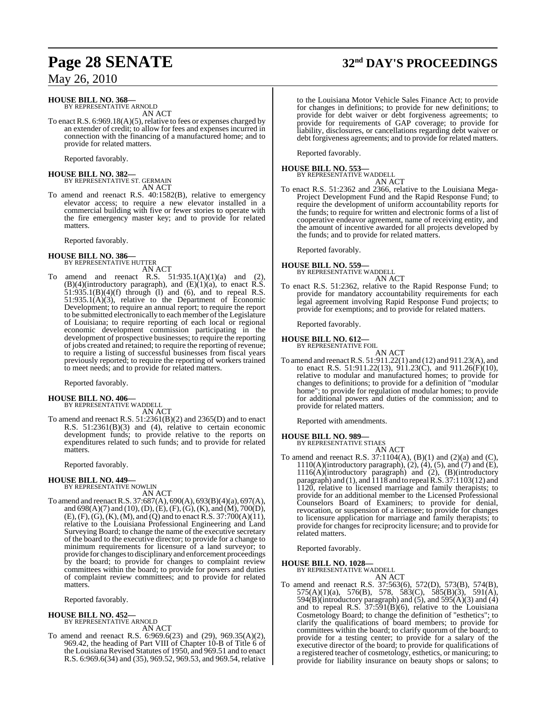## **HOUSE BILL NO. 368—**

BY REPRESENTATIVE ARNOLD AN ACT

To enact R.S. 6:969.18(A)(5), relative to fees or expenses charged by an extender of credit; to allow for fees and expenses incurred in connection with the financing of a manufactured home; and to provide for related matters.

Reported favorably.

## **HOUSE BILL NO. 382—** BY REPRESENTATIVE ST. GERMAIN AN ACT

To amend and reenact R.S. 40:1582(B), relative to emergency elevator access; to require a new elevator installed in a commercial building with five or fewer stories to operate with the fire emergency master key; and to provide for related matters.

Reported favorably.

#### **HOUSE BILL NO. 386—** BY REPRESENTATIVE HUTTER

AN ACT To amend and reenact R.S.  $51:935.1(A)(1)(a)$  and (2),  $(B)(4)$ (introductory paragraph), and  $(E)(1)(a)$ , to enact R.S. 51:935.1(B)(4)(f) through (l) and (6), and to repeal R.S. 51:935.1(A)(3), relative to the Department of Economic Development; to require an annual report; to require the report to be submitted electronically to each member of the Legislature of Louisiana; to require reporting of each local or regional economic development commission participating in the development of prospective businesses; to require the reporting of jobs created and retained; to require the reporting of revenue; to require a listing of successful businesses from fiscal years previously reported; to require the reporting of workers trained to meet needs; and to provide for related matters.

Reported favorably.

## **HOUSE BILL NO. 406—** BY REPRESENTATIVE WADDELL

AN ACT

To amend and reenact R.S. 51:2361(B)(2) and 2365(D) and to enact R.S. 51:2361(B)(3) and (4), relative to certain economic development funds; to provide relative to the reports on expenditures related to such funds; and to provide for related matters.

Reported favorably.

**HOUSE BILL NO. 449—** BY REPRESENTATIVE NOWLIN AN ACT

To amend and reenact R.S. 37:687(A), 690(A), 693(B)(4)(a), 697(A), and 698(A)(7) and (10), (D), (E), (F), (G), (K), and (M), 700(D), (E), (F), (G), (K), (M), and (Q) and to enact R.S. 37:700(A)(11), relative to the Louisiana Professional Engineering and Land Surveying Board; to change the name of the executive secretary of the board to the executive director; to provide for a change to minimum requirements for licensure of a land surveyor; to provide for changes to disciplinary and enforcement proceedings by the board; to provide for changes to complaint review committees within the board; to provide for powers and duties of complaint review committees; and to provide for related matters.

Reported favorably.

## **HOUSE BILL NO. 452—** BY REPRESENTATIVE ARNOLD AN ACT

To amend and reenact R.S. 6:969.6(23) and (29), 969.35(A)(2), 969.42, the heading of Part VIII of Chapter 10-B of Title 6 of the Louisiana Revised Statutes of 1950, and 969.51 and to enact R.S. 6:969.6(34) and (35), 969.52, 969.53, and 969.54, relative

#### to the Louisiana Motor Vehicle Sales Finance Act; to provide for changes in definitions; to provide for new definitions; to provide for debt waiver or debt forgiveness agreements; to provide for requirements of GAP coverage; to provide for liability, disclosures, or cancellations regarding debt waiver or

debt forgiveness agreements; and to provide for related matters.

Reported favorably.

#### **HOUSE BILL NO. 553—** BY REPRESENTAT

AN ACT

To enact R.S. 51:2362 and 2366, relative to the Louisiana Mega-Project Development Fund and the Rapid Response Fund; to require the development of uniform accountability reports for the funds; to require for written and electronic forms of a list of cooperative endeavor agreement, name of receiving entity, and the amount of incentive awarded for all projects developed by the funds; and to provide for related matters.

Reported favorably.

#### **HOUSE BILL NO. 559—**

BY REPRESENTATIVE WADDELL AN ACT

To enact R.S. 51:2362, relative to the Rapid Response Fund; to provide for mandatory accountability requirements for each legal agreement involving Rapid Response Fund projects; to provide for exemptions; and to provide for related matters.

Reported favorably.

## **HOUSE BILL NO. 612—** BY REPRESENTATIVE FOIL

AN ACT To amend and reenactR.S. 51:911.22(1) and (12) and 911.23(A), and to enact R.S. 51:911.22(13),  $911.23(\dot{C})$ , and  $911.26(\dot{F})(10)$ , relative to modular and manufactured homes; to provide for changes to definitions; to provide for a definition of "modular home"; to provide for regulation of modular homes; to provide for additional powers and duties of the commission; and to provide for related matters.

Reported with amendments.

#### **HOUSE BILL NO. 989—**

BY REPRESENTATIVE STIAES

AN ACT To amend and reenact R.S. 37:1104(A), (B)(1) and (2)(a) and (C),  $1110(A)$ (introductory paragraph),  $(2)$ ,  $(4)$ ,  $(5)$ , and  $(7)$  and  $(E)$ , 1116(A)(introductory paragraph) and (2), (B)(introductory paragraph) and (1), and 1118 and to repealR.S. 37:1103(12) and 1120, relative to licensed marriage and family therapists; to provide for an additional member to the Licensed Professional Counselors Board of Examiners; to provide for denial, revocation, or suspension of a licensee; to provide for changes to licensure application for marriage and family therapists; to provide for changes for reciprocity licensure; and to provide for related matters.

Reported favorably.

**HOUSE BILL NO. 1028—**

BY REPRESENTATIVE WADDELL AN ACT

To amend and reenact R.S. 37:563(6), 572(D), 573(B), 574(B), 575(A)(1)(a), 576(B), 578, 583(C), 585(B)(3), 591(A), 594(B)(introductory paragraph) and (5), and 595(A)(3) and (4) and to repeal R.S. 37:591(B)(6), relative to the Louisiana Cosmetology Board; to change the definition of "esthetics"; to clarify the qualifications of board members; to provide for committees within the board; to clarify quorum of the board; to provide for a testing center; to provide for a salary of the executive director of the board; to provide for qualifications of a registered teacher of cosmetology, esthetics, or manicuring; to provide for liability insurance on beauty shops or salons; to

# **Page 28 SENATE 32nd DAY'S PROCEEDINGS**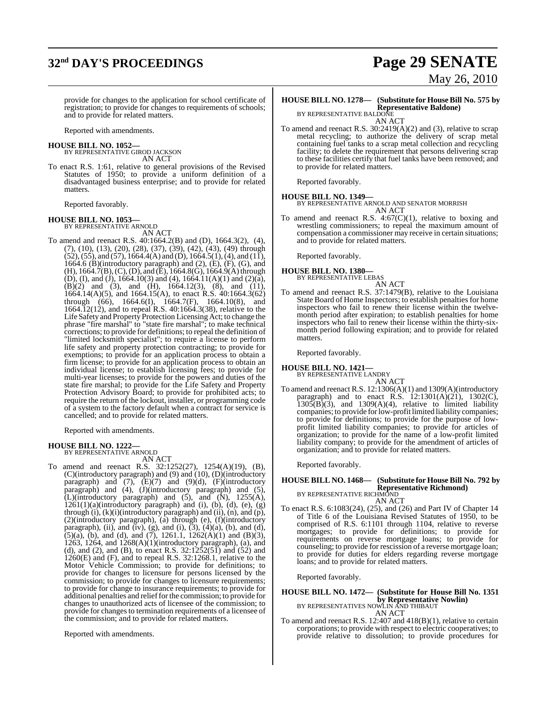# **32nd DAY'S PROCEEDINGS Page 29 SENATE**

# May 26, 2010

provide for changes to the application for school certificate of registration; to provide for changes to requirements of schools; and to provide for related matters.

Reported with amendments.

**HOUSE BILL NO. 1052—** BY REPRESENTATIVE GIROD JACKSON

AN ACT

To enact R.S. 1:61, relative to general provisions of the Revised Statutes of 1950; to provide a uniform definition of a disadvantaged business enterprise; and to provide for related matters.

Reported favorably.

## **HOUSE BILL NO. 1053—** BY REPRESENTATIVE ARNOLD

AN ACT

To amend and reenact R.S. 40:1664.2(B) and (D), 1664.3(2), (4), (7), (10), (13), (20), (28), (37), (39), (42), (43), (49) through  $(52)$ ,  $(55)$ , and  $(57)$ , 1664.4(A) and (D), 1664.5(1), (4), and (11), 1664.6 (B)(introductory paragraph) and  $(2)$ ,  $(E)$ ,  $(F)$ ,  $(G)$ , and (H), 1664.7(B), (C), (D), and (E), 1664.8(G), 1664.9(A) through (D), (I), and (J), 1664.10(3) and (4), 1664.11(A)(1) and (2)(a),  $(B)(2)$  and  $(3)$ , and  $(H)$ , 1664.12(3),  $(8)$ , and  $(11)$ , 1664.14(A)(5), and 1664.15(A), to enact R.S. 40:1664.3(62) through (66), 1664.6(I), 1664.7(F), 1664.10(8), and 1664.12(12), and to repeal R.S. 40:1664.3(38), relative to the Life Safety and Property Protection Licensing Act; to change the phrase "fire marshal" to "state fire marshal"; to make technical corrections; to provide for definitions; to repeal the definition of "limited locksmith specialist"; to require a license to perform life safety and property protection contracting; to provide for exemptions; to provide for an application process to obtain a firm license; to provide for an application process to obtain an individual license; to establish licensing fees; to provide for multi-year licenses; to provide for the powers and duties of the state fire marshal; to provide for the Life Safety and Property Protection Advisory Board; to provide for prohibited acts; to require the return of the lockout, installer, or programming code of a system to the factory default when a contract for service is cancelled; and to provide for related matters.

Reported with amendments.

# **HOUSE BILL NO. 1222—** BY REPRESENTATIVE ARNOLD

AN ACT

To amend and reenact R.S. 32:1252(27), 1254(A)(19), (B), (C)(introductory paragraph) and (9) and (10), (D)(introductory paragraph) and  $(7)$ ,  $(E)(7)$  and  $(9)(d)$ ,  $(F)(introductory)$ paragraph) and (4), (J)(introductory paragraph) and (5),  $\tilde{L}$ )(introductory paragraph) and (5), and  $\tilde{N}$ ), 1255(A),  $1261(1)(a)$ (introductory paragraph) and (i), (b), (d), (e), (g) through (i), (k)(i)(introductory paragraph) and (ii), (n), and (p), (2)(introductory paragraph), (a) through (e), (f)(introductory paragraph), (ii), and (iv), (g), and (i),  $(3)$ ,  $(4)(a)$ ,  $(b)$ , and  $(d)$ , (5)(a), (b), and (d), and (7), 1261.1, 1262(A)(1) and (B)(3), 1263, 1264, and 1268(A)(1)(introductory paragraph), (a), and (d), and (2), and (B), to enact R.S.  $32:1252(51)$  and  $(52)$  and 1260(E) and (F), and to repeal R.S. 32:1268.1, relative to the Motor Vehicle Commission; to provide for definitions; to provide for changes to licensure for persons licensed by the commission; to provide for changes to licensure requirements; to provide for change to insurance requirements; to provide for additional penalties and reliefforthe commission; to provide for changes to unauthorized acts of licensee of the commission; to provide for changes to termination requirements of a licensee of the commission; and to provide for related matters.

Reported with amendments.

#### **HOUSE BILL NO. 1278— (Substitute for HouseBill No. 575 by Representative Baldone)** BY REPRESENTATIVE BALDONE

AN ACT

To amend and reenact R.S. 30:2419(A)(2) and (3), relative to scrap metal recycling; to authorize the delivery of scrap metal containing fuel tanks to a scrap metal collection and recycling facility; to delete the requirement that persons delivering scrap to these facilities certify that fuel tanks have been removed; and to provide for related matters.

Reported favorably.

#### **HOUSE BILL NO. 1349—** BY REPRESENTATIVE ARNOLD AND SENATOR MORRISH AN ACT

To amend and reenact R.S.  $4:67(C)(1)$ , relative to boxing and wrestling commissioners; to repeal the maximum amount of compensation a commissioner may receive in certain situations; and to provide for related matters.

Reported favorably.

## **HOUSE BILL NO. 1380—** BY REPRESENTATIVE LEBAS

AN ACT To amend and reenact R.S. 37:1479(B), relative to the Louisiana State Board of Home Inspectors; to establish penalties for home inspectors who fail to renew their license within the twelvemonth period after expiration; to establish penalties for home inspectors who fail to renew their license within the thirty-sixmonth period following expiration; and to provide for related matters.

Reported favorably.

# **HOUSE BILL NO. 1421—** BY REPRESENTATIVE LANDRY

AN ACT

To amend and reenact R.S. 12:1306(A)(1) and 1309(A)(introductory paragraph) and to enact R.S.  $12:1301(A)(21)$ ,  $1302(C)$ ,  $1305(B)(3)$ , and  $1309(A)(4)$ , relative to limited liability companies; to provide for low-profit limited liability companies; to provide for definitions; to provide for the purpose of lowprofit limited liability companies; to provide for articles of organization; to provide for the name of a low-profit limited liability company; to provide for the amendment of articles of organization; and to provide for related matters.

Reported favorably.

## **HOUSE BILL NO. 1468— (Substitute for House Bill No. 792 by Representative Richmond)**<br>BY REPRESENTATIVE RICHMOND

AN ACT

To enact R.S. 6:1083(24), (25), and (26) and Part IV of Chapter 14 of Title 6 of the Louisiana Revised Statutes of 1950, to be comprised of R.S. 6:1101 through 1104, relative to reverse mortgages; to provide for definitions; to provide for requirements on reverse mortgage loans; to provide for counseling; to provide for rescission of a reverse mortgage loan; to provide for duties for elders regarding reverse mortgage loans; and to provide for related matters.

Reported favorably.

**HOUSE BILL NO. 1472— (Substitute for House Bill No. 1351 by Representative Nowlin)**<br>BY REPRESENTATIVES NOWLIN AND THIBAUT<br>AN ACT

To amend and reenact R.S. 12:407 and 418(B)(1), relative to certain corporations; to provide with respect to electric cooperatives; to provide relative to dissolution; to provide procedures for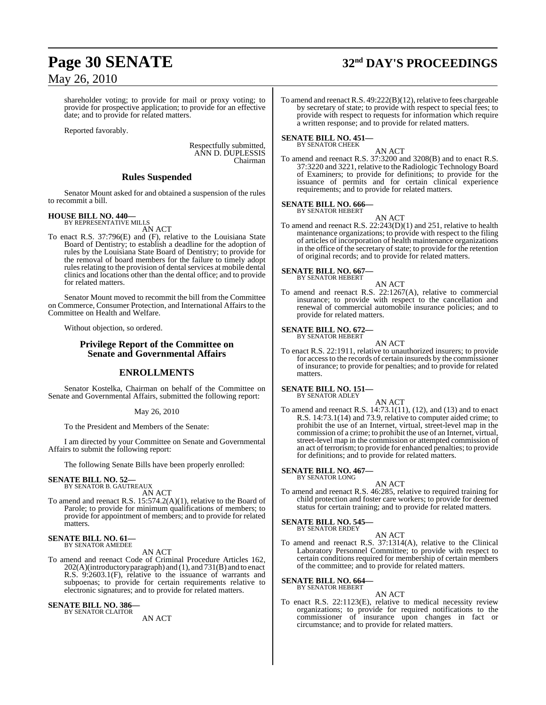shareholder voting; to provide for mail or proxy voting; to provide for prospective application; to provide for an effective date; and to provide for related matters.

Reported favorably.

Respectfully submitted, ANN D. DUPLESSIS Chairman

## **Rules Suspended**

Senator Mount asked for and obtained a suspension of the rules to recommit a bill.

#### **HOUSE BILL NO. 440—**

BY REPRESENTATIVE MILLS AN ACT

To enact R.S. 37:796(E) and (F), relative to the Louisiana State Board of Dentistry; to establish a deadline for the adoption of rules by the Louisiana State Board of Dentistry; to provide for the removal of board members for the failure to timely adopt rules relating to the provision of dental services at mobile dental clinics and locations other than the dental office; and to provide for related matters.

Senator Mount moved to recommit the bill from the Committee on Commerce, Consumer Protection, and International Affairs to the Committee on Health and Welfare.

Without objection, so ordered.

### **Privilege Report of the Committee on Senate and Governmental Affairs**

#### **ENROLLMENTS**

Senator Kostelka, Chairman on behalf of the Committee on Senate and Governmental Affairs, submitted the following report:

May 26, 2010

To the President and Members of the Senate:

I am directed by your Committee on Senate and Governmental Affairs to submit the following report:

The following Senate Bills have been properly enrolled:

## **SENATE BILL NO. 52—** BY SENATOR B. GAUTREAUX

AN ACT

To amend and reenact R.S. 15:574.2(A)(1), relative to the Board of Parole; to provide for minimum qualifications of members; to provide for appointment of members; and to provide for related matters.

#### **SENATE BILL NO. 61—** BY SENATOR AMEDEE

AN ACT

To amend and reenact Code of Criminal Procedure Articles 162, 202(A)(introductory paragraph) and (1), and 731(B) and to enact R.S. 9:2603.1(F), relative to the issuance of warrants and subpoenas; to provide for certain requirements relative to electronic signatures; and to provide for related matters.

**SENATE BILL NO. 386—** BY SENATOR CLAITOR

AN ACT

# **Page 30 SENATE 32nd DAY'S PROCEEDINGS**

To amend and reenact R.S. 49:222(B)(12), relative to fees chargeable by secretary of state; to provide with respect to special fees; to provide with respect to requests for information which require a written response; and to provide for related matters.

#### **SENATE BILL NO. 451—** BY SENATOR CHEEK

AN ACT

To amend and reenact R.S. 37:3200 and 3208(B) and to enact R.S. 37:3220 and 3221, relative to the Radiologic TechnologyBoard of Examiners; to provide for definitions; to provide for the issuance of permits and for certain clinical experience requirements; and to provide for related matters.

#### **SENATE BILL NO. 666—** BY SENATOR HEBERT

AN ACT

To amend and reenact R.S. 22:243(D)(1) and 251, relative to health maintenance organizations; to provide with respect to the filing of articles of incorporation of health maintenance organizations in the office of the secretary of state; to provide for the retention of original records; and to provide for related matters.

## **SENATE BILL NO. 667—** BY SENATOR HEBERT

AN ACT To amend and reenact R.S. 22:1267(A), relative to commercial insurance; to provide with respect to the cancellation and renewal of commercial automobile insurance policies; and to provide for related matters.

## **SENATE BILL NO. 672—** BY SENATOR HEBERT

AN ACT

To enact R.S. 22:1911, relative to unauthorized insurers; to provide for accessto the records of certain insureds by the commissioner of insurance; to provide for penalties; and to provide for related matters.

#### **SENATE BILL NO. 151—** BY SENATOR ADLEY

- AN ACT
- To amend and reenact R.S. 14:73.1(11), (12), and (13) and to enact R.S. 14:73.1(14) and 73.9, relative to computer aided crime; to prohibit the use of an Internet, virtual, street-level map in the commission of a crime; to prohibit the use of an Internet, virtual, street-level map in the commission or attempted commission of an act ofterrorism; to provide for enhanced penalties; to provide for definitions; and to provide for related matters.

#### **SENATE BILL NO. 467—** BY SENATOR LONG

AN ACT

To amend and reenact R.S. 46:285, relative to required training for child protection and foster care workers; to provide for deemed status for certain training; and to provide for related matters.

#### **SENATE BILL NO. 545—** BY SENATOR ERDEY

AN ACT

To amend and reenact R.S. 37:1314(A), relative to the Clinical Laboratory Personnel Committee; to provide with respect to certain conditions required for membership of certain members of the committee; and to provide for related matters.

#### **SENATE BILL NO. 664—** BY SENATOR HEBERT

AN ACT

To enact R.S. 22:1123(E), relative to medical necessity review organizations; to provide for required notifications to the commissioner of insurance upon changes in fact or circumstance; and to provide for related matters.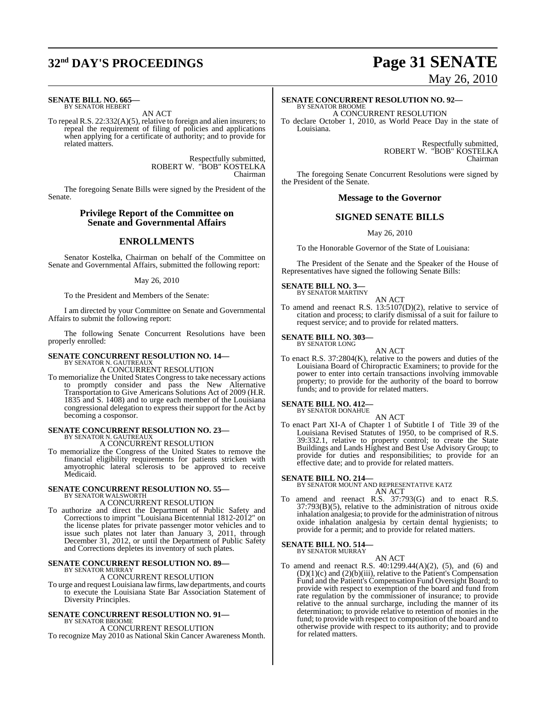## **32nd DAY'S PROCEEDINGS Page 31 SENATE**

#### **SENATE BILL NO. 665—** BY SENATOR HEBERT

AN ACT

To repeal R.S. 22:332(A)(5), relative to foreign and alien insurers; to repeal the requirement of filing of policies and applications when applying for a certificate of authority; and to provide for related matters.

> Respectfully submitted, ROBERT W. "BOB" KOSTELKA Chairman

The foregoing Senate Bills were signed by the President of the Senate.

### **Privilege Report of the Committee on Senate and Governmental Affairs**

## **ENROLLMENTS**

Senator Kostelka, Chairman on behalf of the Committee on Senate and Governmental Affairs, submitted the following report:

#### May 26, 2010

To the President and Members of the Senate:

I am directed by your Committee on Senate and Governmental Affairs to submit the following report:

The following Senate Concurrent Resolutions have been properly enrolled:

#### **SENATE CONCURRENT RESOLUTION NO. 14—** BY SENATOR N. GAUTREAUX

A CONCURRENT RESOLUTION

To memorialize the United States Congress to take necessary actions to promptly consider and pass the New Alternative Transportation to Give Americans Solutions Act of 2009 (H.R. 1835 and S. 1408) and to urge each member of the Louisiana congressional delegation to express their support for the Act by becoming a cosponsor.

# **SENATE CONCURRENT RESOLUTION NO. 23—** BY SENATOR N. GAUTREAUX

A CONCURRENT RESOLUTION

To memorialize the Congress of the United States to remove the financial eligibility requirements for patients stricken with amyotrophic lateral sclerosis to be approved to receive Medicaid.

#### **SENATE CONCURRENT RESOLUTION NO. 55—** BY SENATOR WALSWORTH

A CONCURRENT RESOLUTION

To authorize and direct the Department of Public Safety and Corrections to imprint "Louisiana Bicentennial 1812-2012" on the license plates for private passenger motor vehicles and to issue such plates not later than January 3, 2011, through December 31, 2012, or until the Department of Public Safety and Corrections depletes its inventory of such plates.

#### **SENATE CONCURRENT RESOLUTION NO. 89—** BY SENATOR MURRAY

A CONCURRENT RESOLUTION

To urge and request Louisiana lawfirms, lawdepartments, and courts to execute the Louisiana State Bar Association Statement of Diversity Principles.

#### **SENATE CONCURRENT RESOLUTION NO. 91—** BY SENATOR BROOME

A CONCURRENT RESOLUTION

To recognize May 2010 as National Skin Cancer Awareness Month.

# May 26, 2010

#### **SENATE CONCURRENT RESOLUTION NO. 92—** BY SENATOR BROOME

A CONCURRENT RESOLUTION

To declare October 1, 2010, as World Peace Day in the state of Louisiana.

> Respectfully submitted, ROBERT W. "BOB" KOSTELKA Chairman

The foregoing Senate Concurrent Resolutions were signed by the President of the Senate.

#### **Message to the Governor**

## **SIGNED SENATE BILLS**

May 26, 2010

To the Honorable Governor of the State of Louisiana:

The President of the Senate and the Speaker of the House of Representatives have signed the following Senate Bills:

#### **SENATE BILL NO. 3—** BY SENATOR MARTINY

- AN ACT
- To amend and reenact R.S. 13:5107(D)(2), relative to service of citation and process; to clarify dismissal of a suit for failure to request service; and to provide for related matters.

**SENATE BILL NO. 303—** BY SENATOR LONG

AN ACT

To enact R.S. 37:2804(K), relative to the powers and duties of the Louisiana Board of Chiropractic Examiners; to provide for the power to enter into certain transactions involving immovable property; to provide for the authority of the board to borrow funds; and to provide for related matters.

#### **SENATE BILL NO. 412—** BY SENATOR DONAHUE

AN ACT

To enact Part XI-A of Chapter 1 of Subtitle I of Title 39 of the Louisiana Revised Statutes of 1950, to be comprised of R.S. 39:332.1, relative to property control; to create the State Buildings and Lands Highest and Best Use Advisory Group; to provide for duties and responsibilities; to provide for an effective date; and to provide for related matters.

**SENATE BILL NO. 214—** BY SENATOR MOUNT AND REPRESENTATIVE KATZ AN ACT

To amend and reenact R.S. 37:793(G) and to enact R.S. 37:793(B)(5), relative to the administration of nitrous oxide inhalation analgesia; to provide for the administration of nitrous oxide inhalation analgesia by certain dental hygienists; to provide for a permit; and to provide for related matters.

#### **SENATE BILL NO. 514—**

BY SENATOR MURRAY AN ACT

To amend and reenact R.S. 40:1299.44(A)(2), (5), and (6) and  $(D)(1)(c)$  and  $(2)(b)(iii)$ , relative to the Patient's Compensation Fund and the Patient's Compensation Fund Oversight Board; to provide with respect to exemption of the board and fund from rate regulation by the commissioner of insurance; to provide relative to the annual surcharge, including the manner of its determination; to provide relative to retention of monies in the fund; to provide with respect to composition of the board and to otherwise provide with respect to its authority; and to provide for related matters.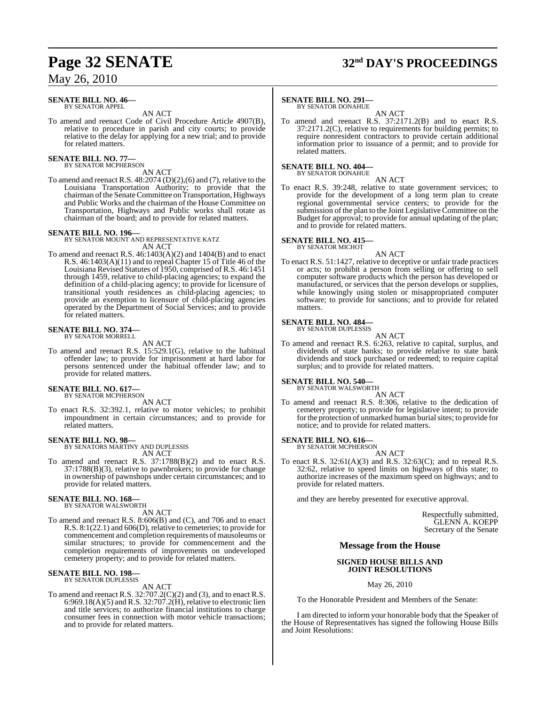#### **SENATE BILL NO. 46—** BY SENATOR APPEL

AN ACT

To amend and reenact Code of Civil Procedure Article 4907(B), relative to procedure in parish and city courts; to provide relative to the delay for applying for a new trial; and to provide for related matters.

#### **SENATE BILL NO. 77—** BY SENATOR MCPHERSON

AN ACT

To amend and reenact R.S.  $48:2074$  (D)(2),(6) and (7), relative to the Louisiana Transportation Authority; to provide that the chairman of the Senate Committee on Transportation, Highways and Public Works and the chairman of the House Committee on Transportation, Highways and Public works shall rotate as chairman of the board; and to provide for related matters.

**SENATE BILL NO. 196—** BY SENATOR MOUNT AND REPRESENTATIVE KATZ AN ACT

To amend and reenact R.S. 46:1403(A)(2) and 1404(B) and to enact R.S. 46:1403(A)(11) and to repeal Chapter 15 of Title 46 of the Louisiana Revised Statutes of 1950, comprised of R.S. 46:1451 through 1459, relative to child-placing agencies; to expand the definition of a child-placing agency; to provide for licensure of transitional youth residences as child-placing agencies; to provide an exemption to licensure of child-placing agencies operated by the Department of Social Services; and to provide for related matters.

## **SENATE BILL NO. 374—** BY SENATOR MORRELL

AN ACT

To amend and reenact R.S. 15:529.1(G), relative to the habitual offender law; to provide for imprisonment at hard labor for persons sentenced under the habitual offender law; and to provide for related matters.

## **SENATE BILL NO. 617—**<br>BY SENATOR MCPHERSON

AN ACT

To enact R.S. 32:392.1, relative to motor vehicles; to prohibit impoundment in certain circumstances; and to provide for related matters.

## **SENATE BILL NO. 98—** BY SENATORS MARTINY AND DUPLESSIS

AN ACT

To amend and reenact R.S. 37:1788(B)(2) and to enact R.S. 37:1788(B)(3), relative to pawnbrokers; to provide for change in ownership of pawnshops under certain circumstances; and to provide for related matters.

## **SENATE BILL NO. 168—** BY SENATOR WALSWORTH

AN ACT

To amend and reenact R.S. 8:606(B) and (C), and 706 and to enact R.S. 8:1(22.1) and 606(D), relative to cemeteries; to provide for commencement and completion requirements of mausoleums or similar structures; to provide for commencement and the completion requirements of improvements on undeveloped cemetery property; and to provide for related matters.

#### **SENATE BILL NO. 198** BY SENATOR DUPLESSIS

#### AN ACT

To amend and reenact R.S. 32:707.2(C)(2) and (3), and to enact R.S. 6:969.18(A)(5) and R.S. 32:707.2(H), relative to electronic lien and title services; to authorize financial institutions to charge consumer fees in connection with motor vehicle transactions; and to provide for related matters.

## **Page 32 SENATE 32nd DAY'S PROCEEDINGS**

#### **SENATE BILL NO. 291—**

BY SENATOR DONAHUE

AN ACT To amend and reenact R.S. 37:2171.2(B) and to enact R.S. 37:2171.2(C), relative to requirements for building permits; to require nonresident contractors to provide certain additional information prior to issuance of a permit; and to provide for related matters.

**SENATE BILL NO. 404—** BY SENATOR DONAHUE

AN ACT

To enact R.S. 39:248, relative to state government services; to provide for the development of a long term plan to create regional governmental service centers; to provide for the submission of the plan to the Joint Legislative Committee on the Budget for approval; to provide for annual updating of the plan; and to provide for related matters.

## **SENATE BILL NO. 415—** BY SENATOR MICHOT

AN ACT

To enact R.S. 51:1427, relative to deceptive or unfair trade practices or acts; to prohibit a person from selling or offering to sell computer software products which the person has developed or manufactured, or services that the person develops or supplies, while knowingly using stolen or misappropriated computer software; to provide for sanctions; and to provide for related matters.

## **SENATE BILL NO. 484—** BY SENATOR DUPLESSIS

AN ACT

To amend and reenact R.S. 6:263, relative to capital, surplus, and dividends of state banks; to provide relative to state bank dividends and stock purchased or redeemed; to require capital surplus; and to provide for related matters.

## **SENATE BILL NO. 540—** BY SENATOR WALSWORTH

AN ACT

To amend and reenact R.S. 8:306, relative to the dedication of cemetery property; to provide for legislative intent; to provide for the protection of unmarked human burial sites; to provide for notice; and to provide for related matters.

## **SENATE BILL NO. 616—** BY SENATOR MCPHERSON

AN ACT

To enact R.S.  $32:61(A)(3)$  and R.S.  $32:63(C)$ ; and to repeal R.S. 32:62, relative to speed limits on highways of this state; to authorize increases of the maximum speed on highways; and to provide for related matters.

and they are hereby presented for executive approval.

Respectfully submitted, GLENN A. KOEPP Secretary of the Senate

#### **Message from the House**

#### **SIGNED HOUSE BILLS AND JOINT RESOLUTIONS**

#### May 26, 2010

To the Honorable President and Members of the Senate:

I am directed to inform your honorable body that the Speaker of the House of Representatives has signed the following House Bills and Joint Resolutions: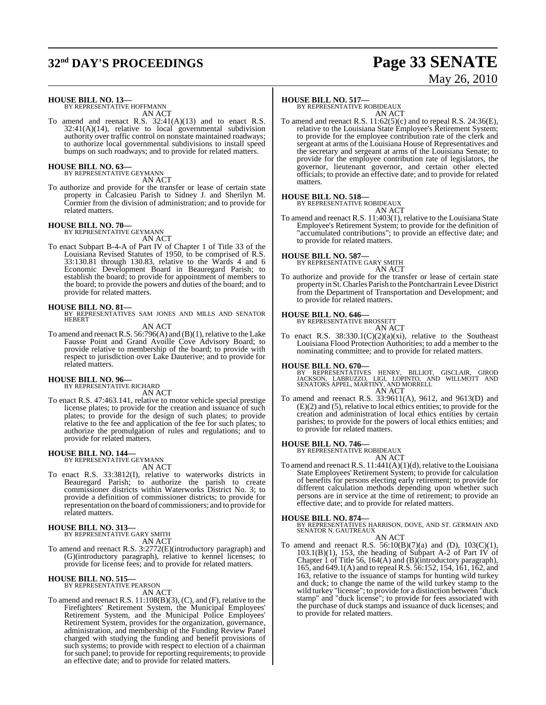# **32nd DAY'S PROCEEDINGS Page 33 SENATE**

# May 26, 2010

**HOUSE BILL NO. 13—** BY REPRESENTATIVE HOFFMANN

AN ACT

To amend and reenact R.S. 32:41(A)(13) and to enact R.S.  $32:41(A)(14)$ , relative to local governmental subdivision authority over traffic control on nonstate maintained roadways; to authorize local governmental subdivisions to install speed bumps on such roadways; and to provide for related matters.

#### **HOUSE BILL NO. 63—** BY REPRESENTATIVE GEYMANN

AN ACT

To authorize and provide for the transfer or lease of certain state property in Calcasieu Parish to Sidney J. and Sherilyn M. Cormier from the division of administration; and to provide for related matters.

#### **HOUSE BILL NO. 70—**

BY REPRESENTATIVE GEYMANN AN ACT

To enact Subpart B-4-A of Part IV of Chapter 1 of Title 33 of the Louisiana Revised Statutes of 1950, to be comprised of R.S. 33:130.81 through 130.83, relative to the Wards 4 and 6 Economic Development Board in Beauregard Parish; to establish the board; to provide for appointment of members to the board; to provide the powers and duties of the board; and to provide for related matters.

**HOUSE BILL NO. 81—** BY REPRESENTATIVES SAM JONES AND MILLS AND SENATOR HEBERT

AN ACT

To amend and reenact R.S. 56:796(A) and (B)(1), relative to the Lake Fausse Point and Grand Avoille Cove Advisory Board; to provide relative to membership of the board; to provide with respect to jurisdiction over Lake Dauterive; and to provide for related matters.

## **HOUSE BILL NO. 96—** BY REPRESENTATIVE RICHARD

AN ACT

To enact R.S. 47:463.141, relative to motor vehicle special prestige license plates; to provide for the creation and issuance of such plates; to provide for the design of such plates; to provide relative to the fee and application of the fee for such plates; to authorize the promulgation of rules and regulations; and to provide for related matters.

#### **HOUSE BILL NO. 144—**

BY REPRESENTATIVE GEYMANN AN ACT

To enact R.S. 33:3812(I), relative to waterworks districts in Beauregard Parish; to authorize the parish to create commissioner districts within Waterworks District No. 3; to provide a definition of commissioner districts; to provide for representation on the board of commissioners; and to provide for related matters.

# **HOUSE BILL NO. 313—** BY REPRESENTATIVE GARY SMITH

AN ACT

To amend and reenact R.S. 3:2772(E)(introductory paragraph) and (G)(introductory paragraph), relative to kennel licenses; to provide for license fees; and to provide for related matters.

## **HOUSE BILL NO. 515—** BY REPRESENTATIVE PEARSON

AN ACT

To amend and reenact R.S. 11:108(B)(3), (C), and (F), relative to the Firefighters' Retirement System, the Municipal Employees' Retirement System, and the Municipal Police Employees' Retirement System, provides for the organization, governance, administration, and membership of the Funding Review Panel charged with studying the funding and benefit provisions of such systems; to provide with respect to election of a chairman for such panel; to provide for reporting requirements; to provide an effective date; and to provide for related matters.

#### **HOUSE BILL NO. 517—**

BY REPRESENTATIVE ROBIDEAUX AN ACT

To amend and reenact R.S. 11:62(5)(c) and to repeal R.S. 24:36(E), relative to the Louisiana State Employee's Retirement System; to provide for the employee contribution rate of the clerk and sergeant at arms of the Louisiana House of Representatives and the secretary and sergeant at arms of the Louisiana Senate; to provide for the employee contribution rate of legislators, the governor, lieutenant governor, and certain other elected officials; to provide an effective date; and to provide for related matters.

## **HOUSE BILL NO. 518—** BY REPRESENTATIVE ROBIDEAUX



To amend and reenact R.S. 11:403(1), relative to the Louisiana State Employee's Retirement System; to provide for the definition of "accumulated contributions"; to provide an effective date; and to provide for related matters.

#### **HOUSE BILL NO. 587—**

BY REPRESENTATIVE GARY SMITH AN ACT

To authorize and provide for the transfer or lease of certain state property in St.Charles Parish to the Pontchartrain Levee District from the Department of Transportation and Development; and to provide for related matters.

## **HOUSE BILL NO. 646—** BY REPRESENTATIVE BROSSETT

AN ACT

To enact R.S.  $38:330.1(C)(2)(a)(xi)$ , relative to the Southeast Louisiana Flood Protection Authorities; to add a member to the nominating committee; and to provide for related matters.

**HOUSE BILL NO. 670—**

BY REPRESENTATIVES HENRY, BILLIOT, GISCLAIR, GIROD<br>JACKSON, LABRUZZO, LIGI, LOPINTO, AND WILLMOTT AND<br>SENATORSAPPEL,MARTINY,AND MORRELL AN ACT

To amend and reenact R.S. 33:9611(A), 9612, and 9613(D) and (E)(2) and (5), relative to local ethics entities; to provide for the creation and administration of local ethics entities by certain parishes; to provide for the powers of local ethics entities; and to provide for related matters.

**HOUSE BILL NO. 746—**

BY REPRESENTATIVE ROBIDEAUX AN ACT

To amend and reenact R.S. 11:441(A)(1)(d), relative to the Louisiana State Employees' Retirement System; to provide for calculation of benefits for persons electing early retirement; to provide for different calculation methods depending upon whether such persons are in service at the time of retirement; to provide an effective date; and to provide for related matters.

**HOUSE BILL NO. 874—** BY REPRESENTATIVES HARRISON, DOVE, AND ST. GERMAIN AND SENATOR N. GAUTREAUX

AN ACT

To amend and reenact R.S.  $56:10(B)(7)(a)$  and (D),  $103(C)(1)$ , 103.1(B)(1), 153, the heading of Subpart A-2 of Part IV of Chapter 1 of Title 56, 164(A) and (B)(introductory paragraph), 165, and 649.1(A) and to repeal R.S. 56:152, 154, 161, 162, and 163, relative to the issuance of stamps for hunting wild turkey and duck; to change the name of the wild turkey stamp to the wild turkey "license"; to provide for a distinction between "duck stamp" and "duck license"; to provide for fees associated with the purchase of duck stamps and issuance of duck licenses; and to provide for related matters.